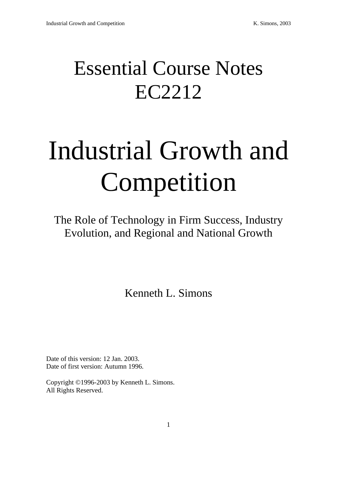### Essential Course Notes EC2212

### Industrial Growth and Competition

The Role of Technology in Firm Success, Industry Evolution, and Regional and National Growth

Kenneth L. Simons

Date of this version: 12 Jan. 2003. Date of first version: Autumn 1996.

Copyright ©1996-2003 by Kenneth L. Simons. All Rights Reserved.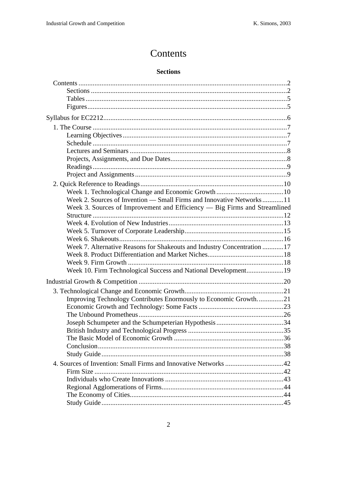#### Contents

#### **Sections**

| Week 2. Sources of Invention — Small Firms and Innovative Networks11      |  |
|---------------------------------------------------------------------------|--|
| Week 3. Sources of Improvement and Efficiency — Big Firms and Streamlined |  |
|                                                                           |  |
|                                                                           |  |
|                                                                           |  |
|                                                                           |  |
| Week 7. Alternative Reasons for Shakeouts and Industry Concentration 17   |  |
|                                                                           |  |
|                                                                           |  |
| Week 10. Firm Technological Success and National Development19            |  |
|                                                                           |  |
|                                                                           |  |
| Improving Technology Contributes Enormously to Economic Growth21          |  |
|                                                                           |  |
|                                                                           |  |
|                                                                           |  |
|                                                                           |  |
|                                                                           |  |
|                                                                           |  |
|                                                                           |  |
|                                                                           |  |
|                                                                           |  |
|                                                                           |  |
|                                                                           |  |
|                                                                           |  |
|                                                                           |  |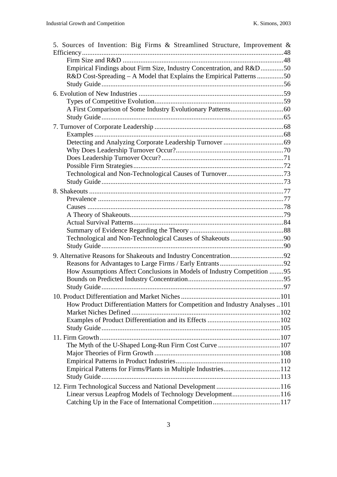| 5. Sources of Invention: Big Firms & Streamlined Structure, Improvement &     |  |
|-------------------------------------------------------------------------------|--|
|                                                                               |  |
| Empirical Findings about Firm Size, Industry Concentration, and R&D50         |  |
| R&D Cost-Spreading – A Model that Explains the Empirical Patterns 50          |  |
|                                                                               |  |
|                                                                               |  |
|                                                                               |  |
|                                                                               |  |
|                                                                               |  |
|                                                                               |  |
|                                                                               |  |
|                                                                               |  |
|                                                                               |  |
|                                                                               |  |
|                                                                               |  |
|                                                                               |  |
|                                                                               |  |
|                                                                               |  |
|                                                                               |  |
|                                                                               |  |
|                                                                               |  |
|                                                                               |  |
|                                                                               |  |
|                                                                               |  |
|                                                                               |  |
| 92. Alternative Reasons for Shakeouts and Industry Concentration92            |  |
|                                                                               |  |
| How Assumptions Affect Conclusions in Models of Industry Competition 95       |  |
|                                                                               |  |
|                                                                               |  |
|                                                                               |  |
| How Product Differentiation Matters for Competition and Industry Analyses 101 |  |
|                                                                               |  |
|                                                                               |  |
|                                                                               |  |
|                                                                               |  |
|                                                                               |  |
|                                                                               |  |
|                                                                               |  |
| Empirical Patterns for Firms/Plants in Multiple Industries112                 |  |
|                                                                               |  |
|                                                                               |  |
| Linear versus Leapfrog Models of Technology Development116                    |  |
|                                                                               |  |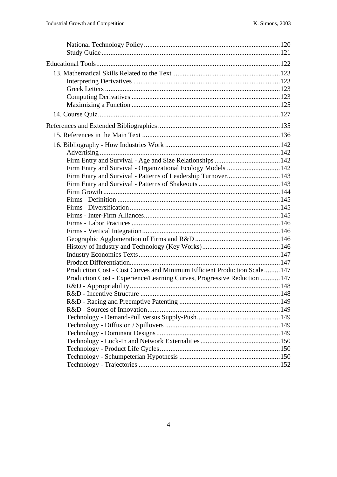| Firm Entry and Survival - Organizational Ecology Models  142            |  |
|-------------------------------------------------------------------------|--|
|                                                                         |  |
|                                                                         |  |
|                                                                         |  |
|                                                                         |  |
|                                                                         |  |
|                                                                         |  |
|                                                                         |  |
|                                                                         |  |
|                                                                         |  |
|                                                                         |  |
|                                                                         |  |
|                                                                         |  |
| Production Cost - Cost Curves and Minimum Efficient Production Scale147 |  |
| Production Cost - Experience/Learning Curves, Progressive Reduction 147 |  |
|                                                                         |  |
|                                                                         |  |
|                                                                         |  |
|                                                                         |  |
|                                                                         |  |
|                                                                         |  |
|                                                                         |  |
|                                                                         |  |
|                                                                         |  |
|                                                                         |  |
|                                                                         |  |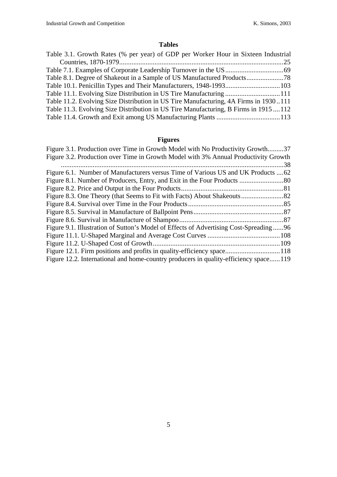#### **Tables**

| Table 3.1. Growth Rates (% per year) of GDP per Worker Hour in Sixteen Industrial    |  |
|--------------------------------------------------------------------------------------|--|
|                                                                                      |  |
|                                                                                      |  |
|                                                                                      |  |
|                                                                                      |  |
| Table 11.1. Evolving Size Distribution in US Tire Manufacturing 111                  |  |
| Table 11.2. Evolving Size Distribution in US Tire Manufacturing, 4A Firms in 1930111 |  |
| Table 11.3. Evolving Size Distribution in US Tire Manufacturing, B Firms in 1915112  |  |
|                                                                                      |  |

#### **Figures**

| Figure 3.1. Production over Time in Growth Model with No Productivity Growth37        |    |
|---------------------------------------------------------------------------------------|----|
| Figure 3.2. Production over Time in Growth Model with 3% Annual Productivity Growth   |    |
|                                                                                       | 38 |
| Figure 6.1. Number of Manufacturers versus Time of Various US and UK Products 62      |    |
|                                                                                       |    |
|                                                                                       |    |
|                                                                                       |    |
|                                                                                       |    |
|                                                                                       |    |
|                                                                                       |    |
| Figure 9.1. Illustration of Sutton's Model of Effects of Advertising Cost-Spreading96 |    |
|                                                                                       |    |
|                                                                                       |    |
|                                                                                       |    |
| Figure 12.2. International and home-country producers in quality-efficiency space119  |    |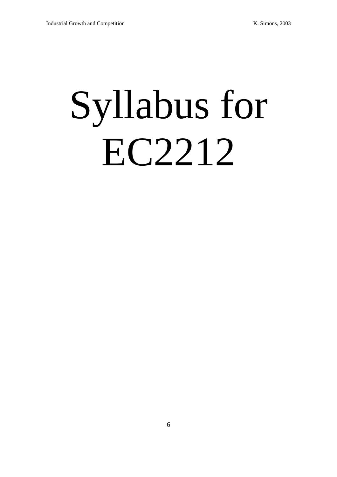## Syllabus for EC2212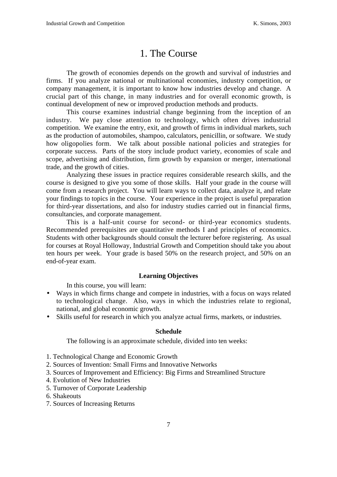#### 1. The Course

The growth of economies depends on the growth and survival of industries and firms. If you analyze national or multinational economies, industry competition, or company management, it is important to know how industries develop and change. A crucial part of this change, in many industries and for overall economic growth, is continual development of new or improved production methods and products.

This course examines industrial change beginning from the inception of an industry. We pay close attention to technology, which often drives industrial competition. We examine the entry, exit, and growth of firms in individual markets, such as the production of automobiles, shampoo, calculators, penicillin, or software. We study how oligopolies form. We talk about possible national policies and strategies for corporate success. Parts of the story include product variety, economies of scale and scope, advertising and distribution, firm growth by expansion or merger, international trade, and the growth of cities.

Analyzing these issues in practice requires considerable research skills, and the course is designed to give you some of those skills. Half your grade in the course will come from a research project. You will learn ways to collect data, analyze it, and relate your findings to topics in the course. Your experience in the project is useful preparation for third-year dissertations, and also for industry studies carried out in financial firms, consultancies, and corporate management.

This is a half-unit course for second- or third-year economics students. Recommended prerequisites are quantitative methods I and principles of economics. Students with other backgrounds should consult the lecturer before registering. As usual for courses at Royal Holloway, Industrial Growth and Competition should take you about ten hours per week. Your grade is based 50% on the research project, and 50% on an end-of-year exam.

#### **Learning Objectives**

In this course, you will learn:

- Ways in which firms change and compete in industries, with a focus on ways related to technological change. Also, ways in which the industries relate to regional, national, and global economic growth.
- Skills useful for research in which you analyze actual firms, markets, or industries.

#### **Schedule**

The following is an approximate schedule, divided into ten weeks:

- 1. Technological Change and Economic Growth
- 2. Sources of Invention: Small Firms and Innovative Networks
- 3. Sources of Improvement and Efficiency: Big Firms and Streamlined Structure
- 4. Evolution of New Industries
- 5. Turnover of Corporate Leadership
- 6. Shakeouts
- 7. Sources of Increasing Returns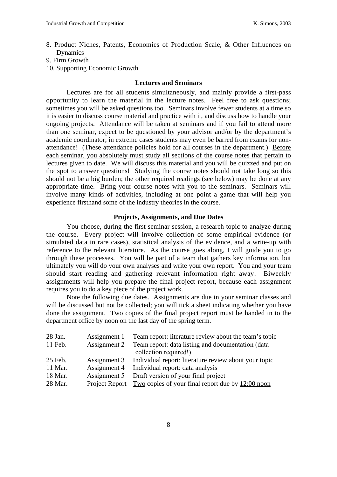8. Product Niches, Patents, Economies of Production Scale, & Other Influences on Dynamics

9. Firm Growth

10. Supporting Economic Growth

#### **Lectures and Seminars**

Lectures are for all students simultaneously, and mainly provide a first-pass opportunity to learn the material in the lecture notes. Feel free to ask questions; sometimes you will be asked questions too. Seminars involve fewer students at a time so it is easier to discuss course material and practice with it, and discuss how to handle your ongoing projects. Attendance will be taken at seminars and if you fail to attend more than one seminar, expect to be questioned by your advisor and/or by the department's academic coordinator; in extreme cases students may even be barred from exams for nonattendance! (These attendance policies hold for all courses in the department.) Before each seminar, you absolutely must study all sections of the course notes that pertain to lectures given to date. We will discuss this material and you will be quizzed and put on the spot to answer questions! Studying the course notes should not take long so this should not be a big burden; the other required readings (see below) may be done at any appropriate time. Bring your course notes with you to the seminars. Seminars will involve many kinds of activities, including at one point a game that will help you experience firsthand some of the industry theories in the course.

#### **Projects, Assignments, and Due Dates**

You choose, during the first seminar session, a research topic to analyze during the course. Every project will involve collection of some empirical evidence (or simulated data in rare cases), statistical analysis of the evidence, and a write-up with reference to the relevant literature. As the course goes along, I will guide you to go through these processes. You will be part of a team that gathers key information, but ultimately you will do your own analyses and write your own report. You and your team should start reading and gathering relevant information right away. Biweekly assignments will help you prepare the final project report, because each assignment requires you to do a key piece of the project work.

Note the following due dates. Assignments are due in your seminar classes and will be discussed but not be collected; you will tick a sheet indicating whether you have done the assignment. Two copies of the final project report must be handed in to the department office by noon on the last day of the spring term.

| 28 Jan. | Assignment 1 | Team report: literature review about the team's topic              |  |  |  |  |
|---------|--------------|--------------------------------------------------------------------|--|--|--|--|
| 11 Feb. | Assignment 2 | Team report: data listing and documentation (data                  |  |  |  |  |
|         |              | collection required!)                                              |  |  |  |  |
| 25 Feb. |              | Assignment 3 Individual report: literature review about your topic |  |  |  |  |
| 11 Mar. |              | Assignment 4 Individual report: data analysis                      |  |  |  |  |
| 18 Mar. |              | Assignment 5 Draft version of your final project                   |  |  |  |  |
| 28 Mar. |              | Project Report Two copies of your final report due by 12:00 noon   |  |  |  |  |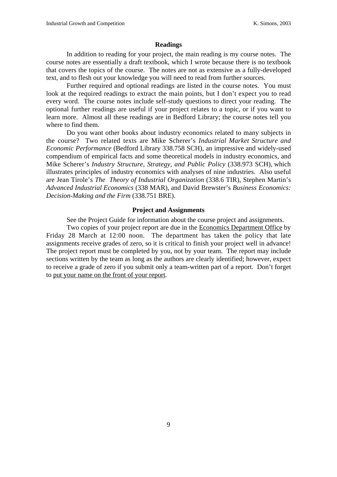#### **Readings**

In addition to reading for your project, the main reading is my course notes. The course notes are essentially a draft textbook, which I wrote because there is no textbook that covers the topics of the course. The notes are not as extensive as a fully-developed text, and to flesh out your knowledge you will need to read from further sources.

Further required and optional readings are listed in the course notes. You must look at the required readings to extract the main points, but I don't expect you to read every word. The course notes include self-study questions to direct your reading. The optional further readings are useful if your project relates to a topic, or if you want to learn more. Almost all these readings are in Bedford Library; the course notes tell you where to find them.

Do you want other books about industry economics related to many subjects in the course? Two related texts are Mike Scherer's *Industrial Market Structure and Economic Performance* (Bedford Library 338.758 SCH), an impressive and widely-used compendium of empirical facts and some theoretical models in industry economics, and Mike Scherer's *Industry Structure, Strategy, and Public Policy* (338.973 SCH)*,* which illustrates principles of industry economics with analyses of nine industries. Also useful are Jean Tirole's *The Theory of Industrial Organization* (338.6 TIR), Stephen Martin's *Advanced Industrial Economics* (338 MAR), and David Brewster's *Business Economics: Decision-Making and the Firm* (338.751 BRE).

#### **Project and Assignments**

See the Project Guide for information about the course project and assignments.

Two copies of your project report are due in the Economics Department Office by Friday 28 March at 12:00 noon. The department has taken the policy that late assignments receive grades of zero, so it is critical to finish your project well in advance! The project report must be completed by you, not by your team. The report may include sections written by the team as long as the authors are clearly identified; however, expect to receive a grade of zero if you submit only a team-written part of a report. Don't forget to put your name on the front of your report.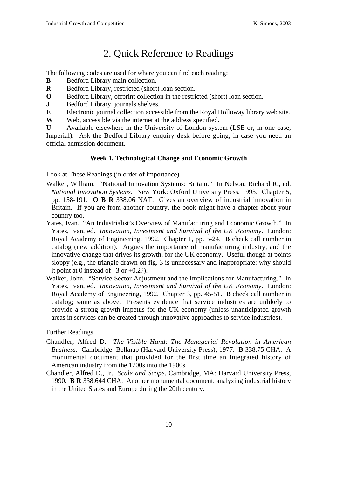#### 2. Quick Reference to Readings

The following codes are used for where you can find each reading:

- **B** Bedford Library main collection.
- **R** Bedford Library, restricted (short) loan section.
- **O** Bedford Library, offprint collection in the restricted (short) loan section.
- **J** Bedford Library, journals shelves.
- **E** Electronic journal collection accessible from the Royal Holloway library web site.
- **W** Web, accessible via the internet at the address specified.

**U** Available elsewhere in the University of London system (LSE or, in one case, Imperial). Ask the Bedford Library enquiry desk before going, in case you need an official admission document.

#### **Week 1. Technological Change and Economic Growth**

Look at These Readings (in order of importance)

- Walker, William. "National Innovation Systems: Britain." In Nelson, Richard R., ed. *National Innovation Systems*. New York: Oxford University Press, 1993. Chapter 5, pp. 158-191. **O B R** 338.06 NAT. Gives an overview of industrial innovation in Britain. If you are from another country, the book might have a chapter about your country too.
- Yates, Ivan. "An Industrialist's Overview of Manufacturing and Economic Growth." In Yates, Ivan, ed. *Innovation, Investment and Survival of the UK Economy*. London: Royal Academy of Engineering, 1992. Chapter 1, pp. 5-24. **B** check call number in catalog (new addition). Argues the importance of manufacturing industry, and the innovative change that drives its growth, for the UK economy. Useful though at points sloppy (e.g., the triangle drawn on fig. 3 is unnecessary and inappropriate: why should it point at 0 instead of  $-3$  or  $+0.2$ ?).
- Walker, John. "Service Sector Adjustment and the Implications for Manufacturing." In Yates, Ivan, ed. *Innovation, Investment and Survival of the UK Economy*. London: Royal Academy of Engineering, 1992. Chapter 3, pp. 45-51. **B** check call number in catalog; same as above. Presents evidence that service industries are unlikely to provide a strong growth impetus for the UK economy (unless unanticipated growth areas in services can be created through innovative approaches to service industries).

- Chandler, Alfred D. *The Visible Hand: The Managerial Revolution in American Business*. Cambridge: Belknap (Harvard University Press), 1977. **B** 338.75 CHA. A monumental document that provided for the first time an integrated history of American industry from the 1700s into the 1900s.
- Chandler, Alfred D., Jr. *Scale and Scope*. Cambridge, MA: Harvard University Press, 1990. **B R** 338.644 CHA. Another monumental document, analyzing industrial history in the United States and Europe during the 20th century.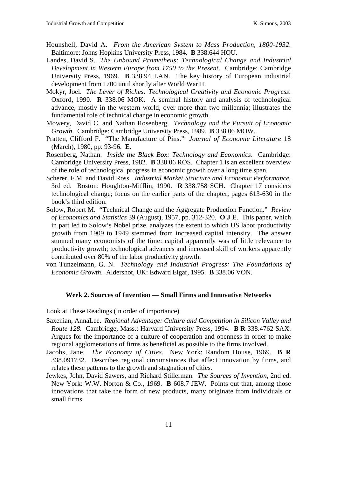- Hounshell, David A. *From the American System to Mass Production, 1800-1932*. Baltimore: Johns Hopkins University Press, 1984. **B** 338.644 HOU.
- Landes, David S. *The Unbound Prometheus: Technological Change and Industrial Development in Western Europe from 1750 to the Present*. Cambridge: Cambridge University Press, 1969. **B** 338.94 LAN. The key history of European industrial development from 1700 until shortly after World War II.
- Mokyr, Joel. *The Lever of Riches: Technological Creativity and Economic Progress*. Oxford, 1990. **R** 338.06 MOK. A seminal history and analysis of technological advance, mostly in the western world, over more than two millennia; illustrates the fundamental role of technical change in economic growth.
- Mowery, David C. and Nathan Rosenberg. *Technology and the Pursuit of Economic Growth*. Cambridge: Cambridge University Press, 1989. **B** 338.06 MOW.
- Pratten, Clifford F. "The Manufacture of Pins." *Journal of Economic Literature* 18 (March), 1980, pp. 93-96. **E**.
- Rosenberg, Nathan. *Inside the Black Box: Technology and Economics*. Cambridge: Cambridge University Press, 1982. **B** 338.06 ROS. Chapter 1 is an excellent overview of the role of technological progress in economic growth over a long time span.
- Scherer, F.M. and David Ross*. Industrial Market Structure and Economic Performance*, 3rd ed. Boston: Houghton-Mifflin, 1990. **R** 338.758 SCH. Chapter 17 considers technological change; focus on the earlier parts of the chapter, pages 613-630 in the book's third edition.
- Solow, Robert M. "Technical Change and the Aggregate Production Function." *Review of Economics and Statistics* 39 (August), 1957, pp. 312-320. **O J E**. This paper, which in part led to Solow's Nobel prize, analyzes the extent to which US labor productivity growth from 1909 to 1949 stemmed from increased capital intensity. The answer stunned many economists of the time: capital apparently was of little relevance to productivity growth; technological advances and increased skill of workers apparently contributed over 80% of the labor productivity growth.
- von Tunzelmann, G. N. *Technology and Industrial Progress: The Foundations of Economic Growth*. Aldershot, UK: Edward Elgar, 1995. **B** 338.06 VON.

#### **Week 2. Sources of Invention — Small Firms and Innovative Networks**

- Saxenian, AnnaLee. *Regional Advantage: Culture and Competition in Silicon Valley and Route 128*. Cambridge, Mass.: Harvard University Press, 1994. **B R** 338.4762 SAX. Argues for the importance of a culture of cooperation and openness in order to make regional agglomerations of firms as beneficial as possible to the firms involved.
- Jacobs, Jane. *The Economy of Cities*. New York: Random House, 1969. **B R** 338.091732. Describes regional circumstances that affect innovation by firms, and relates these patterns to the growth and stagnation of cities.
- Jewkes, John, David Sawers, and Richard Stillerman. *The Sources of Invention*, 2nd ed. New York: W.W. Norton & Co., 1969. **B** 608.7 JEW. Points out that, among those innovations that take the form of new products, many originate from individuals or small firms.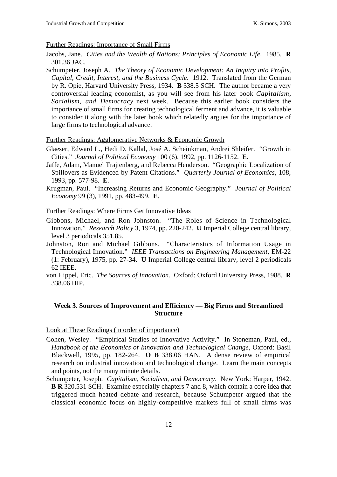#### Further Readings: Importance of Small Firms

- Jacobs, Jane. *Cities and the Wealth of Nations: Principles of Economic Life*. 1985. **R** 301.36 JAC.
- Schumpeter, Joseph A. *The Theory of Economic Development: An Inquiry into Profits, Capital, Credit, Interest, and the Business Cycle*. 1912. Translated from the German by R. Opie, Harvard University Press, 1934. **B** 338.5 SCH. The author became a very controversial leading economist, as you will see from his later book *Capitalism, Socialism, and Democracy* next week. Because this earlier book considers the importance of small firms for creating technological ferment and advance, it is valuable to consider it along with the later book which relatedly argues for the importance of large firms to technological advance.

#### Further Readings: Agglomerative Networks & Economic Growth

- Glaeser, Edward L., Hedi D. Kallal, José A. Scheinkman, Andrei Shleifer. "Growth in Cities." *Journal of Political Economy* 100 (6), 1992, pp. 1126-1152. **E**.
- Jaffe, Adam, Manuel Trajtenberg, and Rebecca Henderson. "Geographic Localization of Spillovers as Evidenced by Patent Citations." *Quarterly Journal of Economics*, 108, 1993, pp. 577-98. **E**.
- Krugman, Paul. "Increasing Returns and Economic Geography." *Journal of Political Economy* 99 (3), 1991, pp. 483-499. **E**.

#### Further Readings: Where Firms Get Innovative Ideas

- Gibbons, Michael, and Ron Johnston. "The Roles of Science in Technological Innovation." *Research Policy* 3, 1974, pp. 220-242. **U** Imperial College central library, level 3 periodicals 351.85.
- Johnston, Ron and Michael Gibbons. "Characteristics of Information Usage in Technological Innovation." *IEEE Transactions on Engineering Management*, EM-22 (1: February), 1975, pp. 27-34. **U** Imperial College central library, level 2 periodicals 62 IEEE.
- von Hippel, Eric. *The Sources of Innovation*. Oxford: Oxford University Press, 1988. **R** 338.06 HIP.

#### **Week 3. Sources of Improvement and Efficiency — Big Firms and Streamlined Structure**

- Cohen, Wesley. "Empirical Studies of Innovative Activity." In Stoneman, Paul, ed., *Handbook of the Economics of Innovation and Technological Change*, Oxford: Basil Blackwell, 1995, pp. 182-264. **O B** 338.06 HAN. A dense review of empirical research on industrial innovation and technological change. Learn the main concepts and points, not the many minute details.
- Schumpeter, Joseph. *Capitalism, Socialism, and Democracy*. New York: Harper, 1942. **B R** 320.531 SCH. Examine especially chapters 7 and 8, which contain a core idea that triggered much heated debate and research, because Schumpeter argued that the classical economic focus on highly-competitive markets full of small firms was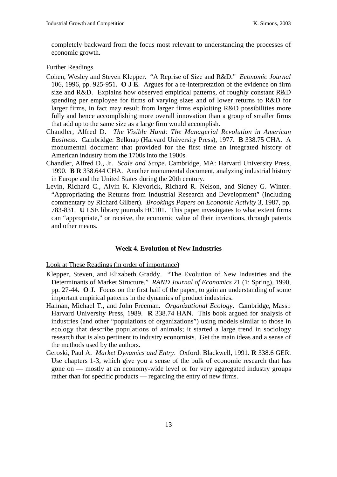completely backward from the focus most relevant to understanding the processes of economic growth.

#### Further Readings

- Cohen, Wesley and Steven Klepper. "A Reprise of Size and R&D." *Economic Journal* 106, 1996, pp. 925-951. **O J E**. Argues for a re-interpretation of the evidence on firm size and R&D. Explains how observed empirical patterns, of roughly constant R&D spending per employee for firms of varying sizes and of lower returns to R&D for larger firms, in fact may result from larger firms exploiting R&D possibilities more fully and hence accomplishing more overall innovation than a group of smaller firms that add up to the same size as a large firm would accomplish.
- Chandler, Alfred D. *The Visible Hand: The Managerial Revolution in American Business*. Cambridge: Belknap (Harvard University Press), 1977. **B** 338.75 CHA. A monumental document that provided for the first time an integrated history of American industry from the 1700s into the 1900s.
- Chandler, Alfred D., Jr. *Scale and Scope*. Cambridge, MA: Harvard University Press, 1990. **B R** 338.644 CHA. Another monumental document, analyzing industrial history in Europe and the United States during the 20th century.
- Levin, Richard C., Alvin K. Klevorick, Richard R. Nelson, and Sidney G. Winter. "Appropriating the Returns from Industrial Research and Development" (including commentary by Richard Gilbert). *Brookings Papers on Economic Activity* 3, 1987, pp. 783-831. **U** LSE library journals HC101. This paper investigates to what extent firms can "appropriate," or receive, the economic value of their inventions, through patents and other means.

#### **Week 4. Evolution of New Industries**

- Klepper, Steven, and Elizabeth Graddy. "The Evolution of New Industries and the Determinants of Market Structure." *RAND Journal of Economics* 21 (1: Spring), 1990, pp. 27-44. **O J**. Focus on the first half of the paper, to gain an understanding of some important empirical patterns in the dynamics of product industries.
- Hannan, Michael T., and John Freeman. *Organizational Ecology*. Cambridge, Mass.: Harvard University Press, 1989. **R** 338.74 HAN. This book argued for analysis of industries (and other "populations of organizations") using models similar to those in ecology that describe populations of animals; it started a large trend in sociology research that is also pertinent to industry economists. Get the main ideas and a sense of the methods used by the authors.
- Geroski, Paul A. *Market Dynamics and Entry*. Oxford: Blackwell, 1991. **R** 338.6 GER. Use chapters 1-3, which give you a sense of the bulk of economic research that has gone on — mostly at an economy-wide level or for very aggregated industry groups rather than for specific products — regarding the entry of new firms.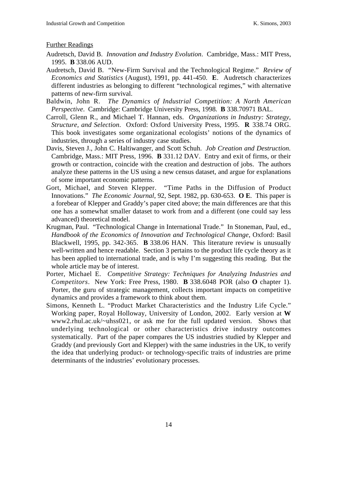- Audretsch, David B. *Innovation and Industry Evolution*. Cambridge, Mass.: MIT Press, 1995. **B** 338.06 AUD.
- Audretsch, David B. "New-Firm Survival and the Technological Regime." *Review of Economics and Statistics* (August), 1991, pp. 441-450. **E**. Audretsch characterizes different industries as belonging to different "technological regimes," with alternative patterns of new-firm survival.
- Baldwin, John R. *The Dynamics of Industrial Competition: A North American Perspective*. Cambridge: Cambridge University Press, 1998. **B** 338.70971 BAL.
- Carroll, Glenn R., and Michael T. Hannan, eds. *Organizations in Industry: Strategy, Structure, and Selection*. Oxford: Oxford University Press, 1995. **R** 338.74 ORG. This book investigates some organizational ecologists' notions of the dynamics of industries, through a series of industry case studies.
- Davis, Steven J., John C. Haltiwanger, and Scott Schuh. *Job Creation and Destruction*. Cambridge, Mass.: MIT Press, 1996. **B** 331.12 DAV. Entry and exit of firms, or their growth or contraction, coincide with the creation and destruction of jobs. The authors analyze these patterns in the US using a new census dataset, and argue for explanations of some important economic patterns.
- Gort, Michael, and Steven Klepper. "Time Paths in the Diffusion of Product Innovations." *The Economic Journal*, 92, Sept. 1982, pp. 630-653. **O E**. This paper is a forebear of Klepper and Graddy's paper cited above; the main differences are that this one has a somewhat smaller dataset to work from and a different (one could say less advanced) theoretical model.
- Krugman, Paul. "Technological Change in International Trade." In Stoneman, Paul, ed., *Handbook of the Economics of Innovation and Technological Change*, Oxford: Basil Blackwell, 1995, pp. 342-365. **B** 338.06 HAN. This literature review is unusually well-written and hence readable. Section 3 pertains to the product life cycle theory as it has been applied to international trade, and is why I'm suggesting this reading. But the whole article may be of interest.
- Porter, Michael E. *Competitive Strategy: Techniques for Analyzing Industries and Competitors*. New York: Free Press, 1980. **B** 338.6048 POR (also **O** chapter 1). Porter, the guru of strategic management, collects important impacts on competitive dynamics and provides a framework to think about them.
- Simons, Kenneth L. "Product Market Characteristics and the Industry Life Cycle." Working paper, Royal Holloway, University of London, 2002. Early version at **W** www2.rhul.ac.uk/~uhss021, or ask me for the full updated version. Shows that underlying technological or other characteristics drive industry outcomes systematically. Part of the paper compares the US industries studied by Klepper and Graddy (and previously Gort and Klepper) with the same industries in the UK, to verify the idea that underlying product- or technology-specific traits of industries are prime determinants of the industries' evolutionary processes.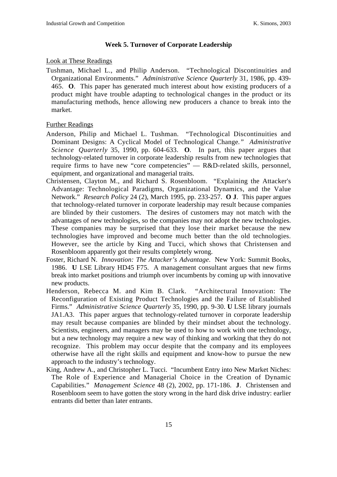#### **Week 5. Turnover of Corporate Leadership**

#### Look at These Readings

Tushman, Michael L., and Philip Anderson. "Technological Discontinuities and Organizational Environments." *Administrative Science Quarterly* 31, 1986, pp. 439- 465. **O**. This paper has generated much interest about how existing producers of a product might have trouble adapting to technological changes in the product or its manufacturing methods, hence allowing new producers a chance to break into the market.

- Anderson, Philip and Michael L. Tushman. "Technological Discontinuities and Dominant Designs: A Cyclical Model of Technological Change*." Administrative Science Quarterly* 35, 1990, pp. 604-633. **O**. In part, this paper argues that technology-related turnover in corporate leadership results from new technologies that require firms to have new "core competencies" — R&D-related skills, personnel, equipment, and organizational and managerial traits.
- Christensen, Clayton M., and Richard S. Rosenbloom. "Explaining the Attacker's Advantage: Technological Paradigms, Organizational Dynamics, and the Value Network." *Research Policy* 24 (2), March 1995, pp. 233-257. **O J**. This paper argues that technology-related turnover in corporate leadership may result because companies are blinded by their customers. The desires of customers may not match with the advantages of new technologies, so the companies may not adopt the new technologies. These companies may be surprised that they lose their market because the new technologies have improved and become much better than the old technologies. However, see the article by King and Tucci, which shows that Christensen and Rosenbloom apparently got their results completely wrong.
- Foster, Richard N. *Innovation: The Attacker's Advantage*. New York: Summit Books, 1986. **U** LSE Library HD45 F75. A management consultant argues that new firms break into market positions and triumph over incumbents by coming up with innovative new products.
- Henderson, Rebecca M. and Kim B. Clark. "Architectural Innovation: The Reconfiguration of Existing Product Technologies and the Failure of Established Firms." *Administrative Science Quarterly* 35, 1990, pp. 9-30. **U** LSE library journals JA1.A3. This paper argues that technology-related turnover in corporate leadership may result because companies are blinded by their mindset about the technology. Scientists, engineers, and managers may be used to how to work with one technology, but a new technology may require a new way of thinking and working that they do not recognize. This problem may occur despite that the company and its employees otherwise have all the right skills and equipment and know-how to pursue the new approach to the industry's technology.
- King, Andrew A., and Christopher L. Tucci. "Incumbent Entry into New Market Niches: The Role of Experience and Managerial Choice in the Creation of Dynamic Capabilities." *Management Science* 48 (2), 2002, pp. 171-186. **J**. Christensen and Rosenbloom seem to have gotten the story wrong in the hard disk drive industry: earlier entrants did better than later entrants.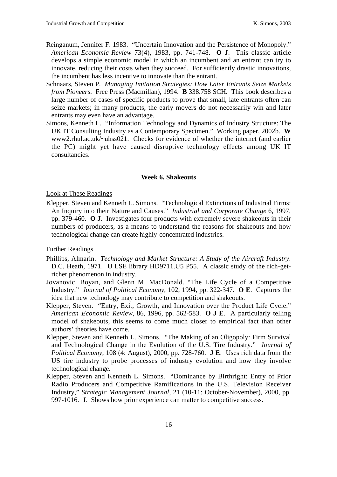- Reinganum, Jennifer F. 1983. "Uncertain Innovation and the Persistence of Monopoly." *American Economic Review* 73(4), 1983, pp. 741-748. **O J**. This classic article develops a simple economic model in which an incumbent and an entrant can try to innovate, reducing their costs when they succeed. For sufficiently drastic innovations, the incumbent has less incentive to innovate than the entrant.
- Schnaars, Steven P. *Managing Imitation Strategies: How Later Entrants Seize Markets from Pioneers*. Free Press (Macmillan), 1994. **B** 338.758 SCH. This book describes a large number of cases of specific products to prove that small, late entrants often can seize markets; in many products, the early movers do not necessarily win and later entrants may even have an advantage.
- Simons, Kenneth L. "Information Technology and Dynamics of Industry Structure: The UK IT Consulting Industry as a Contemporary Specimen." Working paper, 2002b. **W** www2.rhul.ac.uk/~uhss021. Checks for evidence of whether the internet (and earlier the PC) might yet have caused disruptive technology effects among UK IT consultancies.

#### **Week 6. Shakeouts**

Look at These Readings

Klepper, Steven and Kenneth L. Simons. "Technological Extinctions of Industrial Firms: An Inquiry into their Nature and Causes." *Industrial and Corporate Change* 6, 1997, pp. 379-460. **O J**. Investigates four products with extremely severe shakeouts in their numbers of producers, as a means to understand the reasons for shakeouts and how technological change can create highly-concentrated industries.

- Phillips, Almarin. *Technology and Market Structure: A Study of the Aircraft Industry*. D.C. Heath, 1971. **U** LSE library HD9711.U5 P55. A classic study of the rich-getricher phenomenon in industry.
- Jovanovic, Boyan, and Glenn M. MacDonald. "The Life Cycle of a Competitive Industry." *Journal of Political Economy*, 102, 1994, pp. 322-347. **O E**. Captures the idea that new technology may contribute to competition and shakeouts.
- Klepper, Steven. "Entry, Exit, Growth, and Innovation over the Product Life Cycle." *American Economic Review*, 86, 1996, pp. 562-583. **O J E**. A particularly telling model of shakeouts, this seems to come much closer to empirical fact than other authors' theories have come.
- Klepper, Steven and Kenneth L. Simons. "The Making of an Oligopoly: Firm Survival and Technological Change in the Evolution of the U.S. Tire Industry." *Journal of Political Economy*, 108 (4: August), 2000, pp. 728-760. **J E**. Uses rich data from the US tire industry to probe processes of industry evolution and how they involve technological change.
- Klepper, Steven and Kenneth L. Simons. "Dominance by Birthright: Entry of Prior Radio Producers and Competitive Ramifications in the U.S. Television Receiver Industry," *Strategic Management Journal*, 21 (10-11: October-November), 2000, pp. 997-1016. **J**. Shows how prior experience can matter to competitive success.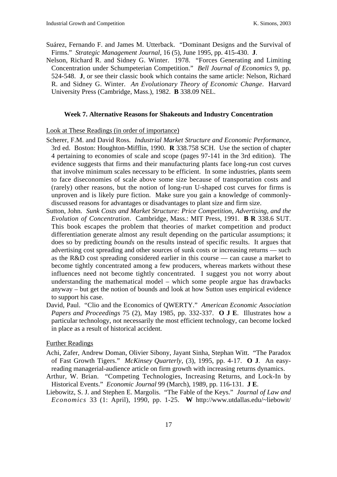- Suárez, Fernando F. and James M. Utterback. "Dominant Designs and the Survival of Firms." *Strategic Management Journal*, 16 (5), June 1995, pp. 415-430. **J**.
- Nelson, Richard R. and Sidney G. Winter. 1978. "Forces Generating and Limiting Concentration under Schumpeterian Competition." *Bell Journal of Economics* 9, pp. 524-548. **J**, or see their classic book which contains the same article: Nelson, Richard R. and Sidney G. Winter. *An Evolutionary Theory of Economic Change*. Harvard University Press (Cambridge, Mass.), 1982. **B** 338.09 NEL.

#### **Week 7. Alternative Reasons for Shakeouts and Industry Concentration**

Look at These Readings (in order of importance)

- Scherer, F.M. and David Ross*. Industrial Market Structure and Economic Performance*, 3rd ed. Boston: Houghton-Mifflin, 1990. **R** 338.758 SCH. Use the section of chapter 4 pertaining to economies of scale and scope (pages 97-141 in the 3rd edition). The evidence suggests that firms and their manufacturing plants face long-run cost curves that involve minimum scales necessary to be efficient. In some industries, plants seem to face diseconomies of scale above some size because of transportation costs and (rarely) other reasons, but the notion of long-run U-shaped cost curves for firms is unproven and is likely pure fiction. Make sure you gain a knowledge of commonlydiscussed reasons for advantages or disadvantages to plant size and firm size.
- Sutton, John. *Sunk Costs and Market Structure: Price Competition, Advertising, and the Evolution of Concentration*. Cambridge, Mass.: MIT Press, 1991. **B R** 338.6 SUT. This book escapes the problem that theories of market competition and product differentiation generate almost any result depending on the particular assumptions; it does so by predicting *bounds* on the results instead of specific results. It argues that advertising cost spreading and other sources of sunk costs or increasing returns — such as the R&D cost spreading considered earlier in this course — can cause a market to become tightly concentrated among a few producers, whereas markets without these influences need not become tightly concentrated. I suggest you not worry about understanding the mathematical model – which some people argue has drawbacks anyway – but get the notion of bounds and look at how Sutton uses empirical evidence to support his case.
- David, Paul. "Clio and the Economics of QWERTY." *American Economic Association Papers and Proceedings* 75 (2), May 1985, pp. 332-337. **O J E**. Illustrates how a particular technology, not necessarily the most efficient technology, can become locked in place as a result of historical accident.

- Achi, Zafer, Andrew Doman, Olivier Sibony, Jayant Sinha, Stephan Witt. "The Paradox of Fast Growth Tigers." *McKinsey Quarterly*, (3), 1995, pp. 4-17. **O J**. An easyreading managerial-audience article on firm growth with increasing returns dynamics.
- Arthur, W. Brian. "Competing Technologies, Increasing Returns, and Lock-In by Historical Events." *Economic Journal* 99 (March), 1989, pp. 116-131. **J E**.
- Liebowitz, S. J. and Stephen E. Margolis. "The Fable of the Keys." *Journal of Law and Economics* 33 (1: April), 1990, pp. 1-25. **W** http://www.utdallas.edu/~liebowit/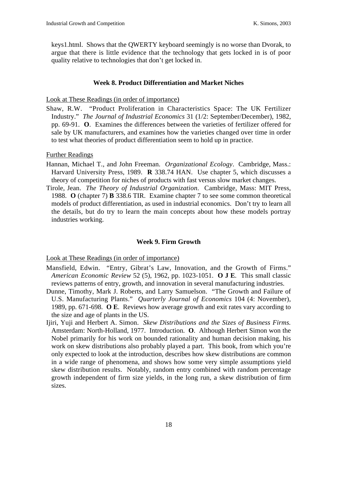keys1.html. Shows that the QWERTY keyboard seemingly is no worse than Dvorak, to argue that there is little evidence that the technology that gets locked in is of poor quality relative to technologies that don't get locked in.

#### **Week 8. Product Differentiation and Market Niches**

#### Look at These Readings (in order of importance)

Shaw, R.W. "Product Proliferation in Characteristics Space: The UK Fertilizer Industry." *The Journal of Industrial Economics* 31 (1/2: September/December), 1982, pp. 69-91. **O**. Examines the differences between the varieties of fertilizer offered for sale by UK manufacturers, and examines how the varieties changed over time in order to test what theories of product differentiation seem to hold up in practice.

#### Further Readings

- Hannan, Michael T., and John Freeman. *Organizational Ecology*. Cambridge, Mass.: Harvard University Press, 1989. **R** 338.74 HAN. Use chapter 5, which discusses a theory of competition for niches of products with fast versus slow market changes.
- Tirole, Jean. *The Theory of Industrial Organization*. Cambridge, Mass: MIT Press, 1988. **O** (chapter 7) **B** 338.6 TIR. Examine chapter 7 to see some common theoretical models of product differentiation, as used in industrial economics. Don't try to learn all the details, but do try to learn the main concepts about how these models portray industries working.

#### **Week 9. Firm Growth**

- Mansfield, Edwin. "Entry, Gibrat's Law, Innovation, and the Growth of Firms." *American Economic Review* 52 (5), 1962, pp. 1023-1051. **O J E**. This small classic reviews patterns of entry, growth, and innovation in several manufacturing industries.
- Dunne, Timothy, Mark J. Roberts, and Larry Samuelson. "The Growth and Failure of U.S. Manufacturing Plants." *Quarterly Journal of Economics* 104 (4: November), 1989, pp. 671-698. **O E**. Reviews how average growth and exit rates vary according to the size and age of plants in the US.
- Ijiri, Yuji and Herbert A. Simon. *Skew Distributions and the Sizes of Business Firms*. Amsterdam: North-Holland, 1977. Introduction. **O**. Although Herbert Simon won the Nobel primarily for his work on bounded rationality and human decision making, his work on skew distributions also probably played a part. This book, from which you're only expected to look at the introduction, describes how skew distributions are common in a wide range of phenomena, and shows how some very simple assumptions yield skew distribution results. Notably, random entry combined with random percentage growth independent of firm size yields, in the long run, a skew distribution of firm sizes.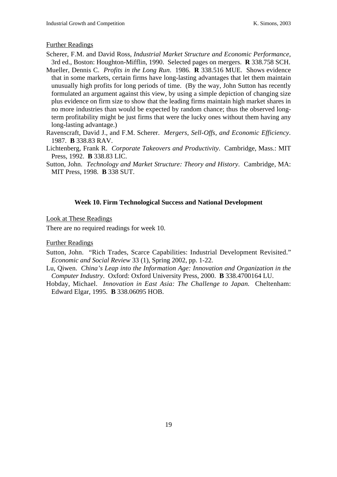#### Further Readings

- Scherer, F.M. and David Ross*, Industrial Market Structure and Economic Performance*, 3rd ed., Boston: Houghton-Mifflin, 1990. Selected pages on mergers. **R** 338.758 SCH.
- Mueller, Dennis C. *Profits in the Long Run*. 1986. **R** 338.516 MUE. Shows evidence that in some markets, certain firms have long-lasting advantages that let them maintain unusually high profits for long periods of time. (By the way, John Sutton has recently formulated an argument against this view, by using a simple depiction of changing size plus evidence on firm size to show that the leading firms maintain high market shares in no more industries than would be expected by random chance; thus the observed longterm profitability might be just firms that were the lucky ones without them having any long-lasting advantage.)
- Ravenscraft, David J., and F.M. Scherer. *Mergers, Sell-Offs, and Economic Efficiency*. 1987. **B** 338.83 RAV.
- Lichtenberg, Frank R. *Corporate Takeovers and Productivity*. Cambridge, Mass.: MIT Press, 1992. **B** 338.83 LIC.
- Sutton, John. *Technology and Market Structure: Theory and History*. Cambridge, MA: MIT Press, 1998. **B** 338 SUT.

#### **Week 10. Firm Technological Success and National Development**

Look at These Readings

There are no required readings for week 10.

- Sutton, John. "Rich Trades, Scarce Capabilities: Industrial Development Revisited." *Economic and Social Review* 33 (1), Spring 2002, pp. 1-22.
- Lu, Qiwen. *China's Leap into the Information Age: Innovation and Organization in the Computer Industry*. Oxford: Oxford University Press, 2000. **B** 338.4700164 LU.
- Hobday, Michael. *Innovation in East Asia: The Challenge to Japan*. Cheltenham: Edward Elgar, 1995. **B** 338.06095 HOB.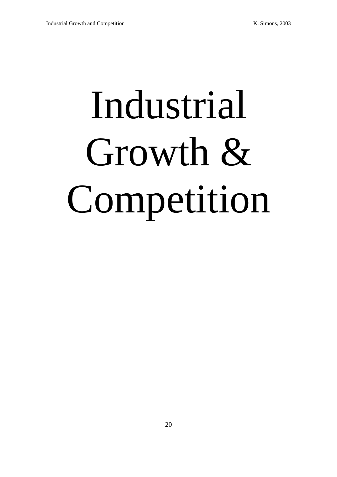# Industrial Growth & Competition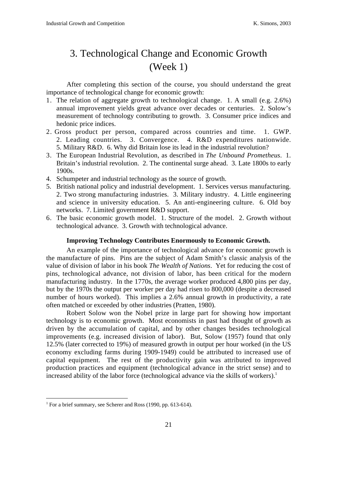#### 3. Technological Change and Economic Growth (Week 1)

After completing this section of the course, you should understand the great importance of technological change for economic growth:

- 1. The relation of aggregate growth to technological change. 1. A small (e.g. 2.6%) annual improvement yields great advance over decades or centuries. 2. Solow's measurement of technology contributing to growth. 3. Consumer price indices and hedonic price indices.
- 2. Gross product per person, compared across countries and time. 1. GWP. 2. Leading countries. 3. Convergence. 4. R&D expenditures nationwide. 5. Military R&D. 6. Why did Britain lose its lead in the industrial revolution?
- 3. The European Industrial Revolution, as described in *The Unbound Prometheus*. 1. Britain's industrial revolution. 2. The continental surge ahead. 3. Late 1800s to early 1900s.
- 4. Schumpeter and industrial technology as the source of growth.
- 5. British national policy and industrial development. 1. Services versus manufacturing. 2. Two strong manufacturing industries. 3. Military industry. 4. Little engineering and science in university education. 5. An anti-engineering culture. 6. Old boy networks. 7. Limited government R&D support.
- 6. The basic economic growth model. 1. Structure of the model. 2. Growth without technological advance. 3. Growth with technological advance.

#### **Improving Technology Contributes Enormously to Economic Growth.**

An example of the importance of technological advance for economic growth is the manufacture of pins. Pins are the subject of Adam Smith's classic analysis of the value of division of labor in his book *The Wealth of Nations*. Yet for reducing the cost of pins, technological advance, not division of labor, has been critical for the modern manufacturing industry. In the 1770s, the average worker produced 4,800 pins per day, but by the 1970s the output per worker per day had risen to 800,000 (despite a decreased number of hours worked). This implies a 2.6% annual growth in productivity, a rate often matched or exceeded by other industries (Pratten, 1980).

Robert Solow won the Nobel prize in large part for showing how important technology is to economic growth. Most economists in past had thought of growth as driven by the accumulation of capital, and by other changes besides technological improvements (e.g. increased division of labor). But, Solow (1957) found that only 12.5% (later corrected to 19%) of measured growth in output per hour worked (in the US economy excluding farms during 1909-1949) could be attributed to increased use of capital equipment. The rest of the productivity gain was attributed to improved production practices and equipment (technological advance in the strict sense) and to increased ability of the labor force (technological advance via the skills of workers).<sup>1</sup>

 $\frac{1}{1}$ <sup>1</sup> For a brief summary, see Scherer and Ross (1990, pp. 613-614).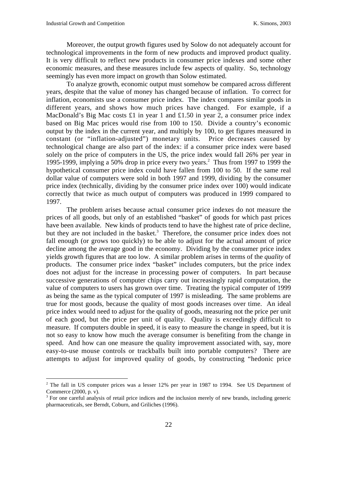Moreover, the output growth figures used by Solow do not adequately account for technological improvements in the form of new products and improved product quality. It is very difficult to reflect new products in consumer price indexes and some other economic measures, and these measures include few aspects of quality. So, technology seemingly has even more impact on growth than Solow estimated.

To analyze growth, economic output must somehow be compared across different years, despite that the value of money has changed because of inflation. To correct for inflation, economists use a consumer price index. The index compares similar goods in different years, and shows how much prices have changed. For example, if a MacDonald's Big Mac costs £1 in year 1 and £1.50 in year 2, a consumer price index based on Big Mac prices would rise from 100 to 150. Divide a country's economic output by the index in the current year, and multiply by 100, to get figures measured in constant (or "inflation-adjusted") monetary units. Price decreases caused by technological change are also part of the index: if a consumer price index were based solely on the price of computers in the US, the price index would fall 26% per year in 1995-1999, implying a 50% drop in price every two years.<sup>2</sup> Thus from 1997 to 1999 the hypothetical consumer price index could have fallen from 100 to 50. If the same real dollar value of computers were sold in both 1997 and 1999, dividing by the consumer price index (technically, dividing by the consumer price index over 100) would indicate correctly that twice as much output of computers was produced in 1999 compared to 1997.

The problem arises because actual consumer price indexes do not measure the prices of all goods, but only of an established "basket" of goods for which past prices have been available. New kinds of products tend to have the highest rate of price decline, but they are not included in the basket.<sup>3</sup> Therefore, the consumer price index does not fall enough (or grows too quickly) to be able to adjust for the actual amount of price decline among the average good in the economy. Dividing by the consumer price index yields growth figures that are too low. A similar problem arises in terms of the *quality* of products. The consumer price index "basket" includes computers, but the price index does not adjust for the increase in processing power of computers. In part because successive generations of computer chips carry out increasingly rapid computation, the value of computers to users has grown over time. Treating the typical computer of 1999 as being the same as the typical computer of 1997 is misleading. The same problems are true for most goods, because the quality of most goods increases over time. An ideal price index would need to adjust for the quality of goods, measuring not the price per unit of each good, but the price per unit of quality. Quality is exceedingly difficult to measure. If computers double in speed, it is easy to measure the change in speed, but it is not so easy to know how much the average consumer is benefiting from the change in speed. And how can one measure the quality improvement associated with, say, more easy-to-use mouse controls or trackballs built into portable computers? There are attempts to adjust for improved quality of goods, by constructing "hedonic price

<sup>&</sup>lt;sup>2</sup> The fall in US computer prices was a lesser 12% per year in 1987 to 1994. See US Department of Commerce (2000, p. v).

<sup>&</sup>lt;sup>3</sup> For one careful analysis of retail price indices and the inclusion merely of new brands, including generic pharmaceuticals, see Berndt, Coburn, and Griliches (1996).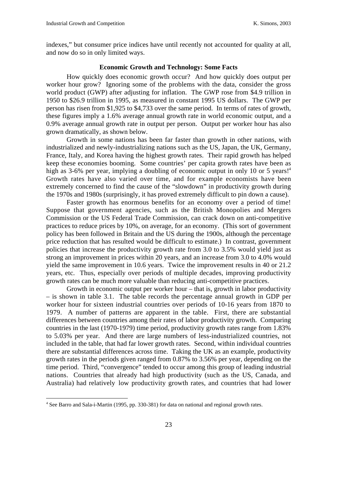indexes," but consumer price indices have until recently not accounted for quality at all, and now do so in only limited ways.

#### **Economic Growth and Technology: Some Facts**

How quickly does economic growth occur? And how quickly does output per worker hour grow? Ignoring some of the problems with the data, consider the gross world product (GWP) after adjusting for inflation. The GWP rose from \$4.9 trillion in 1950 to \$26.9 trillion in 1995, as measured in constant 1995 US dollars. The GWP per person has risen from \$1,925 to \$4,733 over the same period. In terms of rates of growth, these figures imply a 1.6% average annual growth rate in world economic output, and a 0.9% average annual growth rate in output per person. Output per worker hour has also grown dramatically, as shown below.

Growth in some nations has been far faster than growth in other nations, with industrialized and newly-industrializing nations such as the US, Japan, the UK, Germany, France, Italy, and Korea having the highest growth rates. Their rapid growth has helped keep these economies booming. Some countries' per capita growth rates have been as high as 3-6% per year, implying a doubling of economic output in only 10 or 5 years!<sup>4</sup> Growth rates have also varied over time, and for example economists have been extremely concerned to find the cause of the "slowdown" in productivity growth during the 1970s and 1980s (surprisingly, it has proved extremely difficult to pin down a cause).

Faster growth has enormous benefits for an economy over a period of time! Suppose that government agencies, such as the British Monopolies and Mergers Commission or the US Federal Trade Commission, can crack down on anti-competitive practices to reduce prices by 10%, on average, for an economy. (This sort of government policy has been followed in Britain and the US during the 1900s, although the percentage price reduction that has resulted would be difficult to estimate.) In contrast, government policies that increase the productivity growth rate from 3.0 to 3.5% would yield just as strong an improvement in prices within 20 years, and an increase from 3.0 to 4.0% would yield the same improvement in 10.6 years. Twice the improvement results in 40 or 21.2 years, etc. Thus, especially over periods of multiple decades, improving productivity growth rates can be much more valuable than reducing anti-competitive practices.

Growth in economic output per worker hour – that is, growth in labor productivity – is shown in table 3.1. The table records the percentage annual growth in GDP per worker hour for sixteen industrial countries over periods of 10-16 years from 1870 to 1979. A number of patterns are apparent in the table. First, there are substantial differences between countries among their rates of labor productivity growth. Comparing countries in the last (1970-1979) time period, productivity growth rates range from 1.83% to 5.03% per year. And there are large numbers of less-industrialized countries, not included in the table, that had far lower growth rates. Second, within individual countries there are substantial differences across time. Taking the UK as an example, productivity growth rates in the periods given ranged from 0.87% to 3.56% per year, depending on the time period. Third, "convergence" tended to occur among this group of leading industrial nations. Countries that already had high productivity (such as the US, Canada, and Australia) had relatively low productivity growth rates, and countries that had lower

 $\frac{1}{4}$ <sup>4</sup> See Barro and Sala-i-Martin (1995, pp. 330-381) for data on national and regional growth rates.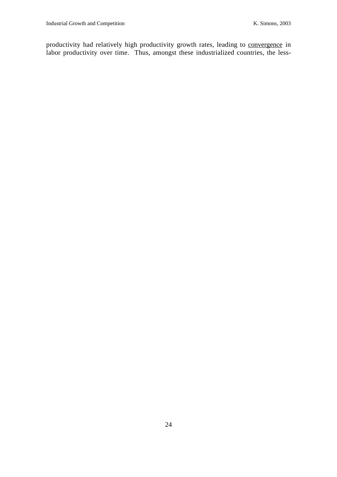productivity had relatively high productivity growth rates, leading to convergence in labor productivity over time. Thus, amongst these industrialized countries, the less-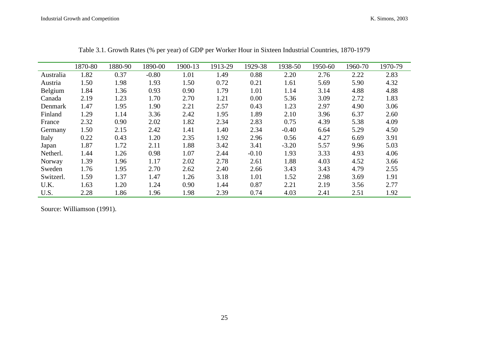|           | 1870-80 | 1880-90 | 1890-00 | 1900-13 | 1913-29 | 1929-38 | 1938-50 | 1950-60 | 1960-70 | 1970-79 |
|-----------|---------|---------|---------|---------|---------|---------|---------|---------|---------|---------|
| Australia | 1.82    | 0.37    | $-0.80$ | 1.01    | 1.49    | 0.88    | 2.20    | 2.76    | 2.22    | 2.83    |
| Austria   | 1.50    | 1.98    | 1.93    | 1.50    | 0.72    | 0.21    | 1.61    | 5.69    | 5.90    | 4.32    |
| Belgium   | 1.84    | 1.36    | 0.93    | 0.90    | 1.79    | 1.01    | 1.14    | 3.14    | 4.88    | 4.88    |
| Canada    | 2.19    | 1.23    | 1.70    | 2.70    | 1.21    | 0.00    | 5.36    | 3.09    | 2.72    | 1.83    |
| Denmark   | 1.47    | 1.95    | 1.90    | 2.21    | 2.57    | 0.43    | 1.23    | 2.97    | 4.90    | 3.06    |
| Finland   | 1.29    | 1.14    | 3.36    | 2.42    | 1.95    | 1.89    | 2.10    | 3.96    | 6.37    | 2.60    |
| France    | 2.32    | 0.90    | 2.02    | 1.82    | 2.34    | 2.83    | 0.75    | 4.39    | 5.38    | 4.09    |
| Germany   | 1.50    | 2.15    | 2.42    | 1.41    | 1.40    | 2.34    | $-0.40$ | 6.64    | 5.29    | 4.50    |
| Italy     | 0.22    | 0.43    | 1.20    | 2.35    | 1.92    | 2.96    | 0.56    | 4.27    | 6.69    | 3.91    |
| Japan     | 1.87    | 1.72    | 2.11    | 1.88    | 3.42    | 3.41    | $-3.20$ | 5.57    | 9.96    | 5.03    |
| Netherl.  | 1.44    | 1.26    | 0.98    | 1.07    | 2.44    | $-0.10$ | 1.93    | 3.33    | 4.93    | 4.06    |
| Norway    | 1.39    | 1.96    | 1.17    | 2.02    | 2.78    | 2.61    | 1.88    | 4.03    | 4.52    | 3.66    |
| Sweden    | 1.76    | 1.95    | 2.70    | 2.62    | 2.40    | 2.66    | 3.43    | 3.43    | 4.79    | 2.55    |
| Switzerl. | 1.59    | 1.37    | 1.47    | 1.26    | 3.18    | 1.01    | 1.52    | 2.98    | 3.69    | 1.91    |
| U.K.      | 1.63    | 1.20    | 1.24    | 0.90    | 1.44    | 0.87    | 2.21    | 2.19    | 3.56    | 2.77    |
| U.S.      | 2.28    | 1.86    | 1.96    | 1.98    | 2.39    | 0.74    | 4.03    | 2.41    | 2.51    | 1.92    |

Table 3.1. Growth Rates (% per year) of GDP per Worker Hour in Sixteen Industrial Countries, 1870-1979

Source: Williamson (1991).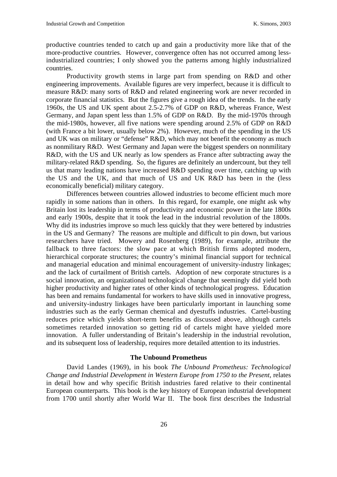productive countries tended to catch up and gain a productivity more like that of the more-productive countries. However, convergence often has not occurred among lessindustrialized countries; I only showed you the patterns among highly industrialized countries.

Productivity growth stems in large part from spending on R&D and other engineering improvements. Available figures are very imperfect, because it is difficult to measure R&D: many sorts of R&D and related engineering work are never recorded in corporate financial statistics. But the figures give a rough idea of the trends. In the early 1960s, the US and UK spent about 2.5-2.7% of GDP on R&D, whereas France, West Germany, and Japan spent less than 1.5% of GDP on R&D. By the mid-1970s through the mid-1980s, however, all five nations were spending around 2.5% of GDP on R&D (with France a bit lower, usually below 2%). However, much of the spending in the US and UK was on military or "defense" R&D, which may not benefit the economy as much as nonmilitary R&D. West Germany and Japan were the biggest spenders on nonmilitary R&D, with the US and UK nearly as low spenders as France after subtracting away the military-related R&D spending. So, the figures are definitely an undercount, but they tell us that many leading nations have increased R&D spending over time, catching up with the US and the UK, and that much of US and UK R&D has been in the (less economically beneficial) military category.

Differences between countries allowed industries to become efficient much more rapidly in some nations than in others. In this regard, for example, one might ask why Britain lost its leadership in terms of productivity and economic power in the late 1800s and early 1900s, despite that it took the lead in the industrial revolution of the 1800s. Why did its industries improve so much less quickly that they were bettered by industries in the US and Germany? The reasons are multiple and difficult to pin down, but various researchers have tried. Mowery and Rosenberg (1989), for example, attribute the fallback to three factors: the slow pace at which British firms adopted modern, hierarchical corporate structures; the country's minimal financial support for technical and managerial education and minimal encouragement of university-industry linkages; and the lack of curtailment of British cartels. Adoption of new corporate structures is a social innovation, an organizational technological change that seemingly did yield both higher productivity and higher rates of other kinds of technological progress. Education has been and remains fundamental for workers to have skills used in innovative progress, and university-industry linkages have been particularly important in launching some industries such as the early German chemical and dyestuffs industries. Cartel-busting reduces price which yields short-term benefits as discussed above, although cartels sometimes retarded innovation so getting rid of cartels might have yielded more innovation. A fuller understanding of Britain's leadership in the industrial revolution, and its subsequent loss of leadership, requires more detailed attention to its industries.

#### **The Unbound Prometheus**

David Landes (1969), in his book *The Unbound Prometheus: Technological Change and Industrial Development in Western Europe from 1750 to the Present*, relates in detail how and why specific British industries fared relative to their continental European counterparts. This book is the key history of European industrial development from 1700 until shortly after World War II. The book first describes the Industrial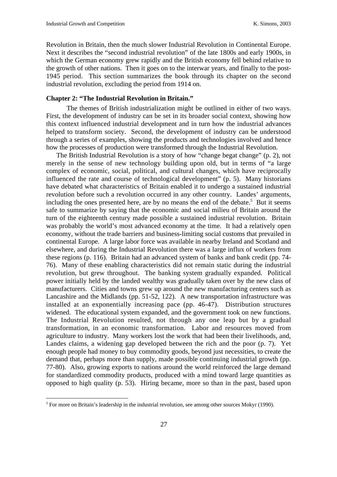Revolution in Britain, then the much slower Industrial Revolution in Continental Europe. Next it describes the "second industrial revolution" of the late 1800s and early 1900s, in which the German economy grew rapidly and the British economy fell behind relative to the growth of other nations. Then it goes on to the interwar years, and finally to the post-1945 period. This section summarizes the book through its chapter on the second industrial revolution, excluding the period from 1914 on.

#### **Chapter 2: "The Industrial Revolution in Britain."**

The themes of British industrialization might be outlined in either of two ways. First, the development of industry can be set in its broader social context, showing how this context influenced industrial development and in turn how the industrial advances helped to transform society. Second, the development of industry can be understood through a series of examples, showing the products and technologies involved and hence how the processes of production were transformed through the Industrial Revolution.

The British Industrial Revolution is a story of how "change begat change" (p. 2), not merely in the sense of new technology building upon old, but in terms of "a large complex of economic, social, political, and cultural changes, which have reciprocally influenced the rate and course of technological development" (p. 5). Many historians have debated what characteristics of Britain enabled it to undergo a sustained industrial revolution before such a revolution occurred in any other country. Landes' arguments, including the ones presented here, are by no means the end of the debate.<sup>5</sup> But it seems safe to summarize by saying that the economic and social milieu of Britain around the turn of the eighteenth century made possible a sustained industrial revolution. Britain was probably the world's most advanced economy at the time. It had a relatively open economy, without the trade barriers and business-limiting social customs that prevailed in continental Europe. A large labor force was available in nearby Ireland and Scotland and elsewhere, and during the Industrial Revolution there was a large influx of workers from these regions (p. 116). Britain had an advanced system of banks and bank credit (pp. 74- 76). Many of these enabling characteristics did not remain static during the industrial revolution, but grew throughout. The banking system gradually expanded. Political power initially held by the landed wealthy was gradually taken over by the new class of manufacturers. Cities and towns grew up around the new manufacturing centers such as Lancashire and the Midlands (pp. 51-52, 122). A new transportation infrastructure was installed at an exponentially increasing pace (pp. 46-47). Distribution structures widened. The educational system expanded, and the government took on new functions. The Industrial Revolution resulted, not through any one leap but by a gradual transformation, in an economic transformation. Labor and resources moved from agriculture to industry. Many workers lost the work that had been their livelihoods, and, Landes claims, a widening gap developed between the rich and the poor (p. 7). Yet enough people had money to buy commodity goods, beyond just necessities, to create the demand that, perhaps more than supply, made possible continuing industrial growth (pp. 77-80). Also, growing exports to nations around the world reinforced the large demand for standardized commodity products, produced with a mind toward large quantities as opposed to high quality (p. 53). Hiring became, more so than in the past, based upon

 <sup>5</sup>  $<sup>5</sup>$  For more on Britain's leadership in the industrial revolution, see among other sources Mokyr (1990).</sup>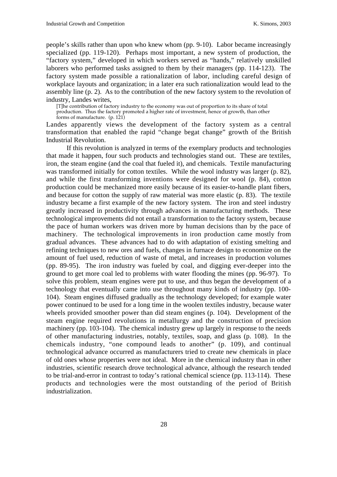people's skills rather than upon who knew whom (pp. 9-10). Labor became increasingly specialized (pp. 119-120). Perhaps most important, a new system of production, the "factory system," developed in which workers served as "hands," relatively unskilled laborers who performed tasks assigned to them by their managers (pp. 114-123). The factory system made possible a rationalization of labor, including careful design of workplace layouts and organization; in a later era such rationalization would lead to the assembly line (p. 2). As to the contribution of the new factory system to the revolution of industry, Landes writes,

[T]he contribution of factory industry to the economy was out of proportion to its share of total production. Thus the factory promoted a higher rate of investment, hence of growth, than other forms of manufacture. (p. 121)

Landes apparently views the development of the factory system as a central transformation that enabled the rapid "change begat change" growth of the British Industrial Revolution.

If this revolution is analyzed in terms of the exemplary products and technologies that made it happen, four such products and technologies stand out. These are textiles, iron, the steam engine (and the coal that fueled it), and chemicals. Textile manufacturing was transformed initially for cotton textiles. While the wool industry was larger (p. 82), and while the first transforming inventions were designed for wool (p. 84), cotton production could be mechanized more easily because of its easier-to-handle plant fibers, and because for cotton the supply of raw material was more elastic (p. 83). The textile industry became a first example of the new factory system. The iron and steel industry greatly increased in productivity through advances in manufacturing methods. These technological improvements did not entail a transformation to the factory system, because the pace of human workers was driven more by human decisions than by the pace of machinery. The technological improvements in iron production came mostly from gradual advances. These advances had to do with adaptation of existing smelting and refining techniques to new ores and fuels, changes in furnace design to economize on the amount of fuel used, reduction of waste of metal, and increases in production volumes (pp. 89-95). The iron industry was fueled by coal, and digging ever-deeper into the ground to get more coal led to problems with water flooding the mines (pp. 96-97). To solve this problem, steam engines were put to use, and thus began the development of a technology that eventually came into use throughout many kinds of industry (pp. 100- 104). Steam engines diffused gradually as the technology developed; for example water power continued to be used for a long time in the woolen textiles industry, because water wheels provided smoother power than did steam engines (p. 104). Development of the steam engine required revolutions in metallurgy and the construction of precision machinery (pp. 103-104). The chemical industry grew up largely in response to the needs of other manufacturing industries, notably, textiles, soap, and glass (p. 108). In the chemicals industry, "one compound leads to another" (p. 109), and continual technological advance occurred as manufacturers tried to create new chemicals in place of old ones whose properties were not ideal. More in the chemical industry than in other industries, scientific research drove technological advance, although the research tended to be trial-and-error in contrast to today's rational chemical science (pp. 113-114). These products and technologies were the most outstanding of the period of British industrialization.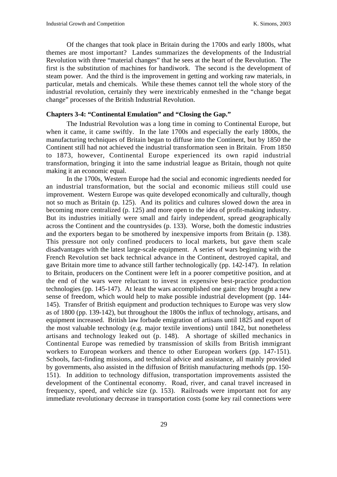Of the changes that took place in Britain during the 1700s and early 1800s, what themes are most important? Landes summarizes the developments of the Industrial Revolution with three "material changes" that he sees at the heart of the Revolution. The first is the substitution of machines for handiwork. The second is the development of steam power. And the third is the improvement in getting and working raw materials, in particular, metals and chemicals. While these themes cannot tell the whole story of the industrial revolution, certainly they were inextricably enmeshed in the "change begat change" processes of the British Industrial Revolution.

#### **Chapters 3-4: "Continental Emulation" and "Closing the Gap."**

The Industrial Revolution was a long time in coming to Continental Europe, but when it came, it came swiftly. In the late 1700s and especially the early 1800s, the manufacturing techniques of Britain began to diffuse into the Continent, but by 1850 the Continent still had not achieved the industrial transformation seen in Britain. From 1850 to 1873, however, Continental Europe experienced its own rapid industrial transformation, bringing it into the same industrial league as Britain, though not quite making it an economic equal.

In the 1700s, Western Europe had the social and economic ingredients needed for an industrial transformation, but the social and economic milieus still could use improvement. Western Europe was quite developed economically and culturally, though not so much as Britain (p. 125). And its politics and cultures slowed down the area in becoming more centralized (p. 125) and more open to the idea of profit-making industry. But its industries initially were small and fairly independent, spread geographically across the Continent and the countrysides (p. 133). Worse, both the domestic industries and the exporters began to be smothered by inexpensive imports from Britain (p. 138). This pressure not only confined producers to local markets, but gave them scale disadvantages with the latest large-scale equipment. A series of wars beginning with the French Revolution set back technical advance in the Continent, destroyed capital, and gave Britain more time to advance still farther technologically (pp. 142-147). In relation to Britain, producers on the Continent were left in a poorer competitive position, and at the end of the wars were reluctant to invest in expensive best-practice production technologies (pp. 145-147). At least the wars accomplished one gain: they brought a new sense of freedom, which would help to make possible industrial development (pp. 144- 145). Transfer of British equipment and production techniques to Europe was very slow as of 1800 (pp. 139-142), but throughout the 1800s the influx of technology, artisans, and equipment increased. British law forbade emigration of artisans until 1825 and export of the most valuable technology (e.g. major textile inventions) until 1842, but nonetheless artisans and technology leaked out (p. 148). A shortage of skilled mechanics in Continental Europe was remedied by transmission of skills from British immigrant workers to European workers and thence to other European workers (pp. 147-151). Schools, fact-finding missions, and technical advice and assistance, all mainly provided by governments, also assisted in the diffusion of British manufacturing methods (pp. 150- 151). In addition to technology diffusion, transportation improvements assisted the development of the Continental economy. Road, river, and canal travel increased in frequency, speed, and vehicle size (p. 153). Railroads were important not for any immediate revolutionary decrease in transportation costs (some key rail connections were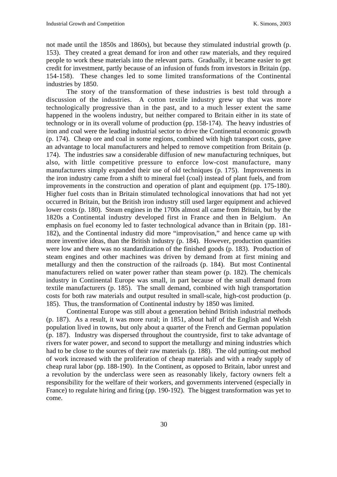not made until the 1850s and 1860s), but because they stimulated industrial growth (p. 153). They created a great demand for iron and other raw materials, and they required people to work these materials into the relevant parts. Gradually, it became easier to get credit for investment, partly because of an infusion of funds from investors in Britain (pp. 154-158). These changes led to some limited transformations of the Continental industries by 1850.

The story of the transformation of these industries is best told through a discussion of the industries. A cotton textile industry grew up that was more technologically progressive than in the past, and to a much lesser extent the same happened in the woolens industry, but neither compared to Britain either in its state of technology or in its overall volume of production (pp. 158-174). The heavy industries of iron and coal were the leading industrial sector to drive the Continental economic growth (p. 174). Cheap ore and coal in some regions, combined with high transport costs, gave an advantage to local manufacturers and helped to remove competition from Britain (p. 174). The industries saw a considerable diffusion of new manufacturing techniques, but also, with little competitive pressure to enforce low-cost manufacture, many manufacturers simply expanded their use of old techniques (p. 175). Improvements in the iron industry came from a shift to mineral fuel (coal) instead of plant fuels, and from improvements in the construction and operation of plant and equipment (pp. 175-180). Higher fuel costs than in Britain stimulated technological innovations that had not yet occurred in Britain, but the British iron industry still used larger equipment and achieved lower costs (p. 180). Steam engines in the 1700s almost all came from Britain, but by the 1820s a Continental industry developed first in France and then in Belgium. An emphasis on fuel economy led to faster technological advance than in Britain (pp. 181- 182), and the Continental industry did more "improvisation," and hence came up with more inventive ideas, than the British industry (p. 184). However, production quantities were low and there was no standardization of the finished goods (p. 183). Production of steam engines and other machines was driven by demand from at first mining and metallurgy and then the construction of the railroads (p. 184). But most Continental manufacturers relied on water power rather than steam power (p. 182). The chemicals industry in Continental Europe was small, in part because of the small demand from textile manufacturers (p. 185). The small demand, combined with high transportation costs for both raw materials and output resulted in small-scale, high-cost production (p. 185). Thus, the transformation of Continental industry by 1850 was limited.

Continental Europe was still about a generation behind British industrial methods (p. 187). As a result, it was more rural; in 1851, about half of the English and Welsh population lived in towns, but only about a quarter of the French and German population (p. 187). Industry was dispersed throughout the countryside, first to take advantage of rivers for water power, and second to support the metallurgy and mining industries which had to be close to the sources of their raw materials (p. 188). The old putting-out method of work increased with the proliferation of cheap materials and with a ready supply of cheap rural labor (pp. 188-190). In the Continent, as opposed to Britain, labor unrest and a revolution by the underclass were seen as reasonably likely, factory owners felt a responsibility for the welfare of their workers, and governments intervened (especially in France) to regulate hiring and firing (pp. 190-192). The biggest transformation was yet to come.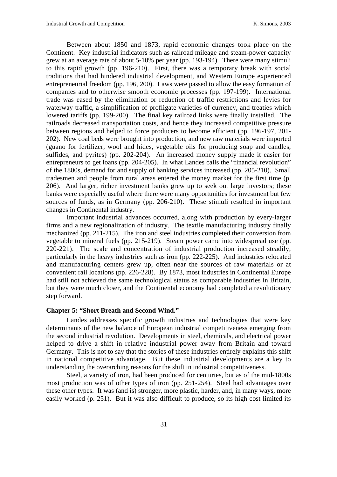Between about 1850 and 1873, rapid economic changes took place on the Continent. Key industrial indicators such as railroad mileage and steam-power capacity grew at an average rate of about 5-10% per year (pp. 193-194). There were many stimuli to this rapid growth (pp. 196-210). First, there was a temporary break with social traditions that had hindered industrial development, and Western Europe experienced entrepreneurial freedom (pp. 196, 200). Laws were passed to allow the easy formation of companies and to otherwise smooth economic processes (pp. 197-199). International trade was eased by the elimination or reduction of traffic restrictions and levies for waterway traffic, a simplification of profligate varieties of currency, and treaties which lowered tariffs (pp. 199-200). The final key railroad links were finally installed. The railroads decreased transportation costs, and hence they increased competitive pressure between regions and helped to force producers to become efficient (pp. 196-197, 201- 202). New coal beds were brought into production, and new raw materials were imported (guano for fertilizer, wool and hides, vegetable oils for producing soap and candles, sulfides, and pyrites) (pp. 202-204). An increased money supply made it easier for entrepreneurs to get loans (pp. 204-205). In what Landes calls the "financial revolution" of the 1800s, demand for and supply of banking services increased (pp. 205-210). Small tradesmen and people from rural areas entered the money market for the first time (p. 206). And larger, richer investment banks grew up to seek out large investors; these banks were especially useful where there were many opportunities for investment but few sources of funds, as in Germany (pp. 206-210). These stimuli resulted in important changes in Continental industry.

Important industrial advances occurred, along with production by every-larger firms and a new regionalization of industry. The textile manufacturing industry finally mechanized (pp. 211-215). The iron and steel industries completed their conversion from vegetable to mineral fuels (pp. 215-219). Steam power came into widespread use (pp. 220-221). The scale and concentration of industrial production increased steadily, particularly in the heavy industries such as iron (pp. 222-225). And industries relocated and manufacturing centers grew up, often near the sources of raw materials or at convenient rail locations (pp. 226-228). By 1873, most industries in Continental Europe had still not achieved the same technological status as comparable industries in Britain, but they were much closer, and the Continental economy had completed a revolutionary step forward.

#### **Chapter 5: "Short Breath and Second Wind."**

Landes addresses specific growth industries and technologies that were key determinants of the new balance of European industrial competitiveness emerging from the second industrial revolution. Developments in steel, chemicals, and electrical power helped to drive a shift in relative industrial power away from Britain and toward Germany. This is not to say that the stories of these industries entirely explains this shift in national competitive advantage. But these industrial developments are a key to understanding the overarching reasons for the shift in industrial competitiveness.

Steel, a variety of iron, had been produced for centuries, but as of the mid-1800s most production was of other types of iron (pp. 251-254). Steel had advantages over these other types. It was (and is) stronger, more plastic, harder, and, in many ways, more easily worked (p. 251). But it was also difficult to produce, so its high cost limited its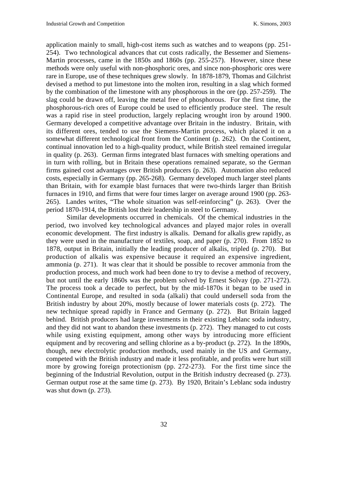application mainly to small, high-cost items such as watches and to weapons (pp. 251- 254). Two technological advances that cut costs radically, the Bessemer and Siemens-Martin processes, came in the 1850s and 1860s (pp. 255-257). However, since these methods were only useful with non-phosphoric ores, and since non-phosphoric ores were rare in Europe, use of these techniques grew slowly. In 1878-1879, Thomas and Gilchrist devised a method to put limestone into the molten iron, resulting in a slag which formed by the combination of the limestone with any phosphorous in the ore (pp. 257-259). The slag could be drawn off, leaving the metal free of phosphorous. For the first time, the phosphorous-rich ores of Europe could be used to efficiently produce steel. The result was a rapid rise in steel production, largely replacing wrought iron by around 1900. Germany developed a competitive advantage over Britain in the industry. Britain, with its different ores, tended to use the Siemens-Martin process, which placed it on a somewhat different technological front from the Continent (p. 262). On the Continent, continual innovation led to a high-quality product, while British steel remained irregular in quality (p. 263). German firms integrated blast furnaces with smelting operations and in turn with rolling, but in Britain these operations remained separate, so the German firms gained cost advantages over British producers (p. 263). Automation also reduced costs, especially in Germany (pp. 265-268). Germany developed much larger steel plants than Britain, with for example blast furnaces that were two-thirds larger than British furnaces in 1910, and firms that were four times larger on average around 1900 (pp. 263- 265). Landes writes, "The whole situation was self-reinforcing" (p. 263). Over the period 1870-1914, the British lost their leadership in steel to Germany.

Similar developments occurred in chemicals. Of the chemical industries in the period, two involved key technological advances and played major roles in overall economic development. The first industry is alkalis. Demand for alkalis grew rapidly, as they were used in the manufacture of textiles, soap, and paper (p. 270). From 1852 to 1878, output in Britain, initially the leading producer of alkalis, tripled (p. 270). But production of alkalis was expensive because it required an expensive ingredient, ammonia (p. 271). It was clear that it should be possible to recover ammonia from the production process, and much work had been done to try to devise a method of recovery, but not until the early 1860s was the problem solved by Ernest Solvay (pp. 271-272). The process took a decade to perfect, but by the mid-1870s it began to be used in Continental Europe, and resulted in soda (alkali) that could undersell soda from the British industry by about 20%, mostly because of lower materials costs (p. 272). The new technique spread rapidly in France and Germany (p. 272). But Britain lagged behind. British producers had large investments in their existing Leblanc soda industry, and they did not want to abandon these investments (p. 272). They managed to cut costs while using existing equipment, among other ways by introducing more efficient equipment and by recovering and selling chlorine as a by-product (p. 272). In the 1890s, though, new electrolytic production methods, used mainly in the US and Germany, competed with the British industry and made it less profitable, and profits were hurt still more by growing foreign protectionism (pp. 272-273). For the first time since the beginning of the Industrial Revolution, output in the British industry decreased (p. 273). German output rose at the same time (p. 273). By 1920, Britain's Leblanc soda industry was shut down (p. 273).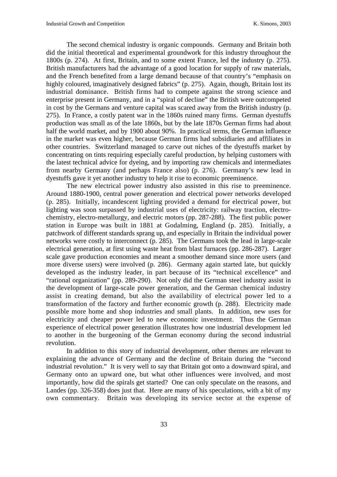The second chemical industry is organic compounds. Germany and Britain both did the initial theoretical and experimental groundwork for this industry throughout the 1800s (p. 274). At first, Britain, and to some extent France, led the industry (p. 275). British manufacturers had the advantage of a good location for supply of raw materials, and the French benefited from a large demand because of that country's "emphasis on highly coloured, imaginatively designed fabrics" (p. 275). Again, though, Britain lost its industrial dominance. British firms had to compete against the strong science and enterprise present in Germany, and in a "spiral of decline" the British were outcompeted in cost by the Germans and venture capital was scared away from the British industry (p. 275). In France, a costly patent war in the 1860s ruined many firms. German dyestuffs production was small as of the late 1860s, but by the late 1870s German firms had about half the world market, and by 1900 about 90%. In practical terms, the German influence in the market was even higher, because German firms had subsidiaries and affiliates in other countries. Switzerland managed to carve out niches of the dyestuffs market by concentrating on tints requiring especially careful production, by helping customers with the latest technical advice for dyeing, and by importing raw chemicals and intermediates from nearby Germany (and perhaps France also) (p. 276). Germany's new lead in dyestuffs gave it yet another industry to help it rise to economic preeminence.

The new electrical power industry also assisted in this rise to preeminence. Around 1880-1900, central power generation and electrical power networks developed (p. 285). Initially, incandescent lighting provided a demand for electrical power, but lighting was soon surpassed by industrial uses of electricity: railway traction, electrochemistry, electro-metallurgy, and electric motors (pp. 287-288). The first public power station in Europe was built in 1881 at Godalming, England (p. 285). Initially, a patchwork of different standards sprang up, and especially in Britain the individual power networks were costly to interconnect (p. 285). The Germans took the lead in large-scale electrical generation, at first using waste heat from blast furnaces (pp. 286-287). Larger scale gave production economies and meant a smoother demand since more users (and more diverse users) were involved (p. 286). Germany again started late, but quickly developed as the industry leader, in part because of its "technical excellence" and "rational organization" (pp. 289-290). Not only did the German steel industry assist in the development of large-scale power generation, and the German chemical industry assist in creating demand, but also the availability of electrical power led to a transformation of the factory and further economic growth (p. 288). Electricity made possible more home and shop industries and small plants. In addition, new uses for electricity and cheaper power led to new economic investment. Thus the German experience of electrical power generation illustrates how one industrial development led to another in the burgeoning of the German economy during the second industrial revolution.

In addition to this story of industrial development, other themes are relevant to explaining the advance of Germany and the decline of Britain during the "second industrial revolution." It is very well to say that Britain got onto a downward spiral, and Germany onto an upward one, but what other influences were involved, and most importantly, how did the spirals get started? One can only speculate on the reasons, and Landes (pp. 326-358) does just that. Here are many of his speculations, with a bit of my own commentary. Britain was developing its service sector at the expense of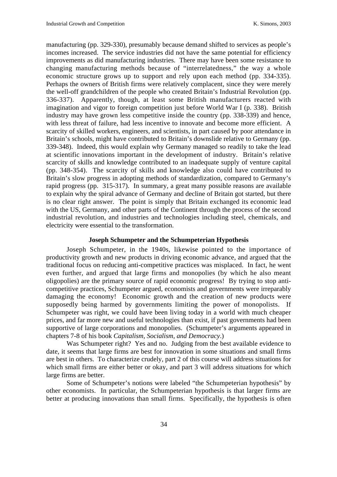manufacturing (pp. 329-330), presumably because demand shifted to services as people's incomes increased. The service industries did not have the same potential for efficiency improvements as did manufacturing industries. There may have been some resistance to changing manufacturing methods because of "interrelatedness," the way a whole economic structure grows up to support and rely upon each method (pp. 334-335). Perhaps the owners of British firms were relatively complacent, since they were merely the well-off grandchildren of the people who created Britain's Industrial Revolution (pp. 336-337). Apparently, though, at least some British manufacturers reacted with imagination and vigor to foreign competition just before World War I (p. 338). British industry may have grown less competitive inside the country (pp. 338-339) and hence, with less threat of failure, had less incentive to innovate and become more efficient. A scarcity of skilled workers, engineers, and scientists, in part caused by poor attendance in Britain's schools, might have contributed to Britain's downslide relative to Germany (pp. 339-348). Indeed, this would explain why Germany managed so readily to take the lead at scientific innovations important in the development of industry. Britain's relative scarcity of skills and knowledge contributed to an inadequate supply of venture capital (pp. 348-354). The scarcity of skills and knowledge also could have contributed to Britain's slow progress in adopting methods of standardization, compared to Germany's rapid progress (pp. 315-317). In summary, a great many possible reasons are available to explain why the spiral advance of Germany and decline of Britain got started, but there is no clear right answer. The point is simply that Britain exchanged its economic lead with the US, Germany, and other parts of the Continent through the process of the second industrial revolution, and industries and technologies including steel, chemicals, and electricity were essential to the transformation.

#### **Joseph Schumpeter and the Schumpeterian Hypothesis**

Joseph Schumpeter, in the 1940s, likewise pointed to the importance of productivity growth and new products in driving economic advance, and argued that the traditional focus on reducing anti-competitive practices was misplaced. In fact, he went even further, and argued that large firms and monopolies (by which he also meant oligopolies) are the primary source of rapid economic progress! By trying to stop anticompetitive practices, Schumpeter argued, economists and governments were irreparably damaging the economy! Economic growth and the creation of new products were supposedly being harmed by governments limiting the power of monopolists. If Schumpeter was right, we could have been living today in a world with much cheaper prices, and far more new and useful technologies than exist, if past governments had been supportive of large corporations and monopolies. (Schumpeter's arguments appeared in chapters 7-8 of his book *Capitalism, Socialism, and Democracy*.)

Was Schumpeter right? Yes and no. Judging from the best available evidence to date, it seems that large firms are best for innovation in some situations and small firms are best in others. To characterize crudely, part 2 of this course will address situations for which small firms are either better or okay, and part 3 will address situations for which large firms are better.

Some of Schumpeter's notions were labeled "the Schumpeterian hypothesis" by other economists. In particular, the Schumpeterian hypothesis is that larger firms are better at producing innovations than small firms. Specifically, the hypothesis is often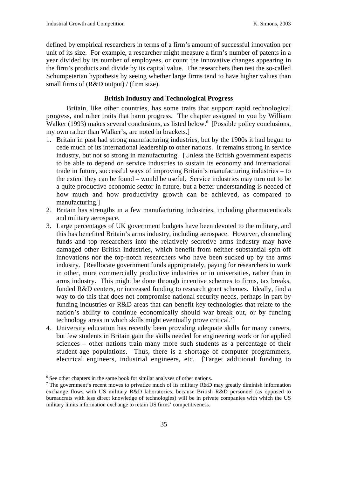defined by empirical researchers in terms of a firm's amount of successful innovation per unit of its size. For example, a researcher might measure a firm's number of patents in a year divided by its number of employees, or count the innovative changes appearing in the firm's products and divide by its capital value. The researchers then test the so-called Schumpeterian hypothesis by seeing whether large firms tend to have higher values than small firms of (R&D output) / (firm size).

#### **British Industry and Technological Progress**

Britain, like other countries, has some traits that support rapid technological progress, and other traits that harm progress. The chapter assigned to you by William Walker (1993) makes several conclusions, as listed below.<sup>6</sup> [Possible policy conclusions, my own rather than Walker's, are noted in brackets.]

- 1. Britain in past had strong manufacturing industries, but by the 1900s it had begun to cede much of its international leadership to other nations. It remains strong in service industry, but not so strong in manufacturing. [Unless the British government expects to be able to depend on service industries to sustain its economy and international trade in future, successful ways of improving Britain's manufacturing industries – to the extent they can be found – would be useful. Service industries may turn out to be a quite productive economic sector in future, but a better understanding is needed of how much and how productivity growth can be achieved, as compared to manufacturing.]
- 2. Britain has strengths in a few manufacturing industries, including pharmaceuticals and military aerospace.
- 3. Large percentages of UK government budgets have been devoted to the military, and this has benefited Britain's arms industry, including aerospace. However, channeling funds and top researchers into the relatively secretive arms industry may have damaged other British industries, which benefit from neither substantial spin-off innovations nor the top-notch researchers who have been sucked up by the arms industry. [Reallocate government funds appropriately, paying for researchers to work in other, more commercially productive industries or in universities, rather than in arms industry. This might be done through incentive schemes to firms, tax breaks, funded R&D centers, or increased funding to research grant schemes. Ideally, find a way to do this that does not compromise national security needs, perhaps in part by funding industries or R&D areas that can benefit key technologies that relate to the nation's ability to continue economically should war break out, or by funding technology areas in which skills might eventually prove critical.<sup>7</sup>]
- 4. University education has recently been providing adequate skills for many careers, but few students in Britain gain the skills needed for engineering work or for applied sciences – other nations train many more such students as a percentage of their student-age populations. Thus, there is a shortage of computer programmers, electrical engineers, industrial engineers, etc. [Target additional funding to

 $\frac{1}{6}$  $<sup>6</sup>$  See other chapters in the same book for similar analyses of other nations.</sup>

<sup>&</sup>lt;sup>7</sup> The government's recent moves to privatize much of its military R&D may greatly diminish information exchange flows with US military R&D laboratories, because British R&D personnel (as opposed to bureaucrats with less direct knowledge of technologies) will be in private companies with which the US military limits information exchange to retain US firms' competitiveness.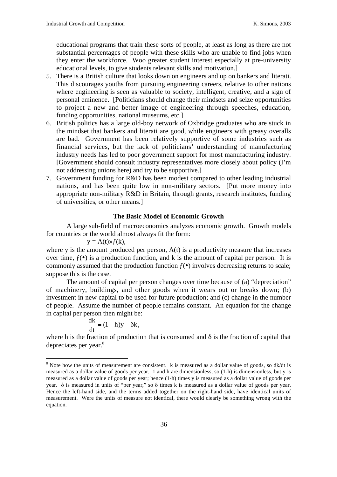educational programs that train these sorts of people, at least as long as there are not substantial percentages of people with these skills who are unable to find jobs when they enter the workforce. Woo greater student interest especially at pre-university educational levels, to give students relevant skills and motivation.]

- 5. There is a British culture that looks down on engineers and up on bankers and literati. This discourages youths from pursuing engineering careers, relative to other nations where engineering is seen as valuable to society, intelligent, creative, and a sign of personal eminence. [Politicians should change their mindsets and seize opportunities to project a new and better image of engineering through speeches, education, funding opportunities, national museums, etc.]
- 6. British politics has a large old-boy network of Oxbridge graduates who are stuck in the mindset that bankers and literati are good, while engineers with greasy overalls are bad. Government has been relatively supportive of some industries such as financial services, but the lack of politicians' understanding of manufacturing industry needs has led to poor government support for most manufacturing industry. [Government should consult industry representatives more closely about policy (I'm not addressing unions here) and try to be supportive.]
- 7. Government funding for R&D has been modest compared to other leading industrial nations, and has been quite low in non-military sectors. [Put more money into appropriate non-military R&D in Britain, through grants, research institutes, funding of universities, or other means.]

#### **The Basic Model of Economic Growth**

A large sub-field of macroeconomics analyzes economic growth. Growth models for countries or the world almost always fit the form:

 $y = A(t) \times f(k)$ ,

where y is the amount produced per person,  $A(t)$  is a productivity measure that increases over time,  $f(\cdot)$  is a production function, and k is the amount of capital per person. It is commonly assumed that the production function  $f(\bullet)$  involves decreasing returns to scale; suppose this is the case.

The amount of capital per person changes over time because of (a) "depreciation" of machinery, buildings, and other goods when it wears out or breaks down; (b) investment in new capital to be used for future production; and (c) change in the number of people. Assume the number of people remains constant. An equation for the change in capital per person then might be:

$$
\frac{\mathrm{d}\mathbf{k}}{\mathrm{d}\mathbf{t}} = (1 - \mathbf{h})\mathbf{y} - \delta \mathbf{k},
$$

where h is the fraction of production that is consumed and  $\delta$  is the fraction of capital that depreciates per year.<sup>8</sup>

<sup>&</sup>lt;sup>8</sup> Note how the units of measurement are consistent. k is measured as a dollar value of goods, so dk/dt is measured as a dollar value of goods per year. 1 and h are dimensionless, so (1-h) is dimensionless, but y is measured as a dollar value of goods per year; hence (1-h) times y is measured as a dollar value of goods per year. δ is measured in units of "per year," so δ times k is measured as a dollar value of goods per year. Hence the left-hand side, and the terms added together on the right-hand side, have identical units of measurement. Were the units of measure not identical, there would clearly be something wrong with the equation.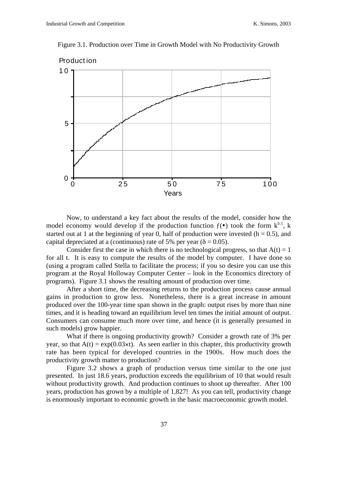

Figure 3.1. Production over Time in Growth Model with No Productivity Growth

Now, to understand a key fact about the results of the model, consider how the model economy would develop if the production function  $f(\cdot)$  took the form  $k^{0.5}$ , k started out at 1 at the beginning of year 0, half of production were invested ( $h = 0.5$ ), and capital depreciated at a (continuous) rate of 5% per year ( $\delta$  = 0.05).

Consider first the case in which there is no technological progress, so that  $A(t) = 1$ for all t. It is easy to compute the results of the model by computer. I have done so (using a program called Stella to facilitate the process; if you so desire you can use this program at the Royal Holloway Computer Center – look in the Economics directory of programs). Figure 3.1 shows the resulting amount of production over time.

After a short time, the decreasing returns to the production process cause annual gains in production to grow less. Nonetheless, there is a great increase in amount produced over the 100-year time span shown in the graph: output rises by more than nine times, and it is heading toward an equilibrium level ten times the initial amount of output. Consumers can consume much more over time, and hence (it is generally presumed in such models) grow happier.

What if there is ongoing productivity growth? Consider a growth rate of 3% per year, so that  $A(t) = \exp(0.03 \times t)$ . As seen earlier in this chapter, this productivity growth rate has been typical for developed countries in the 1900s. How much does the productivity growth matter to production?

Figure 3.2 shows a graph of production versus time similar to the one just presented. In just 18.6 years, production exceeds the equilibrium of 10 that would result without productivity growth. And production continues to shoot up thereafter. After 100 years, production has grown by a multiple of 1,827! As you can tell, productivity change is enormously important to economic growth in the basic macroeconomic growth model.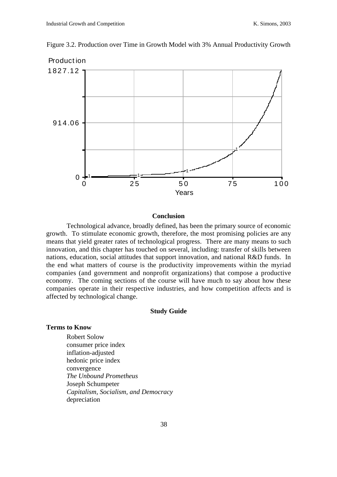

Figure 3.2. Production over Time in Growth Model with 3% Annual Productivity Growth

## **Conclusion**

Technological advance, broadly defined, has been the primary source of economic growth. To stimulate economic growth, therefore, the most promising policies are any means that yield greater rates of technological progress. There are many means to such innovation, and this chapter has touched on several, including: transfer of skills between nations, education, social attitudes that support innovation, and national R&D funds. In the end what matters of course is the productivity improvements within the myriad companies (and government and nonprofit organizations) that compose a productive economy. The coming sections of the course will have much to say about how these companies operate in their respective industries, and how competition affects and is affected by technological change.

## **Study Guide**

#### **Terms to Know**

Robert Solow consumer price index inflation-adjusted hedonic price index convergence *The Unbound Prometheus* Joseph Schumpeter *Capitalism, Socialism, and Democracy* depreciation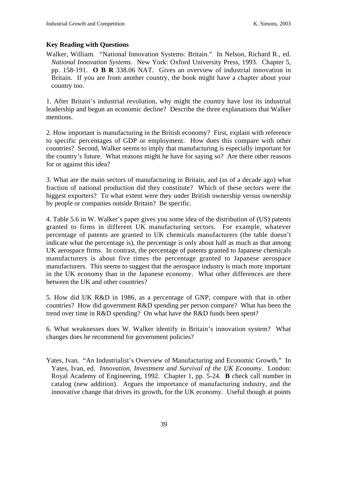## **Key Reading with Questions**

Walker, William. "National Innovation Systems: Britain." In Nelson, Richard R., ed. *National Innovation Systems*. New York: Oxford University Press, 1993. Chapter 5, pp. 158-191. **O B R** 338.06 NAT. Gives an overview of industrial innovation in Britain. If you are from another country, the book might have a chapter about your country too.

1. After Britain's industrial revolution, why might the country have lost its industrial leadership and begun an economic decline? Describe the three explanations that Walker mentions.

2. How important is manufacturing in the British economy? First, explain with reference to specific percentages of GDP or employment. How does this compare with other countries? Second, Walker seems to imply that manufacturing is especially important for the country's future. What reasons might he have for saying so? Are there other reasons for or against this idea?

3. What are the main sectors of manufacturing in Britain, and (as of a decade ago) what fraction of national production did they constitute? Which of these sectors were the biggest exporters? To what extent were they under British ownership versus ownership by people or companies outside Britain? Be specific.

4. Table 5.6 in W. Walker's paper gives you some idea of the distribution of (US) patents granted to firms in different UK manufacturing sectors. For example, whatever percentage of patents are granted to UK chemicals manufacturers (the table doesn't indicate what the percentage is), the percentage is only about half as much as that among UK aerospace firms. In contrast, the percentage of patents granted to Japanese chemicals manufacturers is about five times the percentage granted to Japanese aerospace manufacturers. This seems to suggest that the aerospace industry is much more important in the UK economy than in the Japanese economy. What other differences are there between the UK and other countries?

5. How did UK R&D in 1986, as a percentage of GNP, compare with that in other countries? How did government R&D spending per person compare? What has been the trend over time in R&D spending? On what have the R&D funds been spent?

6. What weaknesses does W. Walker identify in Britain's innovation system? What changes does he recommend for government policies?

Yates, Ivan. "An Industrialist's Overview of Manufacturing and Economic Growth." In Yates, Ivan, ed. *Innovation, Investment and Survival of the UK Economy*. London: Royal Academy of Engineering, 1992. Chapter 1, pp. 5-24. **B** check call number in catalog (new addition). Argues the importance of manufacturing industry, and the innovative change that drives its growth, for the UK economy. Useful though at points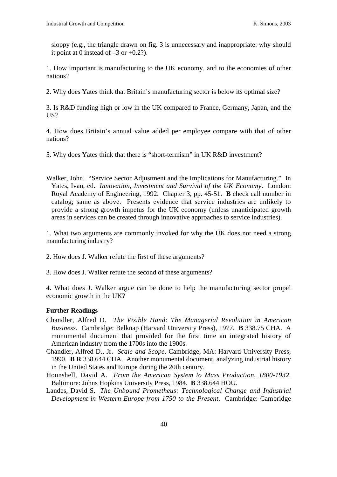sloppy (e.g., the triangle drawn on fig. 3 is unnecessary and inappropriate: why should it point at 0 instead of  $-3$  or  $+0.2$ ?).

1. How important is manufacturing to the UK economy, and to the economies of other nations?

2. Why does Yates think that Britain's manufacturing sector is below its optimal size?

3. Is R&D funding high or low in the UK compared to France, Germany, Japan, and the US?

4. How does Britain's annual value added per employee compare with that of other nations?

5. Why does Yates think that there is "short-termism" in UK R&D investment?

Walker, John. "Service Sector Adjustment and the Implications for Manufacturing." In Yates, Ivan, ed. *Innovation, Investment and Survival of the UK Economy*. London: Royal Academy of Engineering, 1992. Chapter 3, pp. 45-51. **B** check call number in catalog; same as above. Presents evidence that service industries are unlikely to provide a strong growth impetus for the UK economy (unless unanticipated growth areas in services can be created through innovative approaches to service industries).

1. What two arguments are commonly invoked for why the UK does not need a strong manufacturing industry?

- 2. How does J. Walker refute the first of these arguments?
- 3. How does J. Walker refute the second of these arguments?

4. What does J. Walker argue can be done to help the manufacturing sector propel economic growth in the UK?

## **Further Readings**

- Chandler, Alfred D. *The Visible Hand: The Managerial Revolution in American Business*. Cambridge: Belknap (Harvard University Press), 1977. **B** 338.75 CHA. A monumental document that provided for the first time an integrated history of American industry from the 1700s into the 1900s.
- Chandler, Alfred D., Jr. *Scale and Scope*. Cambridge, MA: Harvard University Press, 1990. **B R** 338.644 CHA. Another monumental document, analyzing industrial history in the United States and Europe during the 20th century.
- Hounshell, David A. *From the American System to Mass Production, 1800-1932*. Baltimore: Johns Hopkins University Press, 1984. **B** 338.644 HOU.
- Landes, David S. *The Unbound Prometheus: Technological Change and Industrial Development in Western Europe from 1750 to the Present*. Cambridge: Cambridge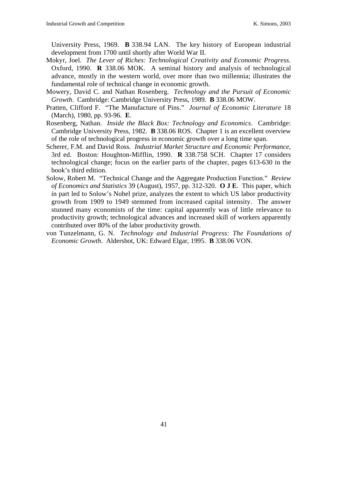University Press, 1969. **B** 338.94 LAN. The key history of European industrial development from 1700 until shortly after World War II.

- Mokyr, Joel. *The Lever of Riches: Technological Creativity and Economic Progress*. Oxford, 1990. **R** 338.06 MOK. A seminal history and analysis of technological advance, mostly in the western world, over more than two millennia; illustrates the fundamental role of technical change in economic growth.
- Mowery, David C. and Nathan Rosenberg. *Technology and the Pursuit of Economic Growth*. Cambridge: Cambridge University Press, 1989. **B** 338.06 MOW.
- Pratten, Clifford F. "The Manufacture of Pins." *Journal of Economic Literature* 18 (March), 1980, pp. 93-96. **E**.
- Rosenberg, Nathan. *Inside the Black Box: Technology and Economics*. Cambridge: Cambridge University Press, 1982. **B** 338.06 ROS. Chapter 1 is an excellent overview of the role of technological progress in economic growth over a long time span.
- Scherer, F.M. and David Ross*. Industrial Market Structure and Economic Performance*, 3rd ed. Boston: Houghton-Mifflin, 1990. **R** 338.758 SCH. Chapter 17 considers technological change; focus on the earlier parts of the chapter, pages 613-630 in the book's third edition.
- Solow, Robert M. "Technical Change and the Aggregate Production Function." *Review of Economics and Statistics* 39 (August), 1957, pp. 312-320. **O J E**. This paper, which in part led to Solow's Nobel prize, analyzes the extent to which US labor productivity growth from 1909 to 1949 stemmed from increased capital intensity. The answer stunned many economists of the time: capital apparently was of little relevance to productivity growth; technological advances and increased skill of workers apparently contributed over 80% of the labor productivity growth.
- von Tunzelmann, G. N. *Technology and Industrial Progress: The Foundations of Economic Growth*. Aldershot, UK: Edward Elgar, 1995. **B** 338.06 VON.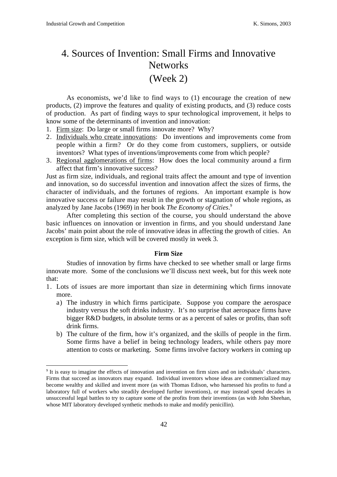# 4. Sources of Invention: Small Firms and Innovative Networks (Week 2)

As economists, we'd like to find ways to (1) encourage the creation of new products, (2) improve the features and quality of existing products, and (3) reduce costs of production. As part of finding ways to spur technological improvement, it helps to know some of the determinants of invention and innovation:

- 1. Firm size: Do large or small firms innovate more? Why?
- 2. Individuals who create innovations: Do inventions and improvements come from people within a firm? Or do they come from customers, suppliers, or outside inventors? What types of inventions/improvements come from which people?
- 3. Regional agglomerations of firms: How does the local community around a firm affect that firm's innovative success?

Just as firm size, individuals, and regional traits affect the amount and type of invention and innovation, so do successful invention and innovation affect the sizes of firms, the character of individuals, and the fortunes of regions. An important example is how innovative success or failure may result in the growth or stagnation of whole regions, as analyzed by Jane Jacobs (1969) in her book *The Economy of Cities*. 9

After completing this section of the course, you should understand the above basic influences on innovation or invention in firms, and you should understand Jane Jacobs' main point about the role of innovative ideas in affecting the growth of cities. An exception is firm size, which will be covered mostly in week 3.

#### **Firm Size**

Studies of innovation by firms have checked to see whether small or large firms innovate more. Some of the conclusions we'll discuss next week, but for this week note that:

- 1. Lots of issues are more important than size in determining which firms innovate more.
	- a) The industry in which firms participate. Suppose you compare the aerospace industry versus the soft drinks industry. It's no surprise that aerospace firms have bigger R&D budgets, in absolute terms or as a percent of sales or profits, than soft drink firms.
	- b) The culture of the firm, how it's organized, and the skills of people in the firm. Some firms have a belief in being technology leaders, while others pay more attention to costs or marketing. Some firms involve factory workers in coming up

 <sup>9</sup> It is easy to imagine the effects of innovation and invention on firm sizes and on individuals' characters. Firms that succeed as innovators may expand. Individual inventors whose ideas are commercialized may become wealthy and skilled and invent more (as with Thomas Edison, who harnessed his profits to fund a laboratory full of workers who steadily developed further inventions), or may instead spend decades in unsuccessful legal battles to try to capture some of the profits from their inventions (as with John Sheehan, whose MIT laboratory developed synthetic methods to make and modify penicillin).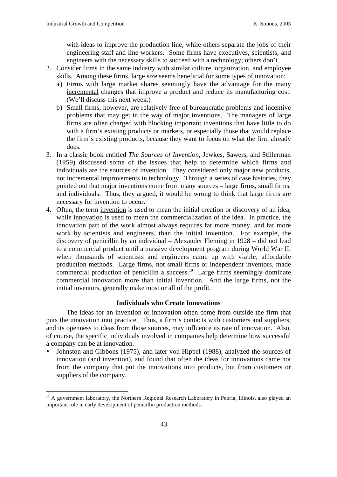with ideas to improve the production line, while others separate the jobs of their engineering staff and line workers. Some firms have executives, scientists, and engineers with the necessary skills to succeed with a technology; others don't.

- 2. Consider firms in the same industry with similar culture, organization, and employee skills. Among these firms, large size seems beneficial for some types of innovation:
	- a) Firms with large market shares seemingly have the advantage for the many incremental changes that improve a product and reduce its manufacturing cost. (We'll discuss this next week.)
	- b) Small firms, however, are relatively free of bureaucratic problems and incentive problems that may get in the way of major inventions. The managers of large firms are often charged with blocking important inventions that have little to do with a firm's existing products or markets, or especially those that would replace the firm's existing products, because they want to focus on what the firm already does.
- 3. In a classic book entitled *The Sources of Invention*, Jewkes, Sawers, and Stillerman (1959) discussed some of the issues that help to determine which firms and individuals are the sources of invention. They considered only major new products, not incremental improvements in technology. Through a series of case histories, they pointed out that major inventions come from many sources – large firms, small firms, and individuals. Thus, they argued, it would be wrong to think that large firms are necessary for invention to occur.
- 4. Often, the term invention is used to mean the initial creation or discovery of an idea, while innovation is used to mean the commercialization of the idea. In practice, the innovation part of the work almost always requires far more money, and far more work by scientists and engineers, than the initial invention. For example, the discovery of penicillin by an individual – Alexander Fleming in 1928 – did not lead to a commercial product until a massive development program during World War II, when thousands of scientists and engineers came up with viable, affordable production methods. Large firms, not small firms or independent inventors, made commercial production of penicillin a success.<sup>10</sup> Large firms seemingly dominate commercial innovation more than initial invention. And the large firms, not the initial inventors, generally make most or all of the profit.

## **Individuals who Create Innovations**

The ideas for an invention or innovation often come from outside the firm that puts the innovation into practice. Thus, a firm's contacts with customers and suppliers, and its openness to ideas from those sources, may influence its rate of innovation. Also, of course, the specific individuals involved in companies help determine how successful a company can be at innovation.

• Johnston and Gibbons (1975), and later von Hippel (1988), analyzed the sources of innovation (and invention), and found that often the ideas for innovations came not from the company that put the innovations into products, but from customers or suppliers of the company.

<sup>&</sup>lt;sup>10</sup> A government laboratory, the Northern Regional Research Laboratory in Peoria, Illinois, also played an important role in early development of penicillin production methods.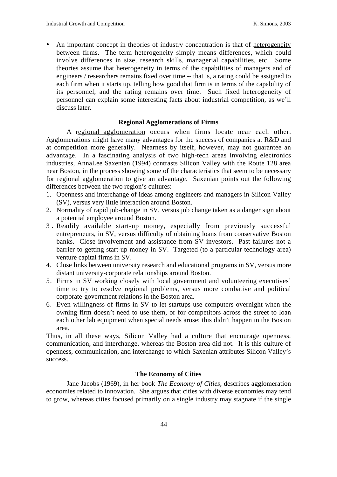An important concept in theories of industry concentration is that of heterogeneity between firms. The term heterogeneity simply means differences, which could involve differences in size, research skills, managerial capabilities, etc. Some theories assume that heterogeneity in terms of the capabilities of managers and of engineers / researchers remains fixed over time -- that is, a rating could be assigned to each firm when it starts up, telling how good that firm is in terms of the capability of its personnel, and the rating remains over time. Such fixed heterogeneity of personnel can explain some interesting facts about industrial competition, as we'll discuss later.

## **Regional Agglomerations of Firms**

A regional agglomeration occurs when firms locate near each other. Agglomerations might have many advantages for the success of companies at R&D and at competition more generally. Nearness by itself, however, may not guarantee an advantage. In a fascinating analysis of two high-tech areas involving electronics industries, AnnaLee Saxenian (1994) contrasts Silicon Valley with the Route 128 area near Boston, in the process showing some of the characteristics that seem to be necessary for regional agglomeration to give an advantage. Saxenian points out the following differences between the two region's cultures:

- 1. Openness and interchange of ideas among engineers and managers in Silicon Valley (SV), versus very little interaction around Boston.
- 2. Normality of rapid job-change in SV, versus job change taken as a danger sign about a potential employee around Boston.
- 3 . Readily available start-up money, especially from previously successful entrepreneurs, in SV, versus difficulty of obtaining loans from conservative Boston banks. Close involvement and assistance from SV investors. Past failures not a barrier to getting start-up money in SV. Targeted (to a particular technology area) venture capital firms in SV.
- 4. Close links between university research and educational programs in SV, versus more distant university-corporate relationships around Boston.
- 5. Firms in SV working closely with local government and volunteering executives' time to try to resolve regional problems, versus more combative and political corporate-government relations in the Boston area.
- 6. Even willingness of firms in SV to let startups use computers overnight when the owning firm doesn't need to use them, or for competitors across the street to loan each other lab equipment when special needs arose; this didn't happen in the Boston area.

Thus, in all these ways, Silicon Valley had a culture that encourage openness, communication, and interchange, whereas the Boston area did not. It is this culture of openness, communication, and interchange to which Saxenian attributes Silicon Valley's success.

## **The Economy of Cities**

Jane Jacobs (1969), in her book *The Economy of Cities*, describes agglomeration economies related to innovation. She argues that cities with diverse economies may tend to grow, whereas cities focused primarily on a single industry may stagnate if the single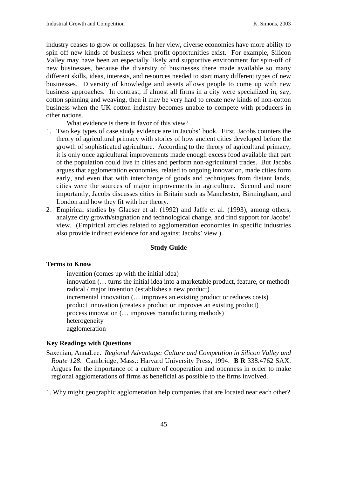industry ceases to grow or collapses. In her view, diverse economies have more ability to spin off new kinds of business when profit opportunities exist. For example, Silicon Valley may have been an especially likely and supportive environment for spin-off of new businesses, because the diversity of businesses there made available so many different skills, ideas, interests, and resources needed to start many different types of new businesses. Diversity of knowledge and assets allows people to come up with new business approaches. In contrast, if almost all firms in a city were specialized in, say, cotton spinning and weaving, then it may be very hard to create new kinds of non-cotton business when the UK cotton industry becomes unable to compete with producers in other nations.

What evidence is there in favor of this view?

- 1. Two key types of case study evidence are in Jacobs' book. First, Jacobs counters the theory of agricultural primacy with stories of how ancient cities developed before the growth of sophisticated agriculture. According to the theory of agricultural primacy, it is only once agricultural improvements made enough excess food available that part of the population could live in cities and perform non-agricultural trades. But Jacobs argues that agglomeration economies, related to ongoing innovation, made cities form early, and even that with interchange of goods and techniques from distant lands, cities were the sources of major improvements in agriculture. Second and more importantly, Jacobs discusses cities in Britain such as Manchester, Birmingham, and London and how they fit with her theory.
- 2. Empirical studies by Glaeser et al. (1992) and Jaffe et al. (1993), among others, analyze city growth/stagnation and technological change, and find support for Jacobs' view. (Empirical articles related to agglomeration economies in specific industries also provide indirect evidence for and against Jacobs' view.)

#### **Study Guide**

#### **Terms to Know**

invention (comes up with the initial idea) innovation (… turns the initial idea into a marketable product, feature, or method) radical / major invention (establishes a new product) incremental innovation (… improves an existing product or reduces costs) product innovation (creates a product or improves an existing product) process innovation (… improves manufacturing methods) heterogeneity agglomeration

#### **Key Readings with Questions**

Saxenian, AnnaLee. *Regional Advantage: Culture and Competition in Silicon Valley and Route 128*. Cambridge, Mass.: Harvard University Press, 1994. **B R** 338.4762 SAX. Argues for the importance of a culture of cooperation and openness in order to make regional agglomerations of firms as beneficial as possible to the firms involved.

1. Why might geographic agglomeration help companies that are located near each other?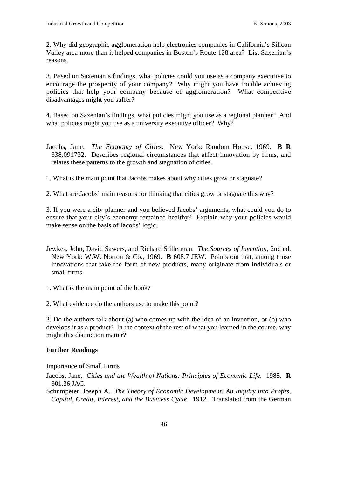2. Why did geographic agglomeration help electronics companies in California's Silicon Valley area more than it helped companies in Boston's Route 128 area? List Saxenian's reasons.

3. Based on Saxenian's findings, what policies could you use as a company executive to encourage the prosperity of your company? Why might you have trouble achieving policies that help your company because of agglomeration? What competitive disadvantages might you suffer?

4. Based on Saxenian's findings, what policies might you use as a regional planner? And what policies might you use as a university executive officer? Why?

- Jacobs, Jane. *The Economy of Cities*. New York: Random House, 1969. **B R** 338.091732. Describes regional circumstances that affect innovation by firms, and relates these patterns to the growth and stagnation of cities.
- 1. What is the main point that Jacobs makes about why cities grow or stagnate?
- 2. What are Jacobs' main reasons for thinking that cities grow or stagnate this way?

3. If you were a city planner and you believed Jacobs' arguments, what could you do to ensure that your city's economy remained healthy? Explain why your policies would make sense on the basis of Jacobs' logic.

- Jewkes, John, David Sawers, and Richard Stillerman. *The Sources of Invention*, 2nd ed. New York: W.W. Norton & Co., 1969. **B** 608.7 JEW. Points out that, among those innovations that take the form of new products, many originate from individuals or small firms.
- 1. What is the main point of the book?
- 2. What evidence do the authors use to make this point?

3. Do the authors talk about (a) who comes up with the idea of an invention, or (b) who develops it as a product? In the context of the rest of what you learned in the course, why might this distinction matter?

## **Further Readings**

#### Importance of Small Firms

- Jacobs, Jane. *Cities and the Wealth of Nations: Principles of Economic Life*. 1985. **R** 301.36 JAC.
- Schumpeter, Joseph A. *The Theory of Economic Development: An Inquiry into Profits, Capital, Credit, Interest, and the Business Cycle*. 1912. Translated from the German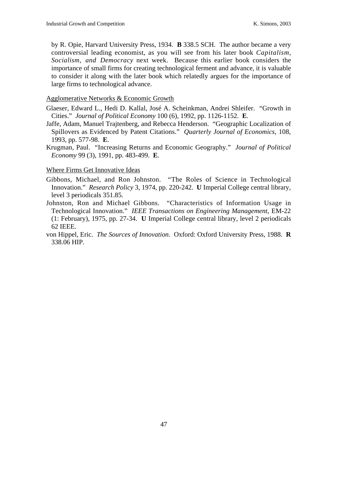by R. Opie, Harvard University Press, 1934. **B** 338.5 SCH. The author became a very controversial leading economist, as you will see from his later book *Capitalism, Socialism, and Democracy* next week. Because this earlier book considers the importance of small firms for creating technological ferment and advance, it is valuable to consider it along with the later book which relatedly argues for the importance of large firms to technological advance.

## Agglomerative Networks & Economic Growth

- Glaeser, Edward L., Hedi D. Kallal, José A. Scheinkman, Andrei Shleifer. "Growth in Cities." *Journal of Political Economy* 100 (6), 1992, pp. 1126-1152. **E**.
- Jaffe, Adam, Manuel Trajtenberg, and Rebecca Henderson. "Geographic Localization of Spillovers as Evidenced by Patent Citations." *Quarterly Journal of Economics*, 108, 1993, pp. 577-98. **E**.
- Krugman, Paul. "Increasing Returns and Economic Geography." *Journal of Political Economy* 99 (3), 1991, pp. 483-499. **E**.

#### Where Firms Get Innovative Ideas

- Gibbons, Michael, and Ron Johnston. "The Roles of Science in Technological Innovation." *Research Policy* 3, 1974, pp. 220-242. **U** Imperial College central library, level 3 periodicals 351.85.
- Johnston, Ron and Michael Gibbons. "Characteristics of Information Usage in Technological Innovation." *IEEE Transactions on Engineering Management*, EM-22 (1: February), 1975, pp. 27-34. **U** Imperial College central library, level 2 periodicals 62 IEEE.
- von Hippel, Eric. *The Sources of Innovation*. Oxford: Oxford University Press, 1988. **R** 338.06 HIP.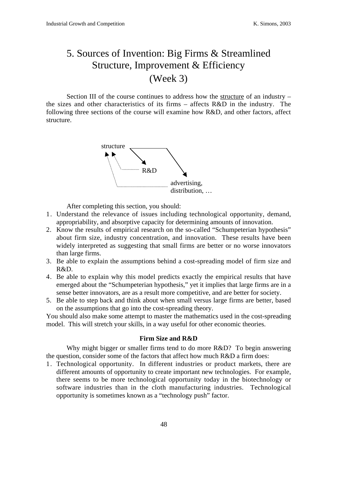## 5. Sources of Invention: Big Firms & Streamlined Structure, Improvement & Efficiency (Week 3)

Section III of the course continues to address how the structure of an industry – the sizes and other characteristics of its firms – affects R&D in the industry. The following three sections of the course will examine how R&D, and other factors, affect structure.



After completing this section, you should:

- 1. Understand the relevance of issues including technological opportunity, demand, appropriability, and absorptive capacity for determining amounts of innovation.
- 2. Know the results of empirical research on the so-called "Schumpeterian hypothesis" about firm size, industry concentration, and innovation. These results have been widely interpreted as suggesting that small firms are better or no worse innovators than large firms.
- 3. Be able to explain the assumptions behind a cost-spreading model of firm size and R&D.
- 4. Be able to explain why this model predicts exactly the empirical results that have emerged about the "Schumpeterian hypothesis," yet it implies that large firms are in a sense better innovators, are as a result more competitive, and are better for society.
- 5. Be able to step back and think about when small versus large firms are better, based on the assumptions that go into the cost-spreading theory.

You should also make some attempt to master the mathematics used in the cost-spreading model. This will stretch your skills, in a way useful for other economic theories.

#### **Firm Size and R&D**

Why might bigger or smaller firms tend to do more R&D? To begin answering the question, consider some of the factors that affect how much R&D a firm does:

1. Technological opportunity. In different industries or product markets, there are different amounts of opportunity to create important new technologies. For example, there seems to be more technological opportunity today in the biotechnology or software industries than in the cloth manufacturing industries. Technological opportunity is sometimes known as a "technology push" factor.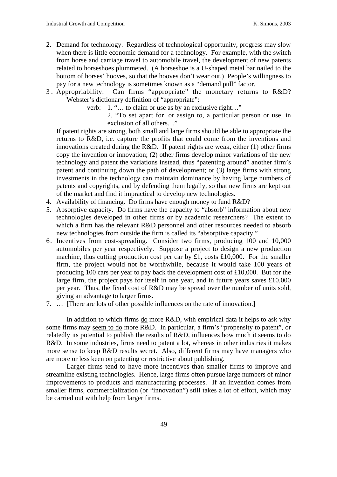- 2. Demand for technology. Regardless of technological opportunity, progress may slow when there is little economic demand for a technology. For example, with the switch from horse and carriage travel to automobile travel, the development of new patents related to horseshoes plummeted. (A horseshoe is a U-shaped metal bar nailed to the bottom of horses' hooves, so that the hooves don't wear out.) People's willingness to pay for a new technology is sometimes known as a "demand pull" factor.
- 3 . Appropriability. Can firms "appropriate" the monetary returns to R&D? Webster's dictionary definition of "appropriate":
	- verb: 1. "… to claim or use as by an exclusive right…"
		- 2. "To set apart for, or assign to, a particular person or use, in exclusion of all others…"

If patent rights are strong, both small and large firms should be able to appropriate the returns to R&D, i.e. capture the profits that could come from the inventions and innovations created during the R&D. If patent rights are weak, either (1) other firms copy the invention or innovation; (2) other firms develop minor variations of the new technology and patent the variations instead, thus "patenting around" another firm's patent and continuing down the path of development; or (3) large firms with strong investments in the technology can maintain dominance by having large numbers of patents and copyrights, and by defending them legally, so that new firms are kept out of the market and find it impractical to develop new technologies.

- 4. Availability of financing. Do firms have enough money to fund R&D?
- 5. Absorptive capacity. Do firms have the capacity to "absorb" information about new technologies developed in other firms or by academic researchers? The extent to which a firm has the relevant R&D personnel and other resources needed to absorb new technologies from outside the firm is called its "absorptive capacity."
- 6. Incentives from cost-spreading. Consider two firms, producing 100 and 10,000 automobiles per year respectively. Suppose a project to design a new production machine, thus cutting production cost per car by £1, costs £10,000. For the smaller firm, the project would not be worthwhile, because it would take 100 years of producing 100 cars per year to pay back the development cost of £10,000. But for the large firm, the project pays for itself in one year, and in future years saves £10,000 per year. Thus, the fixed cost of R&D may be spread over the number of units sold, giving an advantage to larger firms.
- 7. … [There are lots of other possible influences on the rate of innovation.]

In addition to which firms do more R&D, with empirical data it helps to ask why some firms may seem to do more R&D. In particular, a firm's "propensity to patent", or relatedly its potential to publish the results of R&D, influences how much it seems to do R&D. In some industries, firms need to patent a lot, whereas in other industries it makes more sense to keep R&D results secret. Also, different firms may have managers who are more or less keen on patenting or restrictive about publishing.

Larger firms tend to have more incentives than smaller firms to improve and streamline existing technologies. Hence, large firms often pursue large numbers of minor improvements to products and manufacturing processes. If an invention comes from smaller firms, commercialization (or "innovation") still takes a lot of effort, which may be carried out with help from larger firms.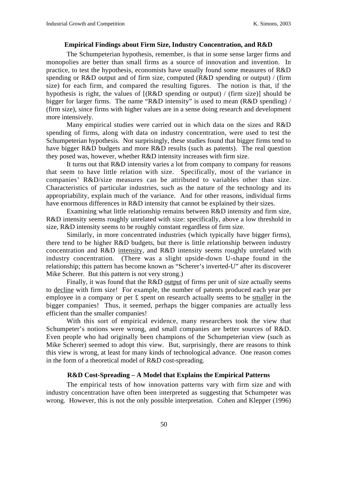#### **Empirical Findings about Firm Size, Industry Concentration, and R&D**

The Schumpeterian hypothesis, remember, is that in some sense larger firms and monopolies are better than small firms as a source of innovation and invention. In practice, to test the hypothesis, economists have usually found some measures of R&D spending or R&D output and of firm size, computed (R&D spending or output) / (firm size) for each firm, and compared the resulting figures. The notion is that, if the hypothesis is right, the values of [(R&D spending or output) / (firm size)] should be bigger for larger firms. The name "R&D intensity" is used to mean (R&D spending) / (firm size), since firms with higher values are in a sense doing research and development more intensively.

Many empirical studies were carried out in which data on the sizes and R&D spending of firms, along with data on industry concentration, were used to test the Schumpeterian hypothesis. Not surprisingly, these studies found that bigger firms tend to have bigger R&D budgets and more R&D results (such as patents). The real question they posed was, however, whether R&D intensity increases with firm size.

It turns out that R&D intensity varies a lot from company to company for reasons that seem to have little relation with size. Specifically, most of the variance in companies' R&D/size measures can be attributed to variables other than size. Characteristics of particular industries, such as the nature of the technology and its appropriability, explain much of the variance. And for other reasons, individual firms have enormous differences in R&D intensity that cannot be explained by their sizes.

Examining what little relationship remains between R&D intensity and firm size, R&D intensity seems roughly unrelated with size: specifically, above a low threshold in size, R&D intensity seems to be roughly constant regardless of firm size.

Similarly, in more concentrated industries (which typically have bigger firms), there tend to be higher R&D budgets, but there is little relationship between industry concentration and R&D intensity, and R&D intensity seems roughly unrelated with industry concentration. (There was a slight upside-down U-shape found in the relationship; this pattern has become known as "Scherer's inverted-U" after its discoverer Mike Scherer. But this pattern is not very strong.)

Finally, it was found that the R&D output of firms per unit of size actually seems to decline with firm size! For example, the number of patents produced each year per employee in a company or per  $\pounds$  spent on research actually seems to be smaller in the bigger companies! Thus, it seemed, perhaps the bigger companies are actually less efficient than the smaller companies!

With this sort of empirical evidence, many researchers took the view that Schumpeter's notions were wrong, and small companies are better sources of R&D. Even people who had originally been champions of the Schumpeterian view (such as Mike Scherer) seemed to adopt this view. But, surprisingly, there are reasons to think this view is wrong, at least for many kinds of technological advance. One reason comes in the form of a theoretical model of R&D cost-spreading.

#### **R&D Cost-Spreading – A Model that Explains the Empirical Patterns**

The empirical tests of how innovation patterns vary with firm size and with industry concentration have often been interpreted as suggesting that Schumpeter was wrong. However, this is not the only possible interpretation. Cohen and Klepper (1996)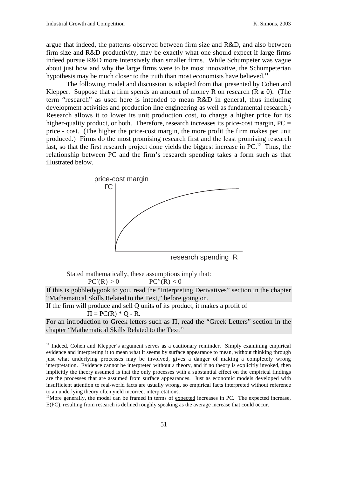argue that indeed, the patterns observed between firm size and R&D, and also between firm size and R&D productivity, may be exactly what one should expect if large firms indeed pursue R&D more intensively than smaller firms. While Schumpeter was vague about just how and why the large firms were to be most innovative, the Schumpeterian hypothesis may be much closer to the truth than most economists have believed.<sup>11</sup>

The following model and discussion is adapted from that presented by Cohen and Klepper. Suppose that a firm spends an amount of money R on research ( $R \ge 0$ ). (The term "research" as used here is intended to mean R&D in general, thus including development activities and production line engineering as well as fundamental research.) Research allows it to lower its unit production cost, to charge a higher price for its higher-quality product, or both. Therefore, research increases its price-cost margin,  $PC =$ price - cost. (The higher the price-cost margin, the more profit the firm makes per unit produced.) Firms do the most promising research first and the least promising research last, so that the first research project done yields the biggest increase in  $PC<sup>12</sup>$ . Thus, the relationship between PC and the firm's research spending takes a form such as that illustrated below.



research spending R

Stated mathematically, these assumptions imply that:  $PC'(R) > 0$   $PC''(R) < 0$ 

If this is gobbledygook to you, read the "Interpreting Derivatives" section in the chapter "Mathematical Skills Related to the Text," before going on.

If the firm will produce and sell Q units of its product, it makes a profit of

$$
\Pi = PC(R) * Q - R.
$$

For an introduction to Greek letters such as Π, read the "Greek Letters" section in the chapter "Mathematical Skills Related to the Text."

<sup>&</sup>lt;sup>11</sup> Indeed, Cohen and Klepper's argument serves as a cautionary reminder. Simply examining empirical evidence and interpreting it to mean what it seems by surface appearance to mean, without thinking through just what underlying processes may be involved, gives a danger of making a completely wrong interpretation. Evidence cannot be interpreted without a theory, and if no theory is explicitly invoked, then implicitly the theory assumed is that the only processes with a substantial effect on the empirical findings are the processes that are assumed from surface appearances. Just as economic models developed with insufficient attention to real-world facts are usually wrong, so empirical facts interpreted without reference to an underlying theory often yield incorrect interpretations.

 $12$ More generally, the model can be framed in terms of expected increases in PC. The expected increase, E(PC), resulting from research is defined roughly speaking as the average increase that could occur.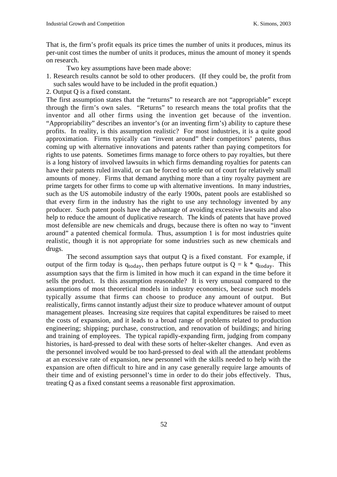That is, the firm's profit equals its price times the number of units it produces, minus its per-unit cost times the number of units it produces, minus the amount of money it spends on research.

Two key assumptions have been made above:

- 1. Research results cannot be sold to other producers. (If they could be, the profit from such sales would have to be included in the profit equation.)
- 2. Output Q is a fixed constant.

The first assumption states that the "returns" to research are not "appropriable" except through the firm's own sales. "Returns" to research means the total profits that the inventor and all other firms using the invention get because of the invention. "Appropriability" describes an inventor's (or an inventing firm's) ability to capture these profits. In reality, is this assumption realistic? For most industries, it is a quite good approximation. Firms typically can "invent around" their competitors' patents, thus coming up with alternative innovations and patents rather than paying competitors for rights to use patents. Sometimes firms manage to force others to pay royalties, but there is a long history of involved lawsuits in which firms demanding royalties for patents can have their patents ruled invalid, or can be forced to settle out of court for relatively small amounts of money. Firms that demand anything more than a tiny royalty payment are prime targets for other firms to come up with alternative inventions. In many industries, such as the US automobile industry of the early 1900s, patent pools are established so that every firm in the industry has the right to use any technology invented by any producer. Such patent pools have the advantage of avoiding excessive lawsuits and also help to reduce the amount of duplicative research. The kinds of patents that have proved most defensible are new chemicals and drugs, because there is often no way to "invent around" a patented chemical formula. Thus, assumption 1 is for most industries quite realistic, though it is not appropriate for some industries such as new chemicals and drugs.

The second assumption says that output  $Q$  is a fixed constant. For example, if output of the firm today is q<sub>today</sub>, then perhaps future output is  $Q = k * q_{today}$ . This assumption says that the firm is limited in how much it can expand in the time before it sells the product. Is this assumption reasonable? It is very unusual compared to the assumptions of most theoretical models in industry economics, because such models typically assume that firms can choose to produce any amount of output. But realistically, firms cannot instantly adjust their size to produce whatever amount of output management pleases. Increasing size requires that capital expenditures be raised to meet the costs of expansion, and it leads to a broad range of problems related to production engineering; shipping; purchase, construction, and renovation of buildings; and hiring and training of employees. The typical rapidly-expanding firm, judging from company histories, is hard-pressed to deal with these sorts of helter-skelter changes. And even as the personnel involved would be too hard-pressed to deal with all the attendant problems at an excessive rate of expansion, new personnel with the skills needed to help with the expansion are often difficult to hire and in any case generally require large amounts of their time and of existing personnel's time in order to do their jobs effectively. Thus, treating Q as a fixed constant seems a reasonable first approximation.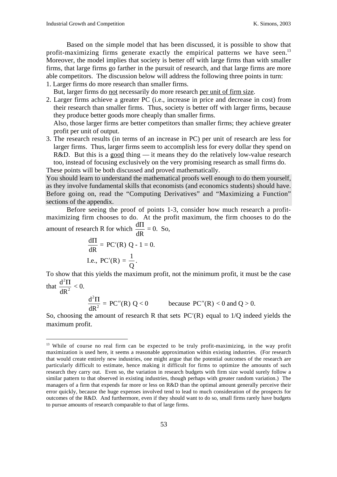Based on the simple model that has been discussed, it is possible to show that profit-maximizing firms generate exactly the empirical patterns we have seen.<sup>13</sup> Moreover, the model implies that society is better off with large firms than with smaller firms, that large firms go farther in the pursuit of research, and that large firms are more able competitors. The discussion below will address the following three points in turn:

1. Larger firms do more research than smaller firms.

But, larger firms do not necessarily do more research per unit of firm size.

2. Larger firms achieve a greater PC (i.e., increase in price and decrease in cost) from their research than smaller firms. Thus, society is better off with larger firms, because they produce better goods more cheaply than smaller firms.

Also, those larger firms are better competitors than smaller firms; they achieve greater profit per unit of output.

3. The research results (in terms of an increase in PC) per unit of research are less for larger firms. Thus, larger firms seem to accomplish less for every dollar they spend on R&D. But this is a good thing  $-$  it means they do the relatively low-value research too, instead of focusing exclusively on the very promising research as small firms do.

These points will be both discussed and proved mathematically.

You should learn to understand the mathematical proofs well enough to do them yourself, as they involve fundamental skills that economists (and economics students) should have. Before going on, read the "Computing Derivatives" and "Maximizing a Function" sections of the appendix.

Before seeing the proof of points 1-3, consider how much research a profitmaximizing firm chooses to do. At the profit maximum, the firm chooses to do the amount of research R for which  $\frac{d}{d}$  $\frac{\Pi}{D} = 0$ . So,

$$
\frac{d\Pi}{dR} = PC'(R) Q - 1 = 0.
$$
  
I.e., PC'(R) =  $\frac{1}{Q}$ .

To show that this yields the maximum profit, not the minimum profit, it must be the case that  $\frac{d^2}{dt}$  $\frac{\Pi}{2}< 0.$ 

$$
\tan \frac{1}{\mathrm{d}R^2}
$$

d dR 2 2  $\frac{\Pi}{\Sigma^2} = \text{PC}''(R) \text{ Q} < 0 \qquad \text{because } \text{PC}''(R) < 0 \text{ and } \text{Q} > 0.$ 

So, choosing the amount of research R that sets  $PC'(R)$  equal to 1/Q indeed yields the maximum profit.

<sup>&</sup>lt;sup>13</sup> While of course no real firm can be expected to be truly profit-maximizing, in the way profit maximization is used here, it seems a reasonable approximation within existing industries. (For research that would create entirely new industries, one might argue that the potential outcomes of the research are particularly difficult to estimate, hence making it difficult for firms to optimize the amounts of such research they carry out. Even so, the variation in research budgets with firm size would surely follow a similar pattern to that observed in existing industries, though perhaps with greater random variation.) The managers of a firm that expends far more or less on R&D than the optimal amount generally perceive their error quickly, because the huge expenses involved tend to lead to much consideration of the prospects for outcomes of the R&D. And furthermore, even if they should want to do so, small firms rarely have budgets to pursue amounts of research comparable to that of large firms.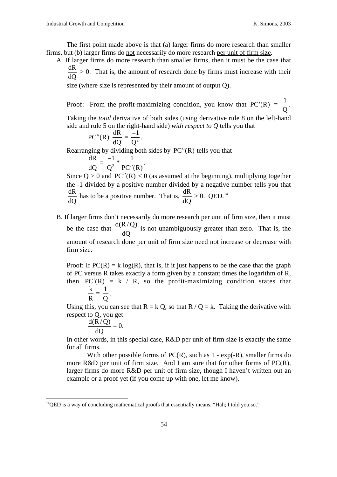The first point made above is that (a) larger firms do more research than smaller firms, but (b) larger firms do not necessarily do more research per unit of firm size.

A. If larger firms do more research than smaller firms, then it must be the case that  $\frac{dR}{dQ} > 0$ . That is, the amount of research done by firms must increase with their

size (where size is represented by their amount of output Q).

Proof: From the profit-maximizing condition, you know that  $PC'(R) = \frac{1}{Q}$ . Taking the *total* derivative of both sides (using derivative rule 8 on the left-hand

side and rule 5 on the right-hand side) *with respect to Q* tells you that

$$
PC''(R) \frac{dR}{dQ} = \frac{-1}{Q^2}.
$$

Rearranging by dividing both sides by  $PC''(R)$  tells you that

$$
\frac{\mathrm{dR}}{\mathrm{dQ}} = \frac{-1}{Q^2} * \frac{1}{PC''(R)}.
$$

Since  $Q > 0$  and  $PC''(R) < 0$  (as assumed at the beginning), multiplying together the -1 divided by a positive number divided by a negative number tells you that  $\frac{dR}{dQ}$  has to be a positive number. That is,  $\frac{dR}{dQ} > 0$ . QED.<sup>14</sup>

B. If larger firms don't necessarily do more research per unit of firm size, then it must be the case that  $\frac{d(R/Q)}{dQ}$ dQ  $\frac{(R/Q)}{10}$  is not unambiguously greater than zero. That is, the amount of research done per unit of firm size need not increase or decrease with firm size.

Proof: If  $PC(R) = k \log(R)$ , that is, if it just happens to be the case that the graph of PC versus R takes exactly a form given by a constant times the logarithm of R, then  $PC'(R) = k / R$ , so the profit-maximizing condition states that

$$
\frac{\mathbf{k}}{\mathbf{R}} = \frac{1}{\mathbf{Q}}.
$$

Using this, you can see that  $R = k Q$ , so that  $R / Q = k$ . Taking the derivative with respect to Q, you get

$$
\frac{d(R/Q)}{dQ}=0.
$$

In other words, in this special case, R&D per unit of firm size is exactly the same for all firms.

With other possible forms of  $PC(R)$ , such as  $1 - exp(-R)$ , smaller firms do more  $R&D$  per unit of firm size. And I am sure that for other forms of  $PC(R)$ , larger firms do more R&D per unit of firm size, though I haven't written out an example or a proof yet (if you come up with one, let me know).

 $14$ QED is a way of concluding mathematical proofs that essentially means, "Hah; I told you so."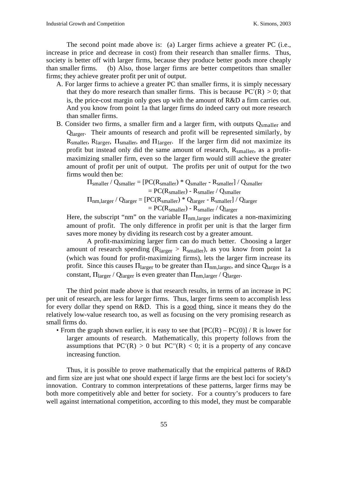The second point made above is: (a) Larger firms achieve a greater PC (i.e., increase in price and decrease in cost) from their research than smaller firms. Thus, society is better off with larger firms, because they produce better goods more cheaply than smaller firms. (b) Also, those larger firms are better competitors than smaller firms; they achieve greater profit per unit of output.

- A. For larger firms to achieve a greater PC than smaller firms, it is simply necessary that they do more research than smaller firms. This is because  $PC'(R) > 0$ ; that is, the price-cost margin only goes up with the amount of R&D a firm carries out. And you know from point 1a that larger firms do indeed carry out more research than smaller firms.
- B. Consider two firms, a smaller firm and a larger firm, with outputs Q<sub>smaller</sub> and Qlarger. Their amounts of research and profit will be represented similarly, by  $R_{smaller}$ ,  $R_{largeer}$ ,  $\Pi_{smaller}$ , and  $\Pi_{largeer}$ . If the larger firm did not maximize its profit but instead only did the same amount of research,  $R_{smaller}$ , as a profitmaximizing smaller firm, even so the larger firm would still achieve the greater amount of profit per unit of output. The profits per unit of output for the two firms would then be:

$$
\Pi_{smaller} / Q_{smaller} = [PC(R_{smaller}) * Q_{smaller} - R_{smaller}] / Q_{smaller}
$$

$$
= PC(R_{smaller}) - R_{smaller} / Q_{smaller}
$$

$$
\Pi_{nm, larger} / Q_{larger} = [PC(R_{smaller}) * Q_{larger} - R_{smaller}] / Q_{larger}
$$

$$
= PC(R_{smaller}) - R_{smaller} / Q_{larger}
$$

Here, the subscript "nm" on the variable  $\Pi_{nm, larger}$  indicates a non-maximizing amount of profit. The only difference in profit per unit is that the larger firm saves more money by dividing its research cost by a greater amount.

A profit-maximizing larger firm can do much better. Choosing a larger amount of research spending ( $R_{larger} > R_{smaller}$ ), as you know from point 1a (which was found for profit-maximizing firms), lets the larger firm increase its profit. Since this causes  $\Pi_{\text{larger}}$  to be greater than  $\Pi_{\text{nm, larger}}$ , and since  $Q_{\text{larger}}$  is a constant,  $\Pi_{\text{larger}}$  /  $Q_{\text{larger}}$  is even greater than  $\Pi_{\text{nm, larger}}$  /  $Q_{\text{larger}}$ .

The third point made above is that research results, in terms of an increase in PC per unit of research, are less for larger firms. Thus, larger firms seem to accomplish less for every dollar they spend on R&D. This is a good thing, since it means they do the relatively low-value research too, as well as focusing on the very promising research as small firms do.

• From the graph shown earlier, it is easy to see that  $[PC(R) – PC(0)] / R$  is lower for larger amounts of research. Mathematically, this property follows from the assumptions that  $PC'(R) > 0$  but  $PC''(R) < 0$ ; it is a property of any concave increasing function.

Thus, it is possible to prove mathematically that the empirical patterns of R&D and firm size are just what one should expect if large firms are the best loci for society's innovation. Contrary to common interpretations of these patterns, larger firms may be both more competitively able and better for society. For a country's producers to fare well against international competition, according to this model, they must be comparable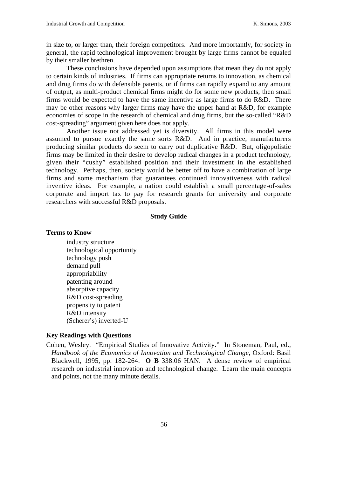in size to, or larger than, their foreign competitors. And more importantly, for society in general, the rapid technological improvement brought by large firms cannot be equaled by their smaller brethren.

These conclusions have depended upon assumptions that mean they do not apply to certain kinds of industries. If firms can appropriate returns to innovation, as chemical and drug firms do with defensible patents, or if firms can rapidly expand to any amount of output, as multi-product chemical firms might do for some new products, then small firms would be expected to have the same incentive as large firms to do R&D. There may be other reasons why larger firms may have the upper hand at R&D, for example economies of scope in the research of chemical and drug firms, but the so-called "R&D cost-spreading" argument given here does not apply.

Another issue not addressed yet is diversity. All firms in this model were assumed to pursue exactly the same sorts R&D. And in practice, manufacturers producing similar products do seem to carry out duplicative R&D. But, oligopolistic firms may be limited in their desire to develop radical changes in a product technology, given their "cushy" established position and their investment in the established technology. Perhaps, then, society would be better off to have a combination of large firms and some mechanism that guarantees continued innovativeness with radical inventive ideas. For example, a nation could establish a small percentage-of-sales corporate and import tax to pay for research grants for university and corporate researchers with successful R&D proposals.

#### **Study Guide**

## **Terms to Know**

industry structure technological opportunity technology push demand pull appropriability patenting around absorptive capacity R&D cost-spreading propensity to patent R&D intensity (Scherer's) inverted-U

## **Key Readings with Questions**

Cohen, Wesley. "Empirical Studies of Innovative Activity." In Stoneman, Paul, ed., *Handbook of the Economics of Innovation and Technological Change*, Oxford: Basil Blackwell, 1995, pp. 182-264. **O B** 338.06 HAN. A dense review of empirical research on industrial innovation and technological change. Learn the main concepts and points, not the many minute details.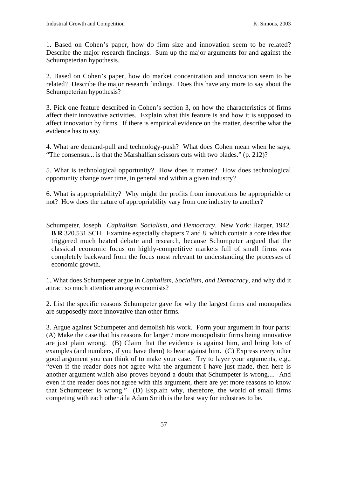1. Based on Cohen's paper, how do firm size and innovation seem to be related? Describe the major research findings. Sum up the major arguments for and against the Schumpeterian hypothesis.

2. Based on Cohen's paper, how do market concentration and innovation seem to be related? Describe the major research findings. Does this have any more to say about the Schumpeterian hypothesis?

3. Pick one feature described in Cohen's section 3, on how the characteristics of firms affect their innovative activities. Explain what this feature is and how it is supposed to affect innovation by firms. If there is empirical evidence on the matter, describe what the evidence has to say.

4. What are demand-pull and technology-push? What does Cohen mean when he says, "The consensus... is that the Marshallian scissors cuts with two blades." (p. 212)?

5. What is technological opportunity? How does it matter? How does technological opportunity change over time, in general and within a given industry?

6. What is appropriability? Why might the profits from innovations be appropriable or not? How does the nature of appropriability vary from one industry to another?

Schumpeter, Joseph. *Capitalism, Socialism, and Democracy*. New York: Harper, 1942. **B R** 320.531 SCH. Examine especially chapters 7 and 8, which contain a core idea that triggered much heated debate and research, because Schumpeter argued that the classical economic focus on highly-competitive markets full of small firms was completely backward from the focus most relevant to understanding the processes of economic growth.

1. What does Schumpeter argue in *Capitalism, Socialism, and Democracy*, and why did it attract so much attention among economists?

2. List the specific reasons Schumpeter gave for why the largest firms and monopolies are supposedly more innovative than other firms.

3. Argue against Schumpeter and demolish his work. Form your argument in four parts: (A) Make the case that his reasons for larger / more monopolistic firms being innovative are just plain wrong. (B) Claim that the evidence is against him, and bring lots of examples (and numbers, if you have them) to bear against him. (C) Express every other good argument you can think of to make your case. Try to layer your arguments, e.g., "even if the reader does not agree with the argument I have just made, then here is another argument which also proves beyond a doubt that Schumpeter is wrong.... And even if the reader does not agree with this argument, there are yet more reasons to know that Schumpeter is wrong." (D) Explain why, therefore, the world of small firms competing with each other á la Adam Smith is the best way for industries to be.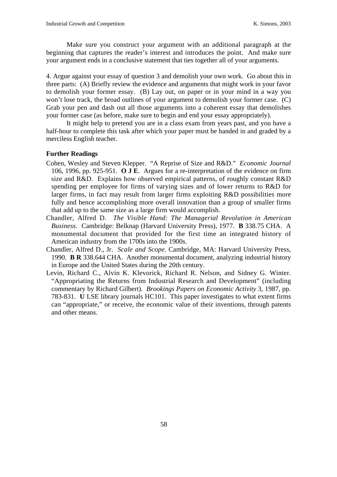Make sure you construct your argument with an additional paragraph at the beginning that captures the reader's interest and introduces the point. And make sure your argument ends in a conclusive statement that ties together all of your arguments.

4. Argue against your essay of question 3 and demolish your own work. Go about this in three parts: (A) Briefly review the evidence and arguments that might work in your favor to demolish your former essay. (B) Lay out, on paper or in your mind in a way you won't lose track, the broad outlines of your argument to demolish your former case. (C) Grab your pen and dash out all those arguments into a coherent essay that demolishes your former case (as before, make sure to begin and end your essay appropriately).

It might help to pretend you are in a class exam from years past, and you have a half-hour to complete this task after which your paper must be handed in and graded by a merciless English teacher.

#### **Further Readings**

- Cohen, Wesley and Steven Klepper. "A Reprise of Size and R&D." *Economic Journal* 106, 1996, pp. 925-951. **O J E**. Argues for a re-interpretation of the evidence on firm size and R&D. Explains how observed empirical patterns, of roughly constant R&D spending per employee for firms of varying sizes and of lower returns to R&D for larger firms, in fact may result from larger firms exploiting R&D possibilities more fully and hence accomplishing more overall innovation than a group of smaller firms that add up to the same size as a large firm would accomplish.
- Chandler, Alfred D. *The Visible Hand: The Managerial Revolution in American Business*. Cambridge: Belknap (Harvard University Press), 1977. **B** 338.75 CHA. A monumental document that provided for the first time an integrated history of American industry from the 1700s into the 1900s.
- Chandler, Alfred D., Jr. *Scale and Scope*. Cambridge, MA: Harvard University Press, 1990. **B R** 338.644 CHA. Another monumental document, analyzing industrial history in Europe and the United States during the 20th century.
- Levin, Richard C., Alvin K. Klevorick, Richard R. Nelson, and Sidney G. Winter. "Appropriating the Returns from Industrial Research and Development" (including commentary by Richard Gilbert). *Brookings Papers on Economic Activity* 3, 1987, pp. 783-831. **U** LSE library journals HC101. This paper investigates to what extent firms can "appropriate," or receive, the economic value of their inventions, through patents and other means.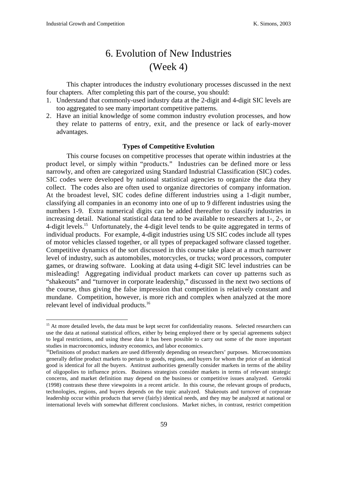## 6. Evolution of New Industries (Week 4)

This chapter introduces the industry evolutionary processes discussed in the next four chapters. After completing this part of the course, you should:

- 1. Understand that commonly-used industry data at the 2-digit and 4-digit SIC levels are too aggregated to see many important competitive patterns.
- 2. Have an initial knowledge of some common industry evolution processes, and how they relate to patterns of entry, exit, and the presence or lack of early-mover advantages.

#### **Types of Competitive Evolution**

This course focuses on competitive processes that operate within industries at the product level, or simply within "products." Industries can be defined more or less narrowly, and often are categorized using Standard Industrial Classification (SIC) codes. SIC codes were developed by national statistical agencies to organize the data they collect. The codes also are often used to organize directories of company information. At the broadest level, SIC codes define different industries using a 1-digit number, classifying all companies in an economy into one of up to 9 different industries using the numbers 1-9. Extra numerical digits can be added thereafter to classify industries in increasing detail. National statistical data tend to be available to researchers at 1-, 2-, or 4-digit levels.<sup>15</sup> Unfortunately, the 4-digit level tends to be quite aggregated in terms of individual products. For example, 4-digit industries using US SIC codes include all types of motor vehicles classed together, or all types of prepackaged software classed together. Competitive dynamics of the sort discussed in this course take place at a much narrower level of industry, such as automobiles, motorcycles, or trucks; word processors, computer games, or drawing software. Looking at data using 4-digit SIC level industries can be misleading! Aggregating individual product markets can cover up patterns such as "shakeouts" and "turnover in corporate leadership," discussed in the next two sections of the course, thus giving the false impression that competition is relatively constant and mundane. Competition, however, is more rich and complex when analyzed at the more relevant level of individual products.<sup>16</sup>

<sup>&</sup>lt;sup>15</sup> At more detailed levels, the data must be kept secret for confidentiality reasons. Selected researchers can use the data at national statistical offices, either by being employed there or by special agreements subject to legal restrictions, and using these data it has been possible to carry out some of the more important studies in macroeconomics, industry economics, and labor economics.

<sup>&</sup>lt;sup>16</sup>Definitions of product markets are used differently depending on researchers' purposes. Microeconomists generally define product markets to pertain to goods, regions, and buyers for whom the price of an identical good is identical for all the buyers. Antitrust authorities generally consider markets in terms of the ability of oligopolies to influence prices. Business strategists consider markets in terms of relevant strategic concerns, and market definition may depend on the business or competitive issues analyzed. Geroski (1998) contrasts these three viewpoints in a recent article. In this course, the relevant groups of products, technologies, regions, and buyers depends on the topic analyzed. Shakeouts and turnover of corporate leadership occur within products that serve (fairly) identical needs, and they may be analyzed at national or international levels with somewhat different conclusions. Market niches, in contrast, restrict competition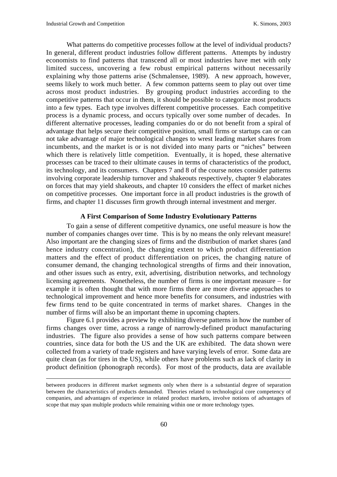$\overline{a}$ 

What patterns do competitive processes follow at the level of individual products? In general, different product industries follow different patterns. Attempts by industry economists to find patterns that transcend all or most industries have met with only limited success, uncovering a few robust empirical patterns without necessarily explaining why those patterns arise (Schmalensee, 1989). A new approach, however, seems likely to work much better. A few common patterns seem to play out over time across most product industries. By grouping product industries according to the competitive patterns that occur in them, it should be possible to categorize most products into a few types. Each type involves different competitive processes. Each competitive process is a dynamic process, and occurs typically over some number of decades. In different alternative processes, leading companies do or do not benefit from a spiral of advantage that helps secure their competitive position, small firms or startups can or can not take advantage of major technological changes to wrest leading market shares from incumbents, and the market is or is not divided into many parts or "niches" between which there is relatively little competition. Eventually, it is hoped, these alternative processes can be traced to their ultimate causes in terms of characteristics of the product, its technology, and its consumers. Chapters 7 and 8 of the course notes consider patterns involving corporate leadership turnover and shakeouts respectively, chapter 9 elaborates on forces that may yield shakeouts, and chapter 10 considers the effect of market niches on competitive processes. One important force in all product industries is the growth of firms, and chapter 11 discusses firm growth through internal investment and merger.

#### **A First Comparison of Some Industry Evolutionary Patterns**

To gain a sense of different competitive dynamics, one useful measure is how the number of companies changes over time. This is by no means the only relevant measure! Also important are the changing sizes of firms and the distribution of market shares (and hence industry concentration), the changing extent to which product differentiation matters and the effect of product differentiation on prices, the changing nature of consumer demand, the changing technological strengths of firms and their innovation, and other issues such as entry, exit, advertising, distribution networks, and technology licensing agreements. Nonetheless, the number of firms is one important measure – for example it is often thought that with more firms there are more diverse approaches to technological improvement and hence more benefits for consumers, and industries with few firms tend to be quite concentrated in terms of market shares. Changes in the number of firms will also be an important theme in upcoming chapters.

Figure 6.1 provides a preview by exhibiting diverse patterns in how the number of firms changes over time, across a range of narrowly-defined product manufacturing industries. The figure also provides a sense of how such patterns compare between countries, since data for both the US and the UK are exhibited. The data shown were collected from a variety of trade registers and have varying levels of error. Some data are quite clean (as for tires in the US), while others have problems such as lack of clarity in product definition (phonograph records). For most of the products, data are available

between producers in different market segments only when there is a substantial degree of separation between the characteristics of products demanded. Theories related to technological core competency of companies, and advantages of experience in related product markets, involve notions of advantages of scope that may span multiple products while remaining within one or more technology types.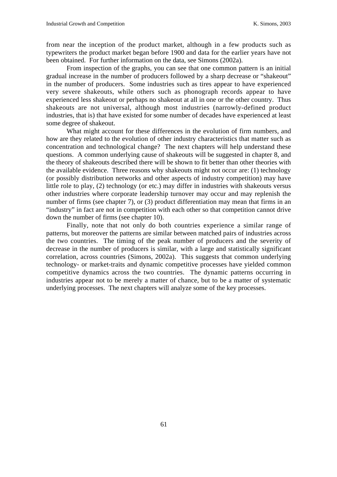from near the inception of the product market, although in a few products such as typewriters the product market began before 1900 and data for the earlier years have not been obtained. For further information on the data, see Simons (2002a).

From inspection of the graphs, you can see that one common pattern is an initial gradual increase in the number of producers followed by a sharp decrease or "shakeout" in the number of producers. Some industries such as tires appear to have experienced very severe shakeouts, while others such as phonograph records appear to have experienced less shakeout or perhaps no shakeout at all in one or the other country. Thus shakeouts are not universal, although most industries (narrowly-defined product industries, that is) that have existed for some number of decades have experienced at least some degree of shakeout.

What might account for these differences in the evolution of firm numbers, and how are they related to the evolution of other industry characteristics that matter such as concentration and technological change? The next chapters will help understand these questions. A common underlying cause of shakeouts will be suggested in chapter 8, and the theory of shakeouts described there will be shown to fit better than other theories with the available evidence. Three reasons why shakeouts might not occur are: (1) technology (or possibly distribution networks and other aspects of industry competition) may have little role to play, (2) technology (or etc.) may differ in industries with shakeouts versus other industries where corporate leadership turnover may occur and may replenish the number of firms (see chapter 7), or (3) product differentiation may mean that firms in an "industry" in fact are not in competition with each other so that competition cannot drive down the number of firms (see chapter 10).

Finally, note that not only do both countries experience a similar range of patterns, but moreover the patterns are similar between matched pairs of industries across the two countries. The timing of the peak number of producers and the severity of decrease in the number of producers is similar, with a large and statistically significant correlation, across countries (Simons, 2002a). This suggests that common underlying technology- or market-traits and dynamic competitive processes have yielded common competitive dynamics across the two countries. The dynamic patterns occurring in industries appear not to be merely a matter of chance, but to be a matter of systematic underlying processes. The next chapters will analyze some of the key processes.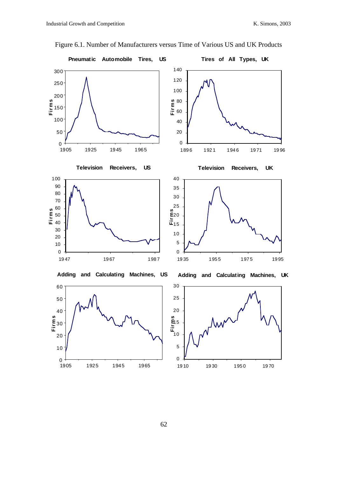

Figure 6.1. Number of Manufacturers versus Time of Various US and UK Products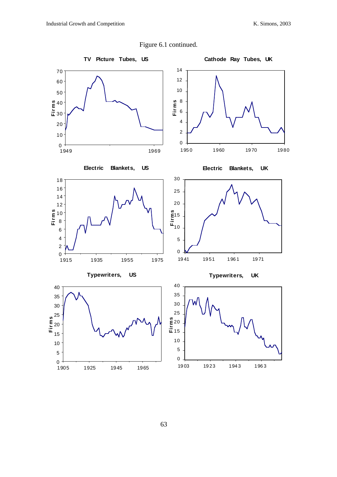

Figure 6.1 continued.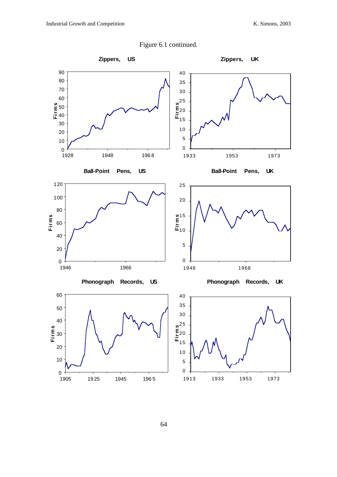

Figure 6.1 continued.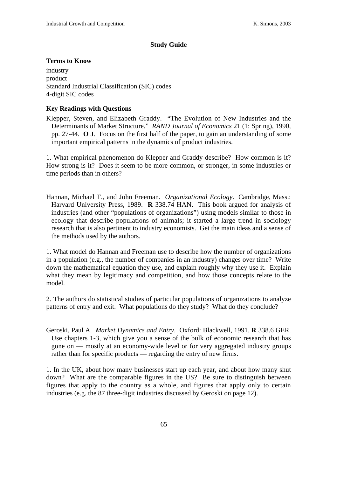#### **Study Guide**

#### **Terms to Know**

industry product Standard Industrial Classification (SIC) codes 4-digit SIC codes

### **Key Readings with Questions**

Klepper, Steven, and Elizabeth Graddy. "The Evolution of New Industries and the Determinants of Market Structure." *RAND Journal of Economics* 21 (1: Spring), 1990, pp. 27-44. **O J**. Focus on the first half of the paper, to gain an understanding of some important empirical patterns in the dynamics of product industries.

1. What empirical phenomenon do Klepper and Graddy describe? How common is it? How strong is it? Does it seem to be more common, or stronger, in some industries or time periods than in others?

Hannan, Michael T., and John Freeman. *Organizational Ecology*. Cambridge, Mass.: Harvard University Press, 1989. **R** 338.74 HAN. This book argued for analysis of industries (and other "populations of organizations") using models similar to those in ecology that describe populations of animals; it started a large trend in sociology research that is also pertinent to industry economists. Get the main ideas and a sense of the methods used by the authors.

1. What model do Hannan and Freeman use to describe how the number of organizations in a population (e.g., the number of companies in an industry) changes over time? Write down the mathematical equation they use, and explain roughly why they use it. Explain what they mean by legitimacy and competition, and how those concepts relate to the model.

2. The authors do statistical studies of particular populations of organizations to analyze patterns of entry and exit. What populations do they study? What do they conclude?

Geroski, Paul A. *Market Dynamics and Entry*. Oxford: Blackwell, 1991. **R** 338.6 GER. Use chapters 1-3, which give you a sense of the bulk of economic research that has gone on — mostly at an economy-wide level or for very aggregated industry groups rather than for specific products — regarding the entry of new firms.

1. In the UK, about how many businesses start up each year, and about how many shut down? What are the comparable figures in the US? Be sure to distinguish between figures that apply to the country as a whole, and figures that apply only to certain industries (e.g. the 87 three-digit industries discussed by Geroski on page 12).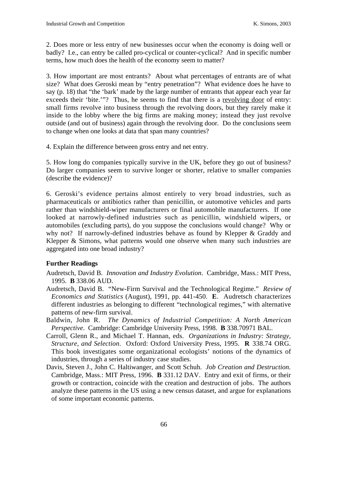2. Does more or less entry of new businesses occur when the economy is doing well or badly? I.e., can entry be called pro-cyclical or counter-cyclical? And in specific number terms, how much does the health of the economy seem to matter?

3. How important are most entrants? About what percentages of entrants are of what size? What does Geroski mean by "entry penetration"? What evidence does he have to say (p. 18) that "the 'bark' made by the large number of entrants that appear each year far exceeds their 'bite.'"? Thus, he seems to find that there is a revolving door of entry: small firms revolve into business through the revolving doors, but they rarely make it inside to the lobby where the big firms are making money; instead they just revolve outside (and out of business) again through the revolving door. Do the conclusions seem to change when one looks at data that span many countries?

4. Explain the difference between gross entry and net entry.

5. How long do companies typically survive in the UK, before they go out of business? Do larger companies seem to survive longer or shorter, relative to smaller companies (describe the evidence)?

6. Geroski's evidence pertains almost entirely to very broad industries, such as pharmaceuticals or antibiotics rather than penicillin, or automotive vehicles and parts rather than windshield-wiper manufacturers or final automobile manufacturers. If one looked at narrowly-defined industries such as penicillin, windshield wipers, or automobiles (excluding parts), do you suppose the conclusions would change? Why or why not? If narrowly-defined industries behave as found by Klepper & Graddy and Klepper & Simons, what patterns would one observe when many such industries are aggregated into one broad industry?

#### **Further Readings**

- Audretsch, David B. *Innovation and Industry Evolution*. Cambridge, Mass.: MIT Press, 1995. **B** 338.06 AUD.
- Audretsch, David B. "New-Firm Survival and the Technological Regime." *Review of Economics and Statistics* (August), 1991, pp. 441-450. **E**. Audretsch characterizes different industries as belonging to different "technological regimes," with alternative patterns of new-firm survival.
- Baldwin, John R. *The Dynamics of Industrial Competition: A North American Perspective*. Cambridge: Cambridge University Press, 1998. **B** 338.70971 BAL.
- Carroll, Glenn R., and Michael T. Hannan, eds. *Organizations in Industry: Strategy, Structure, and Selection*. Oxford: Oxford University Press, 1995. **R** 338.74 ORG. This book investigates some organizational ecologists' notions of the dynamics of industries, through a series of industry case studies.
- Davis, Steven J., John C. Haltiwanger, and Scott Schuh. *Job Creation and Destruction*. Cambridge, Mass.: MIT Press, 1996. **B** 331.12 DAV. Entry and exit of firms, or their growth or contraction, coincide with the creation and destruction of jobs. The authors analyze these patterns in the US using a new census dataset, and argue for explanations of some important economic patterns.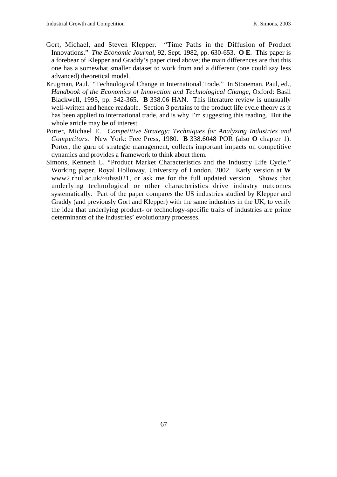- Gort, Michael, and Steven Klepper. "Time Paths in the Diffusion of Product Innovations." *The Economic Journal*, 92, Sept. 1982, pp. 630-653. **O E**. This paper is a forebear of Klepper and Graddy's paper cited above; the main differences are that this one has a somewhat smaller dataset to work from and a different (one could say less advanced) theoretical model.
- Krugman, Paul. "Technological Change in International Trade." In Stoneman, Paul, ed., *Handbook of the Economics of Innovation and Technological Change*, Oxford: Basil Blackwell, 1995, pp. 342-365. **B** 338.06 HAN. This literature review is unusually well-written and hence readable. Section 3 pertains to the product life cycle theory as it has been applied to international trade, and is why I'm suggesting this reading. But the whole article may be of interest.
- Porter, Michael E. *Competitive Strategy: Techniques for Analyzing Industries and Competitors*. New York: Free Press, 1980. **B** 338.6048 POR (also **O** chapter 1). Porter, the guru of strategic management, collects important impacts on competitive dynamics and provides a framework to think about them.
- Simons, Kenneth L. "Product Market Characteristics and the Industry Life Cycle." Working paper, Royal Holloway, University of London, 2002. Early version at **W** www2.rhul.ac.uk/~uhss021, or ask me for the full updated version. Shows that underlying technological or other characteristics drive industry outcomes systematically. Part of the paper compares the US industries studied by Klepper and Graddy (and previously Gort and Klepper) with the same industries in the UK, to verify the idea that underlying product- or technology-specific traits of industries are prime determinants of the industries' evolutionary processes.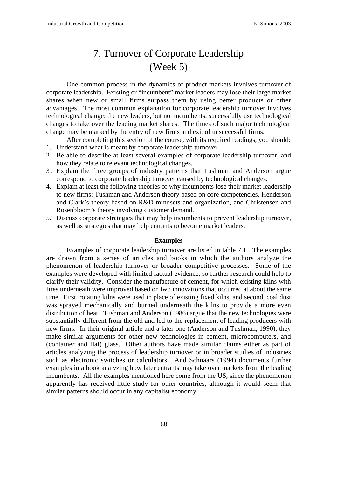## 7. Turnover of Corporate Leadership (Week 5)

One common process in the dynamics of product markets involves turnover of corporate leadership. Existing or "incumbent" market leaders may lose their large market shares when new or small firms surpass them by using better products or other advantages. The most common explanation for corporate leadership turnover involves technological change: the new leaders, but not incumbents, successfully use technological changes to take over the leading market shares. The times of such major technological change may be marked by the entry of new firms and exit of unsuccessful firms.

After completing this section of the course, with its required readings, you should: 1. Understand what is meant by corporate leadership turnover.

- 2. Be able to describe at least several examples of corporate leadership turnover, and how they relate to relevant technological changes.
- 3. Explain the three groups of industry patterns that Tushman and Anderson argue correspond to corporate leadership turnover caused by technological changes.
- 4. Explain at least the following theories of why incumbents lose their market leadership to new firms: Tushman and Anderson theory based on core competencies, Henderson and Clark's theory based on R&D mindsets and organization, and Christensen and Rosenbloom's theory involving customer demand.
- 5. Discuss corporate strategies that may help incumbents to prevent leadership turnover, as well as strategies that may help entrants to become market leaders.

#### **Examples**

Examples of corporate leadership turnover are listed in table 7.1. The examples are drawn from a series of articles and books in which the authors analyze the phenomenon of leadership turnover or broader competitive processes. Some of the examples were developed with limited factual evidence, so further research could help to clarify their validity. Consider the manufacture of cement, for which existing kilns with fires underneath were improved based on two innovations that occurred at about the same time. First, rotating kilns were used in place of existing fixed kilns, and second, coal dust was sprayed mechanically and burned underneath the kilns to provide a more even distribution of heat. Tushman and Anderson (1986) argue that the new technologies were substantially different from the old and led to the replacement of leading producers with new firms. In their original article and a later one (Anderson and Tushman, 1990), they make similar arguments for other new technologies in cement, microcomputers, and (container and flat) glass. Other authors have made similar claims either as part of articles analyzing the process of leadership turnover or in broader studies of industries such as electronic switches or calculators. And Schnaars (1994) documents further examples in a book analyzing how later entrants may take over markets from the leading incumbents. All the examples mentioned here come from the US, since the phenomenon apparently has received little study for other countries, although it would seem that similar patterns should occur in any capitalist economy.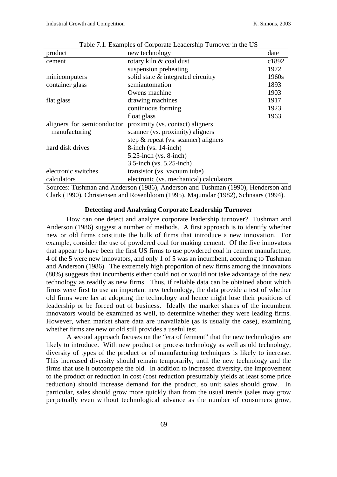| Table 7.1. Examples of Corporate Ecademing Turnover in the CD                  |                                                             |       |  |  |  |  |
|--------------------------------------------------------------------------------|-------------------------------------------------------------|-------|--|--|--|--|
| product                                                                        | new technology                                              |       |  |  |  |  |
| cement                                                                         | rotary kiln & coal dust                                     | c1892 |  |  |  |  |
|                                                                                | suspension preheating                                       | 1972  |  |  |  |  |
| minicomputers                                                                  | solid state & integrated circuitry                          |       |  |  |  |  |
| container glass                                                                | semiautomation                                              | 1893  |  |  |  |  |
|                                                                                | Owens machine                                               | 1903  |  |  |  |  |
| flat glass                                                                     | drawing machines                                            | 1917  |  |  |  |  |
|                                                                                | continuous forming                                          | 1923  |  |  |  |  |
|                                                                                | float glass                                                 | 1963  |  |  |  |  |
|                                                                                | aligners for semiconductor proximity (vs. contact) aligners |       |  |  |  |  |
| manufacturing                                                                  | scanner (vs. proximity) aligners                            |       |  |  |  |  |
|                                                                                | step & repeat (vs. scanner) aligners                        |       |  |  |  |  |
| hard disk drives                                                               | $8$ -inch (vs. 14-inch)                                     |       |  |  |  |  |
|                                                                                | $5.25$ -inch (vs. 8-inch)                                   |       |  |  |  |  |
|                                                                                | $3.5$ -inch (vs. $5.25$ -inch)                              |       |  |  |  |  |
| electronic switches                                                            | transistor (vs. vacuum tube)                                |       |  |  |  |  |
| calculators                                                                    | electronic (vs. mechanical) calculators                     |       |  |  |  |  |
| Sources: Tushman and Anderson (1086) Anderson and Tushman (1000) Handerson and |                                                             |       |  |  |  |  |

| Table 7.1. Examples of Corporate Leadership Turnover in the US |  |  |  |
|----------------------------------------------------------------|--|--|--|
|                                                                |  |  |  |
|                                                                |  |  |  |
|                                                                |  |  |  |

Sources: Tushman and Anderson (1986), Anderson and Tushman (1990), Henderson and Clark (1990), Christensen and Rosenbloom (1995), Majumdar (1982), Schnaars (1994).

## **Detecting and Analyzing Corporate Leadership Turnover**

How can one detect and analyze corporate leadership turnover? Tushman and Anderson (1986) suggest a number of methods. A first approach is to identify whether new or old firms constitute the bulk of firms that introduce a new innovation. For example, consider the use of powdered coal for making cement. Of the five innovators that appear to have been the first US firms to use powdered coal in cement manufacture, 4 of the 5 were new innovators, and only 1 of 5 was an incumbent, according to Tushman and Anderson (1986). The extremely high proportion of new firms among the innovators (80%) suggests that incumbents either could not or would not take advantage of the new technology as readily as new firms. Thus, if reliable data can be obtained about which firms were first to use an important new technology, the data provide a test of whether old firms were lax at adopting the technology and hence might lose their positions of leadership or be forced out of business. Ideally the market shares of the incumbent innovators would be examined as well, to determine whether they were leading firms. However, when market share data are unavailable (as is usually the case), examining whether firms are new or old still provides a useful test.

A second approach focuses on the "era of ferment" that the new technologies are likely to introduce. With new product or process technology as well as old technology, diversity of types of the product or of manufacturing techniques is likely to increase. This increased diversity should remain temporarily, until the new technology and the firms that use it outcompete the old. In addition to increased diversity, the improvement to the product or reduction in cost (cost reduction presumably yields at least some price reduction) should increase demand for the product, so unit sales should grow. In particular, sales should grow more quickly than from the usual trends (sales may grow perpetually even without technological advance as the number of consumers grow,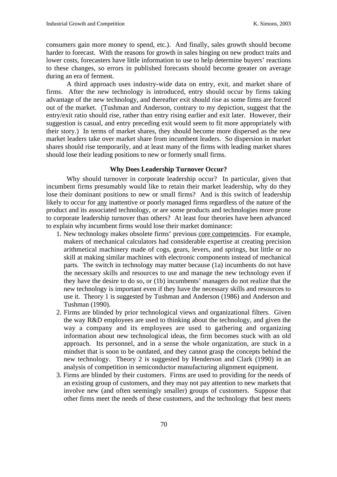consumers gain more money to spend, etc.). And finally, sales growth should become harder to forecast. With the reasons for growth in sales hinging on new product traits and lower costs, forecasters have little information to use to help determine buyers' reactions to these changes, so errors in published forecasts should become greater on average during an era of ferment.

A third approach uses industry-wide data on entry, exit, and market share of firms. After the new technology is introduced, entry should occur by firms taking advantage of the new technology, and thereafter exit should rise as some firms are forced out of the market. (Tushman and Anderson, contrary to my depiction, suggest that the entry/exit ratio should rise, rather than entry rising earlier and exit later. However, their suggestion is casual, and entry preceding exit would seem to fit more appropriately with their story.) In terms of market shares, they should become more dispersed as the new market leaders take over market share from incumbent leaders. So dispersion in market shares should rise temporarily, and at least many of the firms with leading market shares should lose their leading positions to new or formerly small firms.

#### **Why Does Leadership Turnover Occur?**

Why should turnover in corporate leadership occur? In particular, given that incumbent firms presumably would like to retain their market leadership, why do they lose their dominant positions to new or small firms? And is this switch of leadership likely to occur for any inattentive or poorly managed firms regardless of the nature of the product and its associated technology, or are some products and technologies more prone to corporate leadership turnover than others? At least four theories have been advanced to explain why incumbent firms would lose their market dominance:

- 1. New technology makes obsolete firms' previous core competencies. For example, makers of mechanical calculators had considerable expertise at creating precision arithmetical machinery made of cogs, gears, levers, and springs, but little or no skill at making similar machines with electronic components instead of mechanical parts. The switch in technology may matter because (1a) incumbents do not have the necessary skills and resources to use and manage the new technology even if they have the desire to do so, or (1b) incumbents' managers do not realize that the new technology is important even if they have the necessary skills and resources to use it. Theory 1 is suggested by Tushman and Anderson (1986) and Anderson and Tushman (1990).
- 2. Firms are blinded by prior technological views and organizational filters. Given the way R&D employees are used to thinking about the technology, and given the way a company and its employees are used to gathering and organizing information about new technological ideas, the firm becomes stuck with an old approach. Its personnel, and in a sense the whole organization, are stuck in a mindset that is soon to be outdated, and they cannot grasp the concepts behind the new technology. Theory 2 is suggested by Henderson and Clark (1990) in an analysis of competition in semiconductor manufacturing alignment equipment.
- 3. Firms are blinded by their customers. Firms are used to providing for the needs of an existing group of customers, and they may not pay attention to new markets that involve new (and often seemingly smaller) groups of customers. Suppose that other firms meet the needs of these customers, and the technology that best meets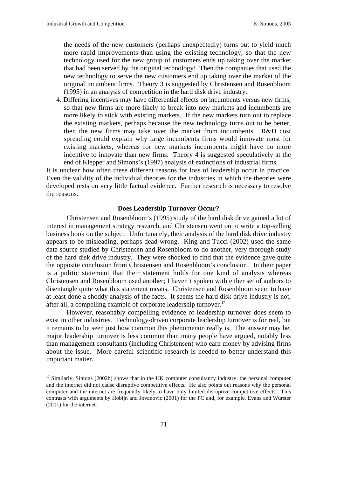the needs of the new customers (perhaps unexpectedly) turns out to yield much more rapid improvements than using the existing technology, so that the new technology used for the new group of customers ends up taking over the market that had been served by the original technology! Then the companies that used the new technology to serve the new customers end up taking over the market of the original incumbent firms. Theory 3 is suggested by Christensen and Rosenbloom (1995) in an analysis of competition in the hard disk drive industry.

4. Differing incentives may have differential effects on incumbents versus new firms, so that new firms are more likely to break into new markets and incumbents are more likely to stick with existing markets. If the new markets turn out to replace the existing markets, perhaps because the new technology turns out to be better, then the new firms may take over the market from incumbents. R&D cost spreading could explain why large incumbents firms would innovate most for existing markets, whereas for new markets incumbents might have no more incentive to innovate than new firms. Theory 4 is suggested speculatively at the end of Klepper and Simons's (1997) analysis of extinctions of industrial firms.

It is unclear how often these different reasons for loss of leadership occur in practice. Even the validity of the individual theories for the industries in which the theories were developed rests on very little factual evidence. Further research is necessary to resolve the reasons.

#### **Does Leadership Turnover Occur?**

Christensen and Rosenbloom's (1995) study of the hard disk drive gained a lot of interest in management strategy research, and Christensen went on to write a top-selling business book on the subject. Unfortunately, their analysis of the hard disk drive industry appears to be misleading, perhaps dead wrong. King and Tucci (2002) used the same data source studied by Christensen and Rosenbloom to do another, very thorough study of the hard disk drive industry. They were shocked to find that the evidence gave quite the opposite conclusion from Christensen and Rosenbloom's conclusion! In their paper is a politic statement that their statement holds for one kind of analysis whereas Christensen and Rosenbloom used another; I haven't spoken with either set of authors to disentangle quite what this statement means. Christensen and Rosenbloom seem to have at least done a shoddy analysis of the facts. It seems the hard disk drive industry is not, after all, a compelling example of corporate leadership turnover.<sup>17</sup>

However, reasonably compelling evidence of leadership turnover does seem to exist in other industries. Technology-driven corporate leadership turnover is for real, but it remains to be seen just how common this phenomenon really is. The answer may be, major leadership turnover is less common than many people have argued, notably less than management consultants (including Christensen) who earn money by advising firms about the issue. More careful scientific research is needed to better understand this important matter.

 $17$  Similarly, Simons (2002b) shows that in the UK computer consultancy industry, the personal computer and the internet did not cause disruptive competitive effects. He also points out reasons why the personal computer and the internet are frequently likely to have only limited disruptive competitive effects. This contrasts with arguments by Hobijn and Jovanovic (2001) for the PC and, for example, Evans and Wurster (2001) for the internet.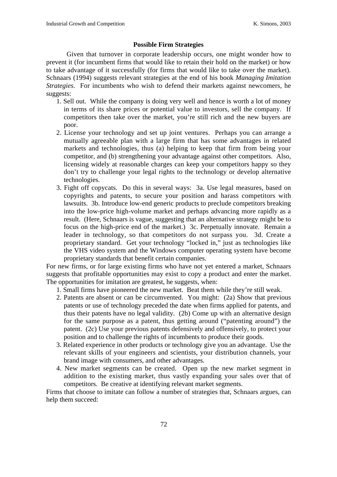## **Possible Firm Strategies**

Given that turnover in corporate leadership occurs, one might wonder how to prevent it (for incumbent firms that would like to retain their hold on the market) or how to take advantage of it successfully (for firms that would like to take over the market). Schnaars (1994) suggests relevant strategies at the end of his book *Managing Imitation Strategies*. For incumbents who wish to defend their markets against newcomers, he suggests:

- 1. Sell out. While the company is doing very well and hence is worth a lot of money in terms of its share prices or potential value to investors, sell the company. If competitors then take over the market, you're still rich and the new buyers are poor.
- 2. License your technology and set up joint ventures. Perhaps you can arrange a mutually agreeable plan with a large firm that has some advantages in related markets and technologies, thus (a) helping to keep that firm from being your competitor, and (b) strengthening your advantage against other competitors. Also, licensing widely at reasonable charges can keep your competitors happy so they don't try to challenge your legal rights to the technology or develop alternative technologies.
- 3. Fight off copycats. Do this in several ways: 3a. Use legal measures, based on copyrights and patents, to secure your position and harass competitors with lawsuits. 3b. Introduce low-end generic products to preclude competitors breaking into the low-price high-volume market and perhaps advancing more rapidly as a result. (Here, Schnaars is vague, suggesting that an alternative strategy might be to focus on the high-price end of the market.) 3c. Perpetually innovate. Remain a leader in technology, so that competitors do not surpass you. 3d. Create a proprietary standard. Get your technology "locked in," just as technologies like the VHS video system and the Windows computer operating system have become proprietary standards that benefit certain companies.

For new firms, or for large existing firms who have not yet entered a market, Schnaars suggests that profitable opportunities may exist to copy a product and enter the market. The opportunities for imitation are greatest, he suggests, when:

- 1. Small firms have pioneered the new market. Beat them while they're still weak.
- 2. Patents are absent or can be circumvented. You might: (2a) Show that previous patents or use of technology preceded the date when firms applied for patents, and thus their patents have no legal validity. (2b) Come up with an alternative design for the same purpose as a patent, thus getting around ("patenting around") the patent. (2c) Use your previous patents defensively and offensively, to protect your position and to challenge the rights of incumbents to produce their goods.
- 3. Related experience in other products or technology give you an advantage. Use the relevant skills of your engineers and scientists, your distribution channels, your brand image with consumers, and other advantages.
- 4. New market segments can be created. Open up the new market segment in addition to the existing market, thus vastly expanding your sales over that of competitors. Be creative at identifying relevant market segments.

Firms that choose to imitate can follow a number of strategies that, Schnaars argues, can help them succeed: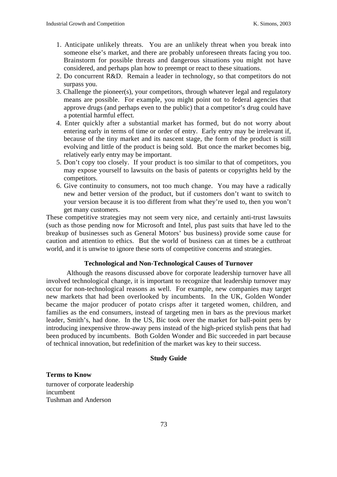- 1. Anticipate unlikely threats. You are an unlikely threat when you break into someone else's market, and there are probably unforeseen threats facing you too. Brainstorm for possible threats and dangerous situations you might not have considered, and perhaps plan how to preempt or react to these situations.
- 2. Do concurrent R&D. Remain a leader in technology, so that competitors do not surpass you.
- 3. Challenge the pioneer(s), your competitors, through whatever legal and regulatory means are possible. For example, you might point out to federal agencies that approve drugs (and perhaps even to the public) that a competitor's drug could have a potential harmful effect.
- 4. Enter quickly after a substantial market has formed, but do not worry about entering early in terms of time or order of entry. Early entry may be irrelevant if, because of the tiny market and its nascent stage, the form of the product is still evolving and little of the product is being sold. But once the market becomes big, relatively early entry may be important.
- 5. Don't copy too closely. If your product is too similar to that of competitors, you may expose yourself to lawsuits on the basis of patents or copyrights held by the competitors.
- 6. Give continuity to consumers, not too much change. You may have a radically new and better version of the product, but if customers don't want to switch to your version because it is too different from what they're used to, then you won't get many customers.

These competitive strategies may not seem very nice, and certainly anti-trust lawsuits (such as those pending now for Microsoft and Intel, plus past suits that have led to the breakup of businesses such as General Motors' bus business) provide some cause for caution and attention to ethics. But the world of business can at times be a cutthroat world, and it is unwise to ignore these sorts of competitive concerns and strategies.

#### **Technological and Non-Technological Causes of Turnover**

Although the reasons discussed above for corporate leadership turnover have all involved technological change, it is important to recognize that leadership turnover may occur for non-technological reasons as well. For example, new companies may target new markets that had been overlooked by incumbents. In the UK, Golden Wonder became the major producer of potato crisps after it targeted women, children, and families as the end consumers, instead of targeting men in bars as the previous market leader, Smith's, had done. In the US, Bic took over the market for ball-point pens by introducing inexpensive throw-away pens instead of the high-priced stylish pens that had been produced by incumbents. Both Golden Wonder and Bic succeeded in part because of technical innovation, but redefinition of the market was key to their success.

#### **Study Guide**

#### **Terms to Know**

turnover of corporate leadership incumbent Tushman and Anderson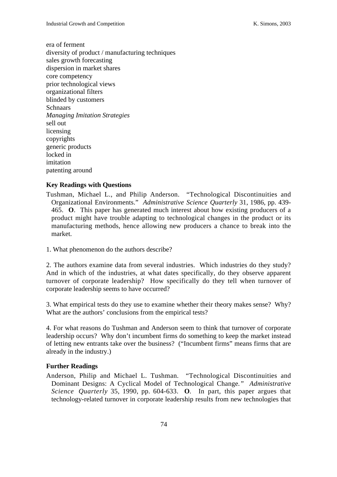era of ferment diversity of product / manufacturing techniques sales growth forecasting dispersion in market shares core competency prior technological views organizational filters blinded by customers Schnaars *Managing Imitation Strategies* sell out licensing copyrights generic products locked in imitation patenting around

### **Key Readings with Questions**

Tushman, Michael L., and Philip Anderson. "Technological Discontinuities and Organizational Environments." *Administrative Science Quarterly* 31, 1986, pp. 439- 465. **O**. This paper has generated much interest about how existing producers of a product might have trouble adapting to technological changes in the product or its manufacturing methods, hence allowing new producers a chance to break into the market.

1. What phenomenon do the authors describe?

2. The authors examine data from several industries. Which industries do they study? And in which of the industries, at what dates specifically, do they observe apparent turnover of corporate leadership? How specifically do they tell when turnover of corporate leadership seems to have occurred?

3. What empirical tests do they use to examine whether their theory makes sense? Why? What are the authors' conclusions from the empirical tests?

4. For what reasons do Tushman and Anderson seem to think that turnover of corporate leadership occurs? Why don't incumbent firms do something to keep the market instead of letting new entrants take over the business? ("Incumbent firms" means firms that are already in the industry.)

#### **Further Readings**

Anderson, Philip and Michael L. Tushman. "Technological Discontinuities and Dominant Designs: A Cyclical Model of Technological Change*." Administrative Science Quarterly* 35, 1990, pp. 604-633. **O**. In part, this paper argues that technology-related turnover in corporate leadership results from new technologies that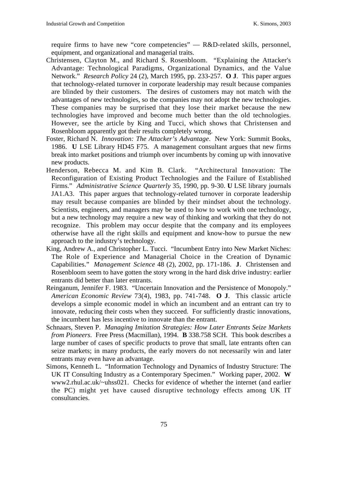require firms to have new "core competencies" — R&D-related skills, personnel, equipment, and organizational and managerial traits.

- Christensen, Clayton M., and Richard S. Rosenbloom. "Explaining the Attacker's Advantage: Technological Paradigms, Organizational Dynamics, and the Value Network." *Research Policy* 24 (2), March 1995, pp. 233-257. **O J**. This paper argues that technology-related turnover in corporate leadership may result because companies are blinded by their customers. The desires of customers may not match with the advantages of new technologies, so the companies may not adopt the new technologies. These companies may be surprised that they lose their market because the new technologies have improved and become much better than the old technologies. However, see the article by King and Tucci, which shows that Christensen and Rosenbloom apparently got their results completely wrong.
- Foster, Richard N. *Innovation: The Attacker's Advantage*. New York: Summit Books, 1986. **U** LSE Library HD45 F75. A management consultant argues that new firms break into market positions and triumph over incumbents by coming up with innovative new products.
- Henderson, Rebecca M. and Kim B. Clark. "Architectural Innovation: The Reconfiguration of Existing Product Technologies and the Failure of Established Firms." *Administrative Science Quarterly* 35, 1990, pp. 9-30. **U** LSE library journals JA1.A3. This paper argues that technology-related turnover in corporate leadership may result because companies are blinded by their mindset about the technology. Scientists, engineers, and managers may be used to how to work with one technology, but a new technology may require a new way of thinking and working that they do not recognize. This problem may occur despite that the company and its employees otherwise have all the right skills and equipment and know-how to pursue the new approach to the industry's technology.
- King, Andrew A., and Christopher L. Tucci. "Incumbent Entry into New Market Niches: The Role of Experience and Managerial Choice in the Creation of Dynamic Capabilities." *Management Science* 48 (2), 2002, pp. 171-186. **J**. Christensen and Rosenbloom seem to have gotten the story wrong in the hard disk drive industry: earlier entrants did better than later entrants.
- Reinganum, Jennifer F. 1983. "Uncertain Innovation and the Persistence of Monopoly." *American Economic Review* 73(4), 1983, pp. 741-748. **O J**. This classic article develops a simple economic model in which an incumbent and an entrant can try to innovate, reducing their costs when they succeed. For sufficiently drastic innovations, the incumbent has less incentive to innovate than the entrant.
- Schnaars, Steven P. *Managing Imitation Strategies: How Later Entrants Seize Markets from Pioneers*. Free Press (Macmillan), 1994. **B** 338.758 SCH. This book describes a large number of cases of specific products to prove that small, late entrants often can seize markets; in many products, the early movers do not necessarily win and later entrants may even have an advantage.
- Simons, Kenneth L. "Information Technology and Dynamics of Industry Structure: The UK IT Consulting Industry as a Contemporary Specimen." Working paper, 2002. **W** www2.rhul.ac.uk/~uhss021. Checks for evidence of whether the internet (and earlier the PC) might yet have caused disruptive technology effects among UK IT consultancies.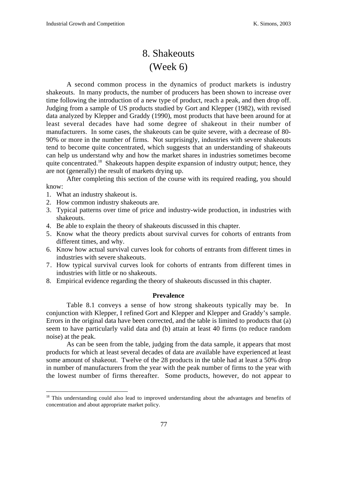# 8. Shakeouts (Week 6)

A second common process in the dynamics of product markets is industry shakeouts. In many products, the number of producers has been shown to increase over time following the introduction of a new type of product, reach a peak, and then drop off. Judging from a sample of US products studied by Gort and Klepper (1982), with revised data analyzed by Klepper and Graddy (1990), most products that have been around for at least several decades have had some degree of shakeout in their number of manufacturers. In some cases, the shakeouts can be quite severe, with a decrease of 80- 90% or more in the number of firms. Not surprisingly, industries with severe shakeouts tend to become quite concentrated, which suggests that an understanding of shakeouts can help us understand why and how the market shares in industries sometimes become quite concentrated.<sup>18</sup> Shakeouts happen despite expansion of industry output; hence, they are not (generally) the result of markets drying up.

After completing this section of the course with its required reading, you should know:

- 1. What an industry shakeout is.
- 2. How common industry shakeouts are.
- 3. Typical patterns over time of price and industry-wide production, in industries with shakeouts.
- 4. Be able to explain the theory of shakeouts discussed in this chapter.
- 5. Know what the theory predicts about survival curves for cohorts of entrants from different times, and why.
- 6. Know how actual survival curves look for cohorts of entrants from different times in industries with severe shakeouts.
- 7. How typical survival curves look for cohorts of entrants from different times in industries with little or no shakeouts.
- 8. Empirical evidence regarding the theory of shakeouts discussed in this chapter.

#### **Prevalence**

Table 8.1 conveys a sense of how strong shakeouts typically may be. In conjunction with Klepper, I refined Gort and Klepper and Klepper and Graddy's sample. Errors in the original data have been corrected, and the table is limited to products that (a) seem to have particularly valid data and (b) attain at least 40 firms (to reduce random noise) at the peak.

As can be seen from the table, judging from the data sample, it appears that most products for which at least several decades of data are available have experienced at least some amount of shakeout. Twelve of the 28 products in the table had at least a 50% drop in number of manufacturers from the year with the peak number of firms to the year with the lowest number of firms thereafter. Some products, however, do not appear to

<sup>&</sup>lt;sup>18</sup> This understanding could also lead to improved understanding about the advantages and benefits of concentration and about appropriate market policy.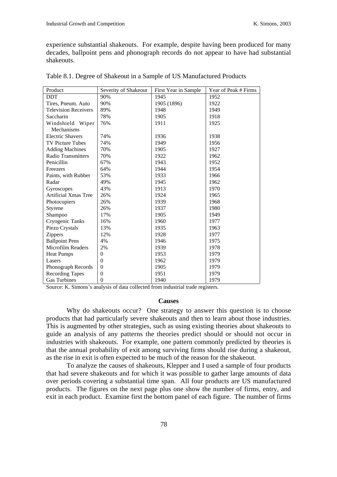experience substantial shakeouts. For example, despite having been produced for many decades, ballpoint pens and phonograph records do not appear to have had substantial shakeouts.

| Product                     | Severity of Shakeout | First Year in Sample | Year of Peak # Firms |
|-----------------------------|----------------------|----------------------|----------------------|
| <b>DDT</b>                  | 90%                  | 1945                 | 1952                 |
| Tires, Pneum. Auto          | 90%                  | 1905 (1896)          | 1922                 |
| <b>Television Receivers</b> | 89%                  | 1948                 | 1949                 |
| Saccharin                   | 78%                  | 1905                 | 1918                 |
| Windshield Wiper            | 76%                  | 1911                 | 1925                 |
| Mechanisms                  |                      |                      |                      |
| <b>Electric Shavers</b>     | 74%                  | 1936                 | 1938                 |
| <b>TV Picture Tubes</b>     | 74%                  | 1949                 | 1956                 |
| <b>Adding Machines</b>      | 70%                  | 1905                 | 1927                 |
| <b>Radio Transmitters</b>   | 70%                  | 1922                 | 1962                 |
| Penicillin                  | 67%                  | 1943                 | 1952                 |
| Freezers                    | 64%                  | 1944                 | 1954                 |
| Paints, with Rubber         | 53%                  | 1933                 | 1966                 |
| Radar                       | 49%                  | 1945                 | 1962                 |
| Gyroscopes                  | 43%                  | 1913                 | 1970                 |
| <b>Artificial Xmas Tree</b> | 26%                  | 1924                 | 1965                 |
| Photocopiers                | 26%                  | 1939                 | 1968                 |
| Styrene                     | 26%                  | 1937                 | 1980                 |
| Shampoo                     | 17%                  | 1905                 | 1949                 |
| Cryogenic Tanks             | 16%                  | 1960                 | 1977                 |
| Piezo Crystals              | 13%                  | 1935                 | 1963                 |
| <b>Zippers</b>              | 12%                  | 1928                 | 1977                 |
| <b>Ballpoint Pens</b>       | 4%                   | 1946                 | 1975                 |
| <b>Microfilm Readers</b>    | 2%                   | 1939                 | 1978                 |
| <b>Heat Pumps</b>           | $\boldsymbol{0}$     | 1953                 | 1979                 |
| Lasers                      | $\theta$             | 1962                 | 1979                 |
| Phonograph Records          | $\theta$             | 1905                 | 1979                 |
| <b>Recording Tapes</b>      | $\boldsymbol{0}$     | 1951                 | 1979                 |
| Gas Turbines                | $\boldsymbol{0}$     | 1940                 | 1979                 |

Source: K. Simons's analysis of data collected from industrial trade registers.

### **Causes**

Why do shakeouts occur? One strategy to answer this question is to choose products that had particularly severe shakeouts and then to learn about those industries. This is augmented by other strategies, such as using existing theories about shakeouts to guide an analysis of any patterns the theories predict should or should not occur in industries with shakeouts. For example, one pattern commonly predicted by theories is that the annual probability of exit among surviving firms should rise during a shakeout, as the rise in exit is often expected to be much of the reason for the shakeout.

To analyze the causes of shakeouts, Klepper and I used a sample of four products that had severe shakeouts and for which it was possible to gather large amounts of data over periods covering a substantial time span. All four products are US manufactured products. The figures on the next page plus one show the number of firms, entry, and exit in each product. Examine first the bottom panel of each figure. The number of firms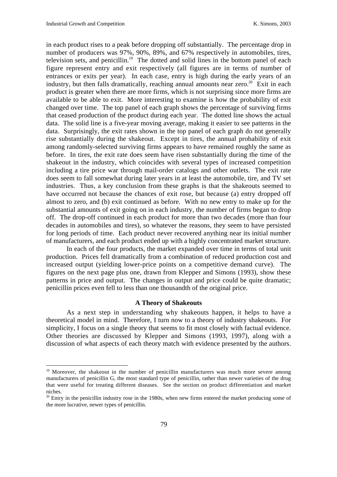in each product rises to a peak before dropping off substantially. The percentage drop in number of producers was 97%, 90%, 89%, and 67% respectively in automobiles, tires, television sets, and penicillin.<sup>19</sup> The dotted and solid lines in the bottom panel of each figure represent entry and exit respectively (all figures are in terms of number of entrances or exits per year). In each case, entry is high during the early years of an industry, but then falls dramatically, reaching annual amounts near zero.<sup>20</sup> Exit in each product is greater when there are more firms, which is not surprising since more firms are available to be able to exit. More interesting to examine is how the probability of exit changed over time. The top panel of each graph shows the percentage of surviving firms that ceased production of the product during each year. The dotted line shows the actual data. The solid line is a five-year moving average, making it easier to see patterns in the data. Surprisingly, the exit rates shown in the top panel of each graph do not generally rise substantially during the shakeout. Except in tires, the annual probability of exit among randomly-selected surviving firms appears to have remained roughly the same as before. In tires, the exit rate does seem have risen substantially during the time of the shakeout in the industry, which coincides with several types of increased competition including a tire price war through mail-order catalogs and other outlets. The exit rate does seem to fall somewhat during later years in at least the automobile, tire, and TV set industries. Thus, a key conclusion from these graphs is that the shakeouts seemed to have occurred not because the chances of exit rose, but because (a) entry dropped off almost to zero, and (b) exit continued as before. With no new entry to make up for the substantial amounts of exit going on in each industry, the number of firms began to drop off. The drop-off continued in each product for more than two decades (more than four decades in automobiles and tires), so whatever the reasons, they seem to have persisted for long periods of time. Each product never recovered anything near its initial number of manufacturers, and each product ended up with a highly concentrated market structure.

In each of the four products, the market expanded over time in terms of total unit production. Prices fell dramatically from a combination of reduced production cost and increased output (yielding lower-price points on a competitive demand curve). The figures on the next page plus one, drawn from Klepper and Simons (1993), show these patterns in price and output. The changes in output and price could be quite dramatic; penicillin prices even fell to less than one thousandth of the original price.

#### **A Theory of Shakeouts**

As a next step in understanding why shakeouts happen, it helps to have a theoretical model in mind. Therefore, I turn now to a theory of industry shakeouts. For simplicity, I focus on a single theory that seems to fit most closely with factual evidence. Other theories are discussed by Klepper and Simons (1993, 1997), along with a discussion of what aspects of each theory match with evidence presented by the authors.

 $19$  Moreover, the shakeout in the number of penicillin manufacturers was much more severe among manufacturers of penicillin G, the most standard type of penicillin, rather than newer varieties of the drug that were useful for treating different diseases. See the section on product differentiation and market niches.

 $20$  Entry in the penicillin industry rose in the 1980s, when new firms entered the market producing some of the more lucrative, newer types of penicillin.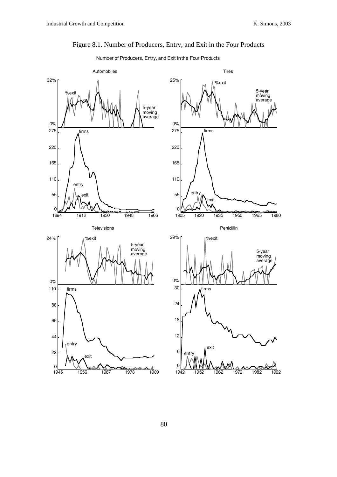

Number of Producers, Entry, and Exit in the Four Products

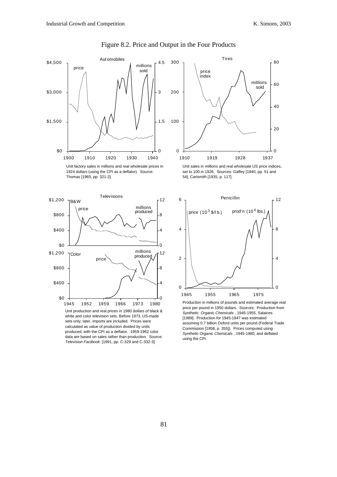0

20

40

60

80



#### Figure 8.2. Price and Output in the Four Products

Unit factory sales in millions and real wholesale prices in 1924 dollars (using the CPI as a deflator). Source: Thomas [1965, pp. 321-2].



Unit sales in millions and real wholesale US price indices, set to 100 in 1926. Sources: Gaffey [1940, pp. 51 and 54], Carlsmith [1935, p. 117].



Production in millions of pounds and estimated average real price per pound in 1950 dollars. Sources: Production from Synthetic Organic Chemicals , 1945-1955, Salaices [1989]. Production for 1945-1947 was estimated assuming 0.7 billion Oxford units per pound (Federal Trade Commission [1958, p. 355]). Prices computed using Synthetic Organic Chemicals , 1945-1980, and deflated using the CPI.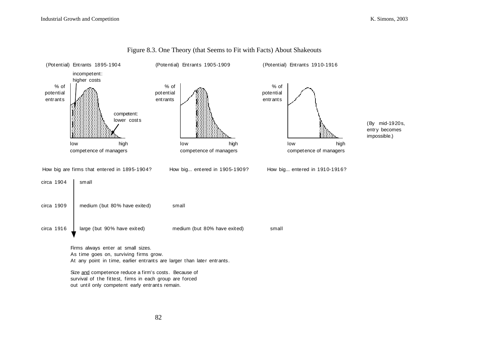

Figure 8.3. One Theory (that Seems to Fit with Facts) About Shakeouts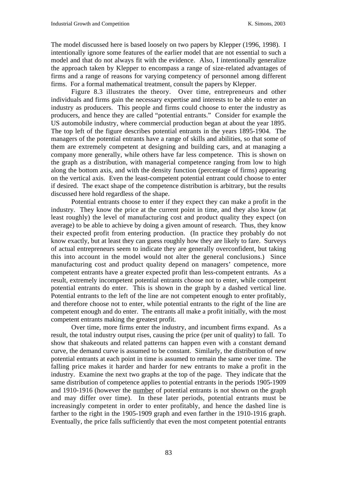The model discussed here is based loosely on two papers by Klepper (1996, 1998). I intentionally ignore some features of the earlier model that are not essential to such a model and that do not always fit with the evidence. Also, I intentionally generalize the approach taken by Klepper to encompass a range of size-related advantages of firms and a range of reasons for varying competency of personnel among different firms. For a formal mathematical treatment, consult the papers by Klepper.

Figure 8.3 illustrates the theory. Over time, entrepreneurs and other individuals and firms gain the necessary expertise and interests to be able to enter an industry as producers. This people and firms could choose to enter the industry as producers, and hence they are called "potential entrants." Consider for example the US automobile industry, where commercial production began at about the year 1895. The top left of the figure describes potential entrants in the years 1895-1904. The managers of the potential entrants have a range of skills and abilities, so that some of them are extremely competent at designing and building cars, and at managing a company more generally, while others have far less competence. This is shown on the graph as a distribution, with managerial competence ranging from low to high along the bottom axis, and with the density function (percentage of firms) appearing on the vertical axis. Even the least-competent potential entrant could choose to enter if desired. The exact shape of the competence distribution is arbitrary, but the results discussed here hold regardless of the shape.

Potential entrants choose to enter if they expect they can make a profit in the industry. They know the price at the current point in time, and they also know (at least roughly) the level of manufacturing cost and product quality they expect (on average) to be able to achieve by doing a given amount of research. Thus, they know their expected profit from entering production. (In practice they probably do not know exactly, but at least they can guess roughly how they are likely to fare. Surveys of actual entrepreneurs seem to indicate they are generally overconfident, but taking this into account in the model would not alter the general conclusions.) Since manufacturing cost and product quality depend on managers' competence, more competent entrants have a greater expected profit than less-competent entrants. As a result, extremely incompetent potential entrants choose not to enter, while competent potential entrants do enter. This is shown in the graph by a dashed vertical line. Potential entrants to the left of the line are not competent enough to enter profitably, and therefore choose not to enter, while potential entrants to the right of the line are competent enough and do enter. The entrants all make a profit initially, with the most competent entrants making the greatest profit.

Over time, more firms enter the industry, and incumbent firms expand. As a result, the total industry output rises, causing the price (per unit of quality) to fall. To show that shakeouts and related patterns can happen even with a constant demand curve, the demand curve is assumed to be constant. Similarly, the distribution of new potential entrants at each point in time is assumed to remain the same over time. The falling price makes it harder and harder for new entrants to make a profit in the industry. Examine the next two graphs at the top of the page. They indicate that the same distribution of competence applies to potential entrants in the periods 1905-1909 and 1910-1916 (however the number of potential entrants is not shown on the graph and may differ over time). In these later periods, potential entrants must be increasingly competent in order to enter profitably, and hence the dashed line is farther to the right in the 1905-1909 graph and even farther in the 1910-1916 graph. Eventually, the price falls sufficiently that even the most competent potential entrants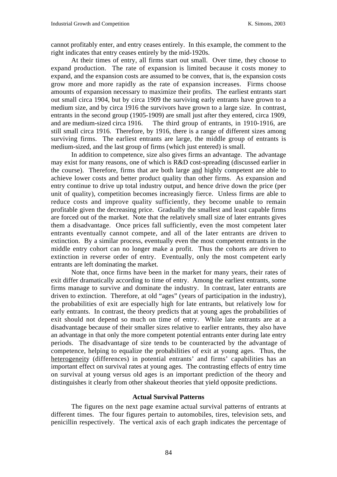cannot profitably enter, and entry ceases entirely. In this example, the comment to the right indicates that entry ceases entirely by the mid-1920s.

At their times of entry, all firms start out small. Over time, they choose to expand production. The rate of expansion is limited because it costs money to expand, and the expansion costs are assumed to be convex, that is, the expansion costs grow more and more rapidly as the rate of expansion increases. Firms choose amounts of expansion necessary to maximize their profits. The earliest entrants start out small circa 1904, but by circa 1909 the surviving early entrants have grown to a medium size, and by circa 1916 the survivors have grown to a large size. In contrast, entrants in the second group (1905-1909) are small just after they entered, circa 1909, and are medium-sized circa 1916. The third group of entrants, in 1910-1916, are still small circa 1916. Therefore, by 1916, there is a range of different sizes among surviving firms. The earliest entrants are large, the middle group of entrants is medium-sized, and the last group of firms (which just entered) is small.

In addition to competence, size also gives firms an advantage. The advantage may exist for many reasons, one of which is R&D cost-spreading (discussed earlier in the course). Therefore, firms that are both large and highly competent are able to achieve lower costs and better product quality than other firms. As expansion and entry continue to drive up total industry output, and hence drive down the price (per unit of quality), competition becomes increasingly fierce. Unless firms are able to reduce costs and improve quality sufficiently, they become unable to remain profitable given the decreasing price. Gradually the smallest and least capable firms are forced out of the market. Note that the relatively small size of later entrants gives them a disadvantage. Once prices fall sufficiently, even the most competent later entrants eventually cannot compete, and all of the later entrants are driven to extinction. By a similar process, eventually even the most competent entrants in the middle entry cohort can no longer make a profit. Thus the cohorts are driven to extinction in reverse order of entry. Eventually, only the most competent early entrants are left dominating the market.

Note that, once firms have been in the market for many years, their rates of exit differ dramatically according to time of entry. Among the earliest entrants, some firms manage to survive and dominate the industry. In contrast, later entrants are driven to extinction. Therefore, at old "ages" (years of participation in the industry), the probabilities of exit are especially high for late entrants, but relatively low for early entrants. In contrast, the theory predicts that at young ages the probabilities of exit should not depend so much on time of entry. While late entrants are at a disadvantage because of their smaller sizes relative to earlier entrants, they also have an advantage in that only the more competent potential entrants enter during late entry periods. The disadvantage of size tends to be counteracted by the advantage of competence, helping to equalize the probabilities of exit at young ages. Thus, the heterogeneity (differences) in potential entrants' and firms' capabilities has an important effect on survival rates at young ages. The contrasting effects of entry time on survival at young versus old ages is an important prediction of the theory and distinguishes it clearly from other shakeout theories that yield opposite predictions.

#### **Actual Survival Patterns**

The figures on the next page examine actual survival patterns of entrants at different times. The four figures pertain to automobiles, tires, television sets, and penicillin respectively. The vertical axis of each graph indicates the percentage of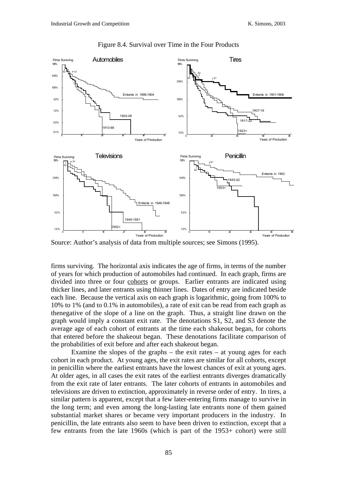

#### Figure 8.4. Survival over Time in the Four Products

Source: Author's analysis of data from multiple sources; see Simons (1995).

firms surviving. The horizontal axis indicates the age of firms, in terms of the number of years for which production of automobiles had continued. In each graph, firms are divided into three or four cohorts or groups. Earlier entrants are indicated using thicker lines, and later entrants using thinner lines. Dates of entry are indicated beside each line. Because the vertical axis on each graph is logarithmic, going from 100% to 10% to 1% (and to 0.1% in automobiles), a rate of exit can be read from each graph as thenegative of the slope of a line on the graph. Thus, a straight line drawn on the graph would imply a constant exit rate. The denotations S1, S2, and S3 denote the average age of each cohort of entrants at the time each shakeout began, for cohorts that entered before the shakeout began. These denotations facilitate comparison of the probabilities of exit before and after each shakeout began.

Examine the slopes of the graphs – the exit rates – at young ages for each cohort in each product. At young ages, the exit rates are similar for all cohorts, except in penicillin where the earliest entrants have the lowest chances of exit at young ages. At older ages, in all cases the exit rates of the earliest entrants diverges dramatically from the exit rate of later entrants. The later cohorts of entrants in automobiles and televisions are driven to extinction, approximately in reverse order of entry. In tires, a similar pattern is apparent, except that a few later-entering firms manage to survive in the long term; and even among the long-lasting late entrants none of them gained substantial market shares or became very important producers in the industry. In penicillin, the late entrants also seem to have been driven to extinction, except that a few entrants from the late 1960s (which is part of the 1953+ cohort) were still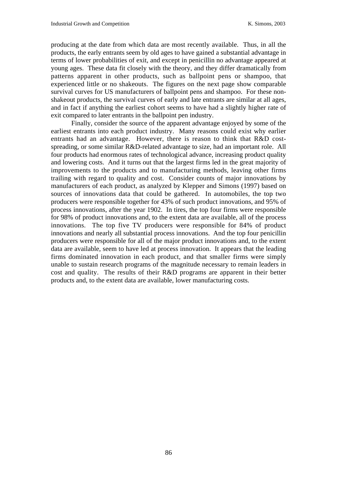producing at the date from which data are most recently available. Thus, in all the products, the early entrants seem by old ages to have gained a substantial advantage in terms of lower probabilities of exit, and except in penicillin no advantage appeared at young ages. These data fit closely with the theory, and they differ dramatically from patterns apparent in other products, such as ballpoint pens or shampoo, that experienced little or no shakeouts. The figures on the next page show comparable survival curves for US manufacturers of ballpoint pens and shampoo. For these nonshakeout products, the survival curves of early and late entrants are similar at all ages, and in fact if anything the earliest cohort seems to have had a slightly higher rate of exit compared to later entrants in the ballpoint pen industry.

Finally, consider the source of the apparent advantage enjoyed by some of the earliest entrants into each product industry. Many reasons could exist why earlier entrants had an advantage. However, there is reason to think that R&D costspreading, or some similar R&D-related advantage to size, had an important role. All four products had enormous rates of technological advance, increasing product quality and lowering costs. And it turns out that the largest firms led in the great majority of improvements to the products and to manufacturing methods, leaving other firms trailing with regard to quality and cost. Consider counts of major innovations by manufacturers of each product, as analyzed by Klepper and Simons (1997) based on sources of innovations data that could be gathered. In automobiles, the top two producers were responsible together for 43% of such product innovations, and 95% of process innovations, after the year 1902. In tires, the top four firms were responsible for 98% of product innovations and, to the extent data are available, all of the process innovations. The top five TV producers were responsible for 84% of product innovations and nearly all substantial process innovations. And the top four penicillin producers were responsible for all of the major product innovations and, to the extent data are available, seem to have led at process innovation. It appears that the leading firms dominated innovation in each product, and that smaller firms were simply unable to sustain research programs of the magnitude necessary to remain leaders in cost and quality. The results of their R&D programs are apparent in their better products and, to the extent data are available, lower manufacturing costs.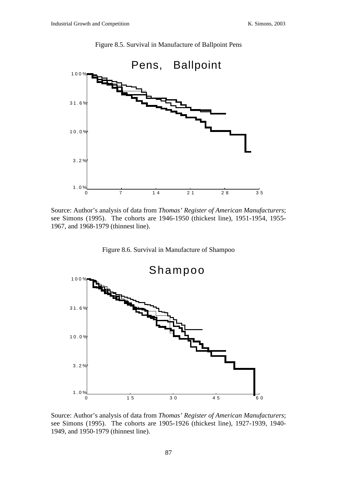

Figure 8.5. Survival in Manufacture of Ballpoint Pens



Figure 8.6. Survival in Manufacture of Shampoo



Source: Author's analysis of data from *Thomas' Register of American Manufacturers*; see Simons (1995). The cohorts are 1905-1926 (thickest line), 1927-1939, 1940- 1949, and 1950-1979 (thinnest line).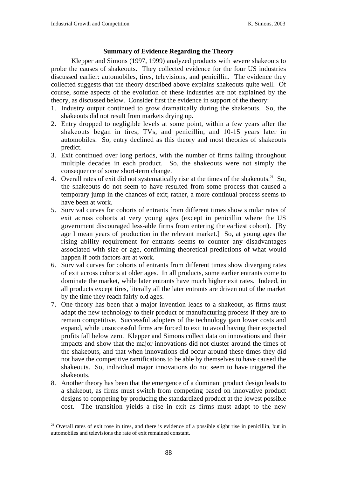### **Summary of Evidence Regarding the Theory**

Klepper and Simons (1997, 1999) analyzed products with severe shakeouts to probe the causes of shakeouts. They collected evidence for the four US industries discussed earlier: automobiles, tires, televisions, and penicillin. The evidence they collected suggests that the theory described above explains shakeouts quite well. Of course, some aspects of the evolution of these industries are not explained by the theory, as discussed below. Consider first the evidence in support of the theory:

- 1. Industry output continued to grow dramatically during the shakeouts. So, the shakeouts did not result from markets drying up.
- 2. Entry dropped to negligible levels at some point, within a few years after the shakeouts began in tires, TVs, and penicillin, and 10-15 years later in automobiles. So, entry declined as this theory and most theories of shakeouts predict.
- 3. Exit continued over long periods, with the number of firms falling throughout multiple decades in each product. So, the shakeouts were not simply the consequence of some short-term change.
- 4. Overall rates of exit did not systematically rise at the times of the shakeouts.<sup>21</sup> So, the shakeouts do not seem to have resulted from some process that caused a temporary jump in the chances of exit; rather, a more continual process seems to have been at work.
- 5. Survival curves for cohorts of entrants from different times show similar rates of exit across cohorts at very young ages (except in penicillin where the US government discouraged less-able firms from entering the earliest cohort). [By age I mean years of production in the relevant market.] So, at young ages the rising ability requirement for entrants seems to counter any disadvantages associated with size or age, confirming theoretical predictions of what would happen if both factors are at work.
- 6. Survival curves for cohorts of entrants from different times show diverging rates of exit across cohorts at older ages. In all products, some earlier entrants come to dominate the market, while later entrants have much higher exit rates. Indeed, in all products except tires, literally all the later entrants are driven out of the market by the time they reach fairly old ages.
- 7. One theory has been that a major invention leads to a shakeout, as firms must adapt the new technology to their product or manufacturing process if they are to remain competitive. Successful adopters of the technology gain lower costs and expand, while unsuccessful firms are forced to exit to avoid having their expected profits fall below zero. Klepper and Simons collect data on innovations and their impacts and show that the major innovations did not cluster around the times of the shakeouts, and that when innovations did occur around these times they did not have the competitive ramifications to be able by themselves to have caused the shakeouts. So, individual major innovations do not seem to have triggered the shakeouts.
- 8. Another theory has been that the emergence of a dominant product design leads to a shakeout, as firms must switch from competing based on innovative product designs to competing by producing the standardized product at the lowest possible cost. The transition yields a rise in exit as firms must adapt to the new

 $21$  Overall rates of exit rose in tires, and there is evidence of a possible slight rise in penicillin, but in automobiles and televisions the rate of exit remained constant.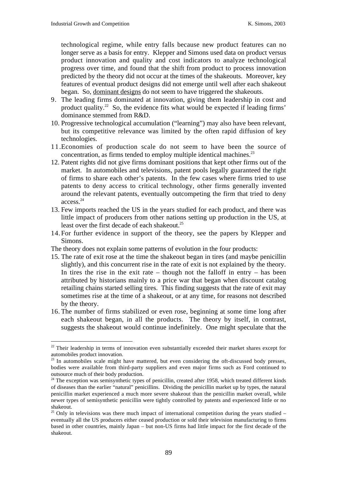technological regime, while entry falls because new product features can no longer serve as a basis for entry. Klepper and Simons used data on product versus product innovation and quality and cost indicators to analyze technological progress over time, and found that the shift from product to process innovation predicted by the theory did not occur at the times of the shakeouts. Moreover, key features of eventual product designs did not emerge until well after each shakeout began. So, dominant designs do not seem to have triggered the shakeouts.

- 9. The leading firms dominated at innovation, giving them leadership in cost and product quality.<sup>22</sup> So, the evidence fits what would be expected if leading firms' dominance stemmed from R&D.
- 10. Progressive technological accumulation ("learning") may also have been relevant, but its competitive relevance was limited by the often rapid diffusion of key technologies.
- 11.Economies of production scale do not seem to have been the source of concentration, as firms tended to employ multiple identical machines.<sup>23</sup>
- 12. Patent rights did not give firms dominant positions that kept other firms out of the market. In automobiles and televisions, patent pools legally guaranteed the right of firms to share each other's patents. In the few cases where firms tried to use patents to deny access to critical technology, other firms generally invented around the relevant patents, eventually outcompeting the firm that tried to deny access.24
- 13. Few imports reached the US in the years studied for each product, and there was little impact of producers from other nations setting up production in the US, at least over the first decade of each shakeout. $25$
- 14.For further evidence in support of the theory, see the papers by Klepper and Simons.
- The theory does not explain some patterns of evolution in the four products:
- 15. The rate of exit rose at the time the shakeout began in tires (and maybe penicillin slightly), and this concurrent rise in the rate of exit is not explained by the theory. In tires the rise in the exit rate – though not the falloff in entry – has been attributed by historians mainly to a price war that began when discount catalog retailing chains started selling tires. This finding suggests that the rate of exit may sometimes rise at the time of a shakeout, or at any time, for reasons not described by the theory.
- 16. The number of firms stabilized or even rose, beginning at some time long after each shakeout began, in all the products. The theory by itself, in contrast, suggests the shakeout would continue indefinitely. One might speculate that the

<sup>&</sup>lt;sup>22</sup> Their leadership in terms of innovation even substantially exceeded their market shares except for automobiles product innovation.

 $23$  In automobiles scale might have mattered, but even considering the oft-discussed body presses, bodies were available from third-party suppliers and even major firms such as Ford continued to outsource much of their body production.

 $24$  The exception was semisynthetic types of penicillin, created after 1958, which treated different kinds of diseases than the earlier "natural" penicillins. Dividing the penicillin market up by types, the natural penicillin market experienced a much more severe shakeout than the penicillin market overall, while newer types of semisynthetic penicillin were tightly controlled by patents and experienced little or no shakeout.

 $25$  Only in televisions was there much impact of international competition during the years studied – eventually all the US producers either ceased production or sold their television manufacturing to firms based in other countries, mainly Japan – but non-US firms had little impact for the first decade of the shakeout.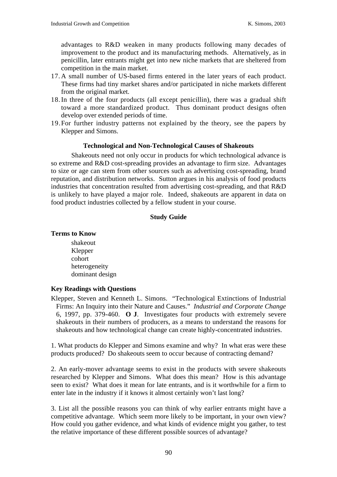advantages to R&D weaken in many products following many decades of improvement to the product and its manufacturing methods. Alternatively, as in penicillin, later entrants might get into new niche markets that are sheltered from competition in the main market.

- 17. A small number of US-based firms entered in the later years of each product. These firms had tiny market shares and/or participated in niche markets different from the original market.
- 18.In three of the four products (all except penicillin), there was a gradual shift toward a more standardized product. Thus dominant product designs often develop over extended periods of time.
- 19.For further industry patterns not explained by the theory, see the papers by Klepper and Simons.

## **Technological and Non-Technological Causes of Shakeouts**

Shakeouts need not only occur in products for which technological advance is so extreme and R&D cost-spreading provides an advantage to firm size. Advantages to size or age can stem from other sources such as advertising cost-spreading, brand reputation, and distribution networks. Sutton argues in his analysis of food products industries that concentration resulted from advertising cost-spreading, and that R&D is unlikely to have played a major role. Indeed, shakeouts are apparent in data on food product industries collected by a fellow student in your course.

## **Study Guide**

## **Terms to Know**

shakeout Klepper cohort heterogeneity dominant design

## **Key Readings with Questions**

Klepper, Steven and Kenneth L. Simons. "Technological Extinctions of Industrial Firms: An Inquiry into their Nature and Causes." *Industrial and Corporate Change* 6, 1997, pp. 379-460. **O J**. Investigates four products with extremely severe shakeouts in their numbers of producers, as a means to understand the reasons for shakeouts and how technological change can create highly-concentrated industries.

1. What products do Klepper and Simons examine and why? In what eras were these products produced? Do shakeouts seem to occur because of contracting demand?

2. An early-mover advantage seems to exist in the products with severe shakeouts researched by Klepper and Simons. What does this mean? How is this advantage seen to exist? What does it mean for late entrants, and is it worthwhile for a firm to enter late in the industry if it knows it almost certainly won't last long?

3. List all the possible reasons you can think of why earlier entrants might have a competitive advantage. Which seem more likely to be important, in your own view? How could you gather evidence, and what kinds of evidence might you gather, to test the relative importance of these different possible sources of advantage?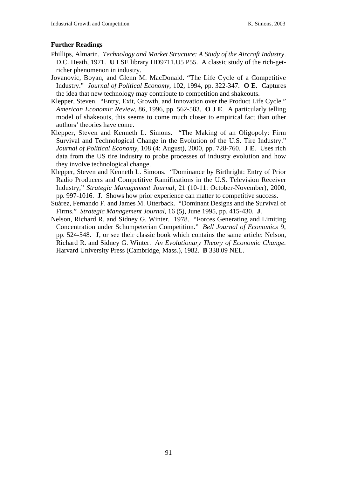## **Further Readings**

- Phillips, Almarin. *Technology and Market Structure: A Study of the Aircraft Industry*. D.C. Heath, 1971. **U** LSE library HD9711.U5 P55. A classic study of the rich-getricher phenomenon in industry.
- Jovanovic, Boyan, and Glenn M. MacDonald. "The Life Cycle of a Competitive Industry." *Journal of Political Economy*, 102, 1994, pp. 322-347. **O E**. Captures the idea that new technology may contribute to competition and shakeouts.
- Klepper, Steven. "Entry, Exit, Growth, and Innovation over the Product Life Cycle." *American Economic Review*, 86, 1996, pp. 562-583. **O J E**. A particularly telling model of shakeouts, this seems to come much closer to empirical fact than other authors' theories have come.
- Klepper, Steven and Kenneth L. Simons. "The Making of an Oligopoly: Firm Survival and Technological Change in the Evolution of the U.S. Tire Industry." *Journal of Political Economy*, 108 (4: August), 2000, pp. 728-760. **J E**. Uses rich data from the US tire industry to probe processes of industry evolution and how they involve technological change.
- Klepper, Steven and Kenneth L. Simons. "Dominance by Birthright: Entry of Prior Radio Producers and Competitive Ramifications in the U.S. Television Receiver Industry," *Strategic Management Journal*, 21 (10-11: October-November), 2000, pp. 997-1016. **J**. Shows how prior experience can matter to competitive success.
- Suárez, Fernando F. and James M. Utterback. "Dominant Designs and the Survival of Firms." *Strategic Management Journal*, 16 (5), June 1995, pp. 415-430. **J**.
- Nelson, Richard R. and Sidney G. Winter. 1978. "Forces Generating and Limiting Concentration under Schumpeterian Competition." *Bell Journal of Economics* 9, pp. 524-548. **J**, or see their classic book which contains the same article: Nelson, Richard R. and Sidney G. Winter. *An Evolutionary Theory of Economic Change*. Harvard University Press (Cambridge, Mass.), 1982. **B** 338.09 NEL.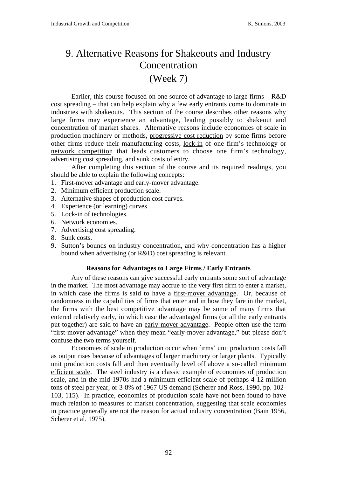# 9. Alternative Reasons for Shakeouts and Industry **Concentration** (Week 7)

Earlier, this course focused on one source of advantage to large firms – R&D cost spreading – that can help explain why a few early entrants come to dominate in industries with shakeouts. This section of the course describes other reasons why large firms may experience an advantage, leading possibly to shakeout and concentration of market shares. Alternative reasons include economies of scale in production machinery or methods, progressive cost reduction by some firms before other firms reduce their manufacturing costs, lock-in of one firm's technology or network competition that leads customers to choose one firm's technology, advertising cost spreading, and sunk costs of entry.

After completing this section of the course and its required readings, you should be able to explain the following concepts:

- 1. First-mover advantage and early-mover advantage.
- 2. Minimum efficient production scale.
- 3. Alternative shapes of production cost curves.
- 4. Experience (or learning) curves.
- 5. Lock-in of technologies.
- 6. Network economies.
- 7. Advertising cost spreading.
- 8. Sunk costs.
- 9. Sutton's bounds on industry concentration, and why concentration has a higher bound when advertising (or R&D) cost spreading is relevant.

#### **Reasons for Advantages to Large Firms / Early Entrants**

Any of these reasons can give successful early entrants some sort of advantage in the market. The most advantage may accrue to the very first firm to enter a market, in which case the firms is said to have a first-mover advantage. Or, because of randomness in the capabilities of firms that enter and in how they fare in the market, the firms with the best competitive advantage may be some of many firms that entered relatively early, in which case the advantaged firms (or all the early entrants put together) are said to have an early-mover advantage. People often use the term "first-mover advantage" when they mean "early-mover advantage," but please don't confuse the two terms yourself.

Economies of scale in production occur when firms' unit production costs fall as output rises because of advantages of larger machinery or larger plants. Typically unit production costs fall and then eventually level off above a so-called minimum efficient scale. The steel industry is a classic example of economies of production scale, and in the mid-1970s had a minimum efficient scale of perhaps 4-12 million tons of steel per year, or 3-8% of 1967 US demand (Scherer and Ross, 1990, pp. 102- 103, 115). In practice, economies of production scale have not been found to have much relation to measures of market concentration, suggesting that scale economies in practice generally are not the reason for actual industry concentration (Bain 1956, Scherer et al. 1975).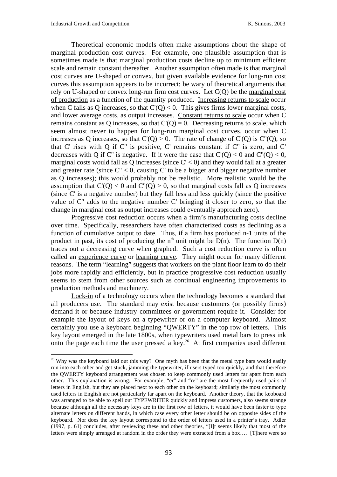Theoretical economic models often make assumptions about the shape of marginal production cost curves. For example, one plausible assumption that is sometimes made is that marginal production costs decline up to minimum efficient scale and remain constant thereafter. Another assumption often made is that marginal cost curves are U-shaped or convex, but given available evidence for long-run cost curves this assumption appears to be incorrect; be wary of theoretical arguments that rely on U-shaped or convex long-run firm cost curves. Let C(Q) be the marginal cost of production as a function of the quantity produced. Increasing returns to scale occur when C falls as Q increases, so that  $C'(Q) < 0$ . This gives firms lower marginal costs, and lower average costs, as output increases. Constant returns to scale occur when C remains constant as Q increases, so that  $C'(Q) = 0$ . Decreasing returns to scale, which seem almost never to happen for long-run marginal cost curves, occur when C increases as Q increases, so that  $C'(Q) > 0$ . The rate of change of  $C'(Q)$  is  $C''(Q)$ , so that C' rises with Q if C'' is positive, C' remains constant if C'' is zero, and C' decreases with Q if C" is negative. If it were the case that  $C'(Q) < 0$  and  $C''(Q) < 0$ , marginal costs would fall as Q increases (since  $C' < 0$ ) and they would fall at a greater and greater rate (since  $C'' < 0$ , causing C' to be a bigger and bigger negative number as Q increases); this would probably not be realistic. More realistic would be the assumption that  $C'(Q) < 0$  and  $C''(Q) > 0$ , so that marginal costs fall as Q increases (since C' is a negative number) but they fall less and less quickly (since the positive value of C'' adds to the negative number C' bringing it closer to zero, so that the change in marginal cost as output increases could eventually approach zero).

Progressive cost reduction occurs when a firm's manufacturing costs decline over time. Specifically, researchers have often characterized costs as declining as a function of cumulative output to date. Thus, if a firm has produced n-1 units of the product in past, its cost of producing the  $n<sup>th</sup>$  unit might be  $D(n)$ . The function  $D(n)$ traces out a decreasing curve when graphed. Such a cost reduction curve is often called an experience curve or learning curve. They might occur for many different reasons. The term "learning" suggests that workers on the plant floor learn to do their jobs more rapidly and efficiently, but in practice progressive cost reduction usually seems to stem from other sources such as continual engineering improvements to production methods and machinery.

Lock-in of a technology occurs when the technology becomes a standard that all producers use. The standard may exist because customers (or possibly firms) demand it or because industry committees or government require it. Consider for example the layout of keys on a typewriter or on a computer keyboard. Almost certainly you use a keyboard beginning "QWERTY" in the top row of letters. This key layout emerged in the late 1800s, when typewriters used metal bars to press ink onto the page each time the user pressed a key.<sup>26</sup> At first companies used different

<sup>&</sup>lt;sup>26</sup> Why was the keyboard laid out this way? One myth has been that the metal type bars would easily run into each other and get stuck, jamming the typewriter, if users typed too quickly, and that therefore the QWERTY keyboard arrangement was chosen to keep commonly used letters far apart from each other. This explanation is wrong. For example, "er" and "re" are the most frequently used pairs of letters in English, but they are placed next to each other on the keyboard; similarly the most commonly used letters in English are not particularly far apart on the keyboard. Another theory, that the keoboard was arranged to be able to spell out TYPEWRITER quickly and impress customers, also seems strange because although all the necessary keys are in the first row of letters, it would have been faster to type alternate letters on different hands, in which case every other letter should be on opposite sides of the keyboard. Nor does the key layout correspond to the order of letters used in a printer's tray. Adler (1997, p. 61) concludes, after reviewing these and other theories, "[I]t seems likely that most of the letters were simply arranged at random in the order they were extracted from a box…. [T]here were so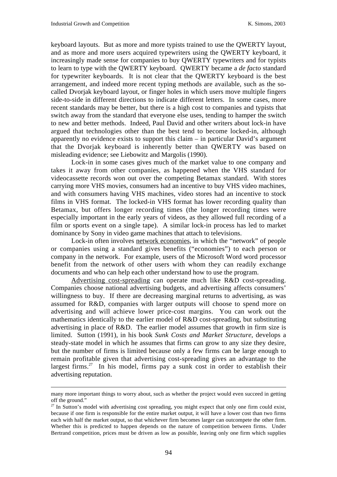$\overline{a}$ 

keyboard layouts. But as more and more typists trained to use the QWERTY layout, and as more and more users acquired typewriters using the QWERTY keyboard, it increasingly made sense for companies to buy QWERTY typewriters and for typists to learn to type with the QWERTY keyboard. QWERTY became a *de facto* standard for typewriter keyboards. It is not clear that the QWERTY keyboard is the best arrangement, and indeed more recent typing methods are available, such as the socalled Dvorjak keyboard layout, or finger holes in which users move multiple fingers side-to-side in different directions to indicate different letters. In some cases, more recent standards may be better, but there is a high cost to companies and typists that switch away from the standard that everyone else uses, tending to hamper the switch to new and better methods. Indeed, Paul David and other writers about lock-in have argued that technologies other than the best tend to become locked-in, although apparently no evidence exists to support this claim – in particular David's argument that the Dvorjak keyboard is inherently better than QWERTY was based on misleading evidence; see Liebowitz and Margolis (1990).

Lock-in in some cases gives much of the market value to one company and takes it away from other companies, as happened when the VHS standard for videocassette records won out over the competing Betamax standard. With stores carrying more VHS movies, consumers had an incentive to buy VHS video machines, and with consumers having VHS machines, video stores had an incentive to stock films in VHS format. The locked-in VHS format has lower recording quality than Betamax, but offers longer recording times (the longer recording times were especially important in the early years of videos, as they allowed full recording of a film or sports event on a single tape). A similar lock-in process has led to market dominance by Sony in video game machines that attach to televisions.

Lock-in often involves network economies, in which the "network" of people or companies using a standard gives benefits ("economies") to each person or company in the network. For example, users of the Microsoft Word word processor benefit from the network of other users with whom they can readily exchange documents and who can help each other understand how to use the program.

Advertising cost-spreading can operate much like R&D cost-spreading. Companies choose national advertising budgets, and advertising affects consumers' willingness to buy. If there are decreasing marginal returns to advertising, as was assumed for R&D, companies with larger outputs will choose to spend more on advertising and will achieve lower price-cost margins. You can work out the mathematics identically to the earlier model of R&D cost-spreading, but substituting advertising in place of R&D. The earlier model assumes that growth in firm size is limited. Sutton (1991), in his book *Sunk Costs and Market Structure*, develops a steady-state model in which he assumes that firms can grow to any size they desire, but the number of firms is limited because only a few firms can be large enough to remain profitable given that advertising cost-spreading gives an advantage to the largest firms.<sup>27</sup> In his model, firms pay a sunk cost in order to establish their advertising reputation.

many more important things to worry about, such as whether the project would even succeed in getting off the ground."

 $27$  In Sutton's model with advertising cost spreading, you might expect that only one firm could exist, because if one firm is responsible for the entire market output, it will have a lower cost than two firms each with half the market output, so that whichever firm becomes larger can outcompete the other firm. Whether this is predicted to happen depends on the nature of competition between firms. Under Bertrand competition, prices must be driven as low as possible, leaving only one firm which supplies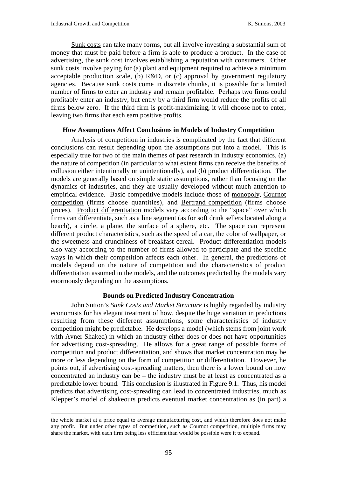$\overline{a}$ 

Sunk costs can take many forms, but all involve investing a substantial sum of money that must be paid before a firm is able to produce a product. In the case of advertising, the sunk cost involves establishing a reputation with consumers. Other sunk costs involve paying for (a) plant and equipment required to achieve a minimum acceptable production scale, (b) R&D, or (c) approval by government regulatory agencies. Because sunk costs come in discrete chunks, it is possible for a limited number of firms to enter an industry and remain profitable. Perhaps two firms could profitably enter an industry, but entry by a third firm would reduce the profits of all firms below zero. If the third firm is profit-maximizing, it will choose not to enter, leaving two firms that each earn positive profits.

#### **How Assumptions Affect Conclusions in Models of Industry Competition**

Analysis of competition in industries is complicated by the fact that different conclusions can result depending upon the assumptions put into a model. This is especially true for two of the main themes of past research in industry economics, (a) the nature of competition (in particular to what extent firms can receive the benefits of collusion either intentionally or unintentionally), and (b) product differentiation. The models are generally based on simple static assumptions, rather than focusing on the dynamics of industries, and they are usually developed without much attention to empirical evidence. Basic competitive models include those of monopoly, Cournot competition (firms choose quantities), and Bertrand competition (firms choose prices). Product differentiation models vary according to the "space" over which firms can differentiate, such as a line segment (as for soft drink sellers located along a beach), a circle, a plane, the surface of a sphere, etc. The space can represent different product characteristics, such as the speed of a car, the color of wallpaper, or the sweetness and crunchiness of breakfast cereal. Product differentiation models also vary according to the number of firms allowed to participate and the specific ways in which their competition affects each other. In general, the predictions of models depend on the nature of competition and the characteristics of product differentiation assumed in the models, and the outcomes predicted by the models vary enormously depending on the assumptions.

#### **Bounds on Predicted Industry Concentration**

John Sutton's *Sunk Costs and Market Structure* is highly regarded by industry economists for his elegant treatment of how, despite the huge variation in predictions resulting from these different assumptions, some characteristics of industry competition might be predictable. He develops a model (which stems from joint work with Avner Shaked) in which an industry either does or does not have opportunities for advertising cost-spreading. He allows for a great range of possible forms of competition and product differentiation, and shows that market concentration may be more or less depending on the form of competition or differentiation. However, he points out, if advertising cost-spreading matters, then there is a lower bound on how concentrated an industry can be – the industry must be at least as concentrated as a predictable lower bound. This conclusion is illustrated in Figure 9.1. Thus, his model predicts that advertising cost-spreading can lead to concentrated industries, much as Klepper's model of shakeouts predicts eventual market concentration as (in part) a

the whole market at a price equal to average manufacturing cost, and which therefore does not make any profit. But under other types of competition, such as Cournot competition, multiple firms may share the market, with each firm being less efficient than would be possible were it to expand.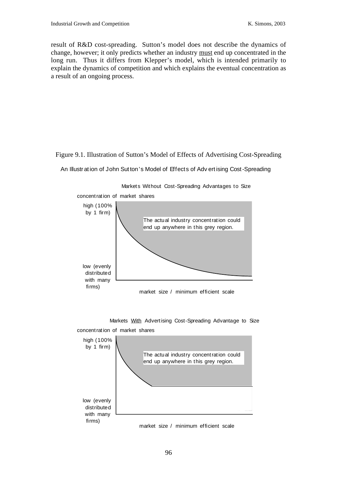result of R&D cost-spreading. Sutton's model does not describe the dynamics of change, however; it only predicts whether an industry must end up concentrated in the long run. Thus it differs from Klepper's model, which is intended primarily to explain the dynamics of competition and which explains the eventual concentration as a result of an ongoing process.

Figure 9.1. Illustration of Sutton's Model of Effects of Advertising Cost-Spreading

An Illustr ation of John Sutton's Model of Effects of Adv ert ising Cost-Spreading





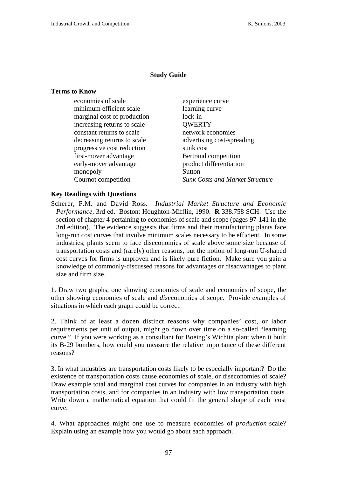## **Study Guide**

### **Terms to Know**

| economies of scale          | experience curve                       |
|-----------------------------|----------------------------------------|
| minimum efficient scale     | learning curve                         |
| marginal cost of production | $lock-in$                              |
| increasing returns to scale | <b>QWERTY</b>                          |
| constant returns to scale   | network economies                      |
| decreasing returns to scale | advertising cost-spreading             |
| progressive cost reduction  | sunk cost                              |
| first-mover advantage       | Bertrand competition                   |
| early-mover advantage       | product differentiation                |
| monopoly                    | Sutton                                 |
| Cournot competition         | <b>Sunk Costs and Market Structure</b> |
|                             |                                        |

### **Key Readings with Questions**

Scherer, F.M. and David Ross*. Industrial Market Structure and Economic Performance*, 3rd ed. Boston: Houghton-Mifflin, 1990. **R** 338.758 SCH. Use the section of chapter 4 pertaining to economies of scale and scope (pages 97-141 in the 3rd edition). The evidence suggests that firms and their manufacturing plants face long-run cost curves that involve minimum scales necessary to be efficient. In some industries, plants seem to face diseconomies of scale above some size because of transportation costs and (rarely) other reasons, but the notion of long-run U-shaped cost curves for firms is unproven and is likely pure fiction. Make sure you gain a knowledge of commonly-discussed reasons for advantages or disadvantages to plant size and firm size.

1. Draw two graphs, one showing economies of scale and economies of scope, the other showing economies of scale and *dis*economies of scope. Provide examples of situations in which each graph could be correct.

2. Think of at least a dozen distinct reasons why companies' cost, or labor requirements per unit of output, might go down over time on a so-called "learning curve." If you were working as a consultant for Boeing's Wichita plant when it built its B-29 bombers, how could you measure the relative importance of these different reasons?

3. In what industries are transportation costs likely to be especially important? Do the existence of transportation costs cause economies of scale, or diseconomies of scale? Draw example total and marginal cost curves for companies in an industry with high transportation costs, and for companies in an industry with low transportation costs. Write down a mathematical equation that could fit the general shape of each cost curve.

4. What approaches might one use to measure economies of *production* scale? Explain using an example how you would go about each approach.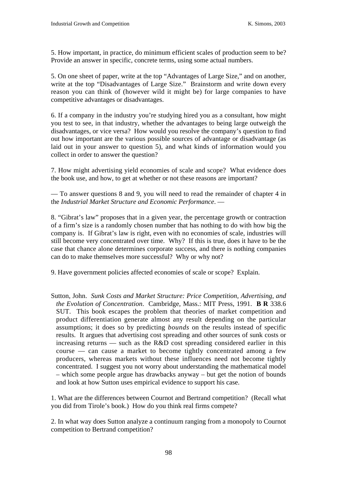5. How important, in practice, do minimum efficient scales of production seem to be? Provide an answer in specific, concrete terms, using some actual numbers.

5. On one sheet of paper, write at the top "Advantages of Large Size," and on another, write at the top "Disadvantages of Large Size." Brainstorm and write down every reason you can think of (however wild it might be) for large companies to have competitive advantages or disadvantages.

6. If a company in the industry you're studying hired you as a consultant, how might you test to see, in that industry, whether the advantages to being large outweigh the disadvantages, or vice versa? How would you resolve the company's question to find out how important are the various possible sources of advantage or disadvantage (as laid out in your answer to question 5), and what kinds of information would you collect in order to answer the question?

7. How might advertising yield economies of scale and scope? What evidence does the book use, and how, to get at whether or not these reasons are important?

— To answer questions 8 and 9, you will need to read the remainder of chapter 4 in the *Industrial Market Structure and Economic Performance*. —

8. "Gibrat's law" proposes that in a given year, the percentage growth or contraction of a firm's size is a randomly chosen number that has nothing to do with how big the company is. If Gibrat's law is right, even with no economies of scale, industries will still become very concentrated over time. Why? If this is true, does it have to be the case that chance alone determines corporate success, and there is nothing companies can do to make themselves more successful? Why or why not?

9. Have government policies affected economies of scale or scope? Explain.

Sutton, John. *Sunk Costs and Market Structure: Price Competition, Advertising, and the Evolution of Concentration*. Cambridge, Mass.: MIT Press, 1991. **B R** 338.6 SUT. This book escapes the problem that theories of market competition and product differentiation generate almost any result depending on the particular assumptions; it does so by predicting *bounds* on the results instead of specific results. It argues that advertising cost spreading and other sources of sunk costs or increasing returns — such as the R&D cost spreading considered earlier in this course — can cause a market to become tightly concentrated among a few producers, whereas markets without these influences need not become tightly concentrated. I suggest you not worry about understanding the mathematical model – which some people argue has drawbacks anyway – but get the notion of bounds and look at how Sutton uses empirical evidence to support his case.

1. What are the differences between Cournot and Bertrand competition? (Recall what you did from Tirole's book.) How do you think real firms compete?

2. In what way does Sutton analyze a continuum ranging from a monopoly to Cournot competition to Bertrand competition?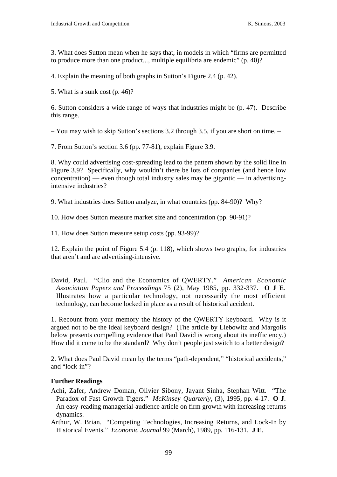3. What does Sutton mean when he says that, in models in which "firms are permitted to produce more than one product..., multiple equilibria are endemic" (p. 40)?

4. Explain the meaning of both graphs in Sutton's Figure 2.4 (p. 42).

5. What is a sunk cost (p. 46)?

6. Sutton considers a wide range of ways that industries might be (p. 47). Describe this range.

– You may wish to skip Sutton's sections 3.2 through 3.5, if you are short on time. –

7. From Sutton's section 3.6 (pp. 77-81), explain Figure 3.9.

8. Why could advertising cost-spreading lead to the pattern shown by the solid line in Figure 3.9? Specifically, why wouldn't there be lots of companies (and hence low  $concentration$   $-$  even though total industry sales may be gigantic  $-$  in advertisingintensive industries?

9. What industries does Sutton analyze, in what countries (pp. 84-90)? Why?

10. How does Sutton measure market size and concentration (pp. 90-91)?

11. How does Sutton measure setup costs (pp. 93-99)?

12. Explain the point of Figure 5.4 (p. 118), which shows two graphs, for industries that aren't and are advertising-intensive.

David, Paul. "Clio and the Economics of QWERTY." *American Economic Association Papers and Proceedings* 75 (2), May 1985, pp. 332-337. **O J E**. Illustrates how a particular technology, not necessarily the most efficient technology, can become locked in place as a result of historical accident.

1. Recount from your memory the history of the QWERTY keyboard. Why is it argued not to be the ideal keyboard design? (The article by Liebowitz and Margolis below presents compelling evidence that Paul David is wrong about its inefficiency.) How did it come to be the standard? Why don't people just switch to a better design?

2. What does Paul David mean by the terms "path-dependent," "historical accidents," and "lock-in"?

#### **Further Readings**

- Achi, Zafer, Andrew Doman, Olivier Sibony, Jayant Sinha, Stephan Witt. "The Paradox of Fast Growth Tigers." *McKinsey Quarterly*, (3), 1995, pp. 4-17. **O J**. An easy-reading managerial-audience article on firm growth with increasing returns dynamics.
- Arthur, W. Brian. "Competing Technologies, Increasing Returns, and Lock-In by Historical Events." *Economic Journal* 99 (March), 1989, pp. 116-131. **J E**.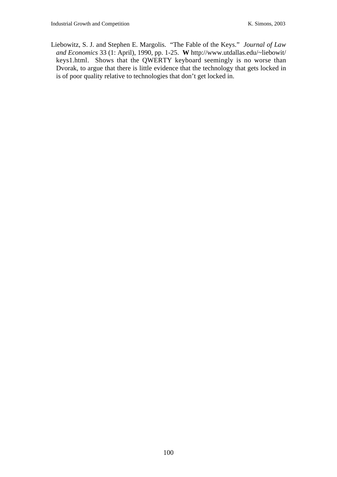Liebowitz, S. J. and Stephen E. Margolis. "The Fable of the Keys." *Journal of Law and Economics* 33 (1: April), 1990, pp. 1-25. **W** http://www.utdallas.edu/~liebowit/ keys1.html. Shows that the QWERTY keyboard seemingly is no worse than Dvorak, to argue that there is little evidence that the technology that gets locked in is of poor quality relative to technologies that don't get locked in.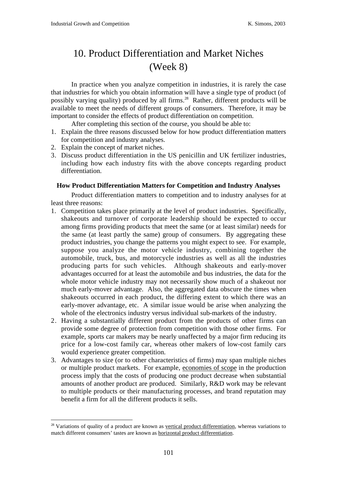# 10. Product Differentiation and Market Niches (Week 8)

In practice when you analyze competition in industries, it is rarely the case that industries for which you obtain information will have a single type of product (of possibly varying quality) produced by all firms.<sup>28</sup> Rather, different products will be available to meet the needs of different groups of consumers. Therefore, it may be important to consider the effects of product differentiation on competition.

After completing this section of the course, you should be able to:

- 1. Explain the three reasons discussed below for how product differentiation matters for competition and industry analyses.
- 2. Explain the concept of market niches.
- 3. Discuss product differentiation in the US penicillin and UK fertilizer industries, including how each industry fits with the above concepts regarding product differentiation.

#### **How Product Differentiation Matters for Competition and Industry Analyses**

Product differentiation matters to competition and to industry analyses for at least three reasons:

- 1. Competition takes place primarily at the level of product industries. Specifically, shakeouts and turnover of corporate leadership should be expected to occur among firms providing products that meet the same (or at least similar) needs for the same (at least partly the same) group of consumers. By aggregating these product industries, you change the patterns you might expect to see. For example, suppose you analyze the motor vehicle industry, combining together the automobile, truck, bus, and motorcycle industries as well as all the industries producing parts for such vehicles. Although shakeouts and early-mover advantages occurred for at least the automobile and bus industries, the data for the whole motor vehicle industry may not necessarily show much of a shakeout nor much early-mover advantage. Also, the aggregated data obscure the times when shakeouts occurred in each product, the differing extent to which there was an early-mover advantage, etc. A similar issue would be arise when analyzing the whole of the electronics industry versus individual sub-markets of the industry.
- 2. Having a substantially different product from the products of other firms can provide some degree of protection from competition with those other firms. For example, sports car makers may be nearly unaffected by a major firm reducing its price for a low-cost family car, whereas other makers of low-cost family cars would experience greater competition.
- 3. Advantages to size (or to other characteristics of firms) may span multiple niches or multiple product markets. For example, economies of scope in the production process imply that the costs of producing one product decrease when substantial amounts of another product are produced. Similarly, R&D work may be relevant to multiple products or their manufacturing processes, and brand reputation may benefit a firm for all the different products it sells.

 $28$  Variations of quality of a product are known as vertical product differentiation, whereas variations to match different consumers' tastes are known as horizontal product differentiation.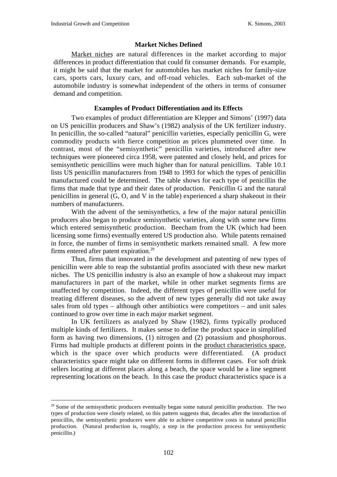#### **Market Niches Defined**

Market niches are natural differences in the market according to major differences in product differentiation that could fit consumer demands. For example, it might be said that the market for automobiles has market niches for family-size cars, sports cars, luxury cars, and off-road vehicles. Each sub-market of the automobile industry is somewhat independent of the others in terms of consumer demand and competition.

## **Examples of Product Differentiation and its Effects**

Two examples of product differentiation are Klepper and Simons' (1997) data on US penicillin producers and Shaw's (1982) analysis of the UK fertilizer industry. In penicillin, the so-called "natural" penicillin varieties, especially penicillin G, were commodity products with fierce competition as prices plummeted over time. In contrast, most of the "semisynthetic" penicillin varieties, introduced after new techniques were pioneered circa 1958, were patented and closely held, and prices for semisynthetic penicillins were much higher than for natural penicillins. Table 10.1 lists US penicillin manufacturers from 1948 to 1993 for which the types of penicillin manufactured could be determined. The table shows for each type of penicillin the firms that made that type and their dates of production. Penicillin G and the natural penicillins in general (G, O, and V in the table) experienced a sharp shakeout in their numbers of manufacturers.

With the advent of the semisynthetics, a few of the major natural penicillin producers also began to produce semisynthetic varieties, along with some new firms which entered semisynthetic production. Beecham from the UK (which had been licensing some firms) eventually entered US production also. While patents remained in force, the number of firms in semisynthetic markets remained small. A few more firms entered after patent expiration.<sup>29</sup>

Thus, firms that innovated in the development and patenting of new types of penicillin were able to reap the substantial profits associated with these new market niches. The US penicillin industry is also an example of how a shakeout may impact manufacturers in part of the market, while in other market segments firms are unaffected by competition. Indeed, the different types of penicillin were useful for treating different diseases, so the advent of new types generally did not take away sales from old types – although other antibiotics were competitors – and unit sales continued to grow over time in each major market segment.

In UK fertilizers as analyzed by Shaw (1982), firms typically produced multiple kinds of fertilizers. It makes sense to define the product space in simplified form as having two dimensions, (1) nitrogen and (2) potassium and phosphorous. Firms had multiple products at different points in the product characteristics space, which is the space over which products were differentiated. (A product characteristics space might take on different forms in different cases. For soft drink sellers locating at different places along a beach, the space would be a line segment representing locations on the beach. In this case the product characteristics space is a

 $29$  Some of the semisynthetic producers eventually began some natural penicillin production. The two types of production were closely related, so this pattern suggests that, decades after the introduction of penicillin, the semisynthetic producers were able to achieve competitive costs in natural penicillin production. (Natural production is, roughly, a step in the production process for semisynthetic penicillin.)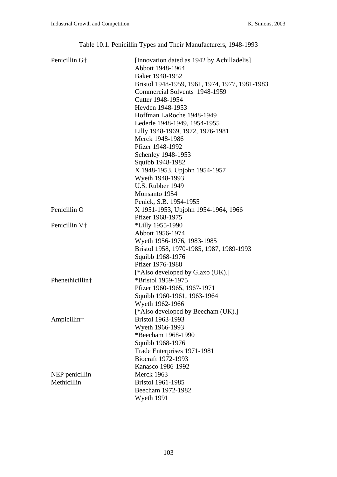Table 10.1. Penicillin Types and Their Manufacturers, 1948-1993

| Penicillin G <sup>+</sup> | [Innovation dated as 1942 by Achilladelis]     |
|---------------------------|------------------------------------------------|
|                           | Abbott 1948-1964                               |
|                           | Baker 1948-1952                                |
|                           | Bristol 1948-1959, 1961, 1974, 1977, 1981-1983 |
|                           | Commercial Solvents 1948-1959                  |
|                           | Cutter 1948-1954                               |
|                           | Heyden 1948-1953                               |
|                           | Hoffman LaRoche 1948-1949                      |
|                           | Lederle 1948-1949, 1954-1955                   |
|                           | Lilly 1948-1969, 1972, 1976-1981               |
|                           | Merck 1948-1986                                |
|                           | Pfizer 1948-1992                               |
|                           | Schenley 1948-1953                             |
|                           | Squibb 1948-1982                               |
|                           | X 1948-1953, Upjohn 1954-1957                  |
|                           | Wyeth 1948-1993                                |
|                           | U.S. Rubber 1949                               |
|                           | Monsanto 1954                                  |
|                           | Penick, S.B. 1954-1955                         |
| Penicillin O              | X 1951-1953, Upjohn 1954-1964, 1966            |
|                           | Pfizer 1968-1975                               |
| Penicillin V†             | *Lilly 1955-1990                               |
|                           | Abbott 1956-1974                               |
|                           | Wyeth 1956-1976, 1983-1985                     |
|                           | Bristol 1958, 1970-1985, 1987, 1989-1993       |
|                           | Squibb 1968-1976                               |
|                           | Pfizer 1976-1988                               |
|                           | [*Also developed by Glaxo (UK).]               |
| Phenethicillin†           | <i><b>*Bristol 1959-1975</b></i>               |
|                           | Pfizer 1960-1965, 1967-1971                    |
|                           | Squibb 1960-1961, 1963-1964                    |
|                           | Wyeth 1962-1966                                |
|                           | [*Also developed by Beecham (UK).]             |
| Ampicillin†               | Bristol 1963-1993                              |
|                           | Wyeth 1966-1993                                |
|                           | *Beecham 1968-1990                             |
|                           | Squibb 1968-1976                               |
|                           | Trade Enterprises 1971-1981                    |
|                           | Biocraft 1972-1993                             |
|                           | Kanasco 1986-1992                              |
| NEP penicillin            | <b>Merck 1963</b>                              |
| Methicillin               | <b>Bristol 1961-1985</b>                       |
|                           | Beecham 1972-1982                              |
|                           | Wyeth 1991                                     |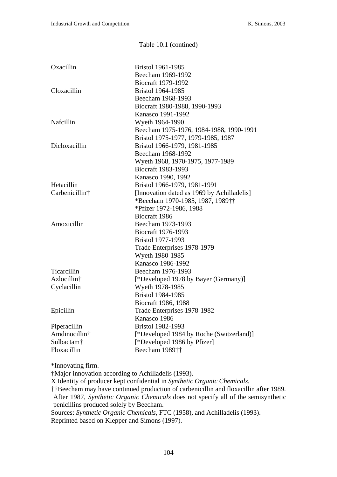Table 10.1 (contined)

| Oxacillin              | <b>Bristol 1961-1985</b>                   |
|------------------------|--------------------------------------------|
|                        | Beecham 1969-1992                          |
|                        | Biocraft 1979-1992                         |
| Cloxacillin            | <b>Bristol 1964-1985</b>                   |
|                        | Beecham 1968-1993                          |
|                        | Biocraft 1980-1988, 1990-1993              |
|                        | Kanasco 1991-1992                          |
| Nafcillin              | Wyeth 1964-1990                            |
|                        | Beecham 1975-1976, 1984-1988, 1990-1991    |
|                        | Bristol 1975-1977, 1979-1985, 1987         |
| Dicloxacillin          | Bristol 1966-1979, 1981-1985               |
|                        | Beecham 1968-1992                          |
|                        | Wyeth 1968, 1970-1975, 1977-1989           |
|                        | Biocraft 1983-1993                         |
|                        | Kanasco 1990, 1992                         |
| Hetacillin             | Bristol 1966-1979, 1981-1991               |
| Carbenicillin†         | [Innovation dated as 1969 by Achilladelis] |
|                        | *Beecham 1970-1985, 1987, 1989††           |
|                        | *Pfizer 1972-1986, 1988                    |
|                        | Biocraft 1986                              |
| Amoxicillin            | Beecham 1973-1993                          |
|                        | Biocraft 1976-1993                         |
|                        | <b>Bristol 1977-1993</b>                   |
|                        | Trade Enterprises 1978-1979                |
|                        | Wyeth 1980-1985                            |
|                        | Kanasco 1986-1992                          |
| Ticarcillin            | Beecham 1976-1993                          |
| Azlocillin†            | [*Developed 1978 by Bayer (Germany)]       |
| Cyclacillin            | Wyeth 1978-1985                            |
|                        | <b>Bristol 1984-1985</b>                   |
|                        | Biocraft 1986, 1988                        |
| Epicillin              | Trade Enterprises 1978-1982                |
|                        | Kanasco 1986                               |
| Piperacillin           | <b>Bristol 1982-1993</b>                   |
| Amdinocillin†          | [*Developed 1984 by Roche (Switzerland)]   |
| Sulbactam <sup>†</sup> | [*Developed 1986 by Pfizer]                |
| Floxacillin            | Beecham 1989††                             |

\*Innovating firm.

†Major innovation according to Achilladelis (1993).

X Identity of producer kept confidential in *Synthetic Organic Chemicals*.

††Beecham may have continued production of carbenicillin and floxacillin after 1989. After 1987, *Synthetic Organic Chemicals* does not specify all of the semisynthetic penicillins produced solely by Beecham.

Sources: *Synthetic Organic Chemicals*, FTC (1958), and Achilladelis (1993). Reprinted based on Klepper and Simons (1997).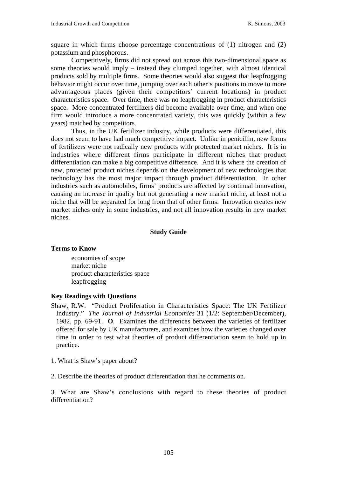square in which firms choose percentage concentrations of (1) nitrogen and (2) potassium and phosphorous.

Competitively, firms did not spread out across this two-dimensional space as some theories would imply – instead they clumped together, with almost identical products sold by multiple firms. Some theories would also suggest that leapfrogging behavior might occur over time, jumping over each other's positions to move to more advantageous places (given their competitors' current locations) in product characteristics space. Over time, there was no leapfrogging in product characteristics space. More concentrated fertilizers did become available over time, and when one firm would introduce a more concentrated variety, this was quickly (within a few years) matched by competitors.

Thus, in the UK fertilizer industry, while products were differentiated, this does not seem to have had much competitive impact. Unlike in penicillin, new forms of fertilizers were not radically new products with protected market niches. It is in industries where different firms participate in different niches that product differentiation can make a big competitive difference. And it is where the creation of new, protected product niches depends on the development of new technologies that technology has the most major impact through product differentiation. In other industries such as automobiles, firms' products are affected by continual innovation, causing an increase in quality but not generating a new market niche, at least not a niche that will be separated for long from that of other firms. Innovation creates new market niches only in some industries, and not all innovation results in new market niches.

### **Study Guide**

#### **Terms to Know**

economies of scope market niche product characteristics space leapfrogging

#### **Key Readings with Questions**

- Shaw, R.W. "Product Proliferation in Characteristics Space: The UK Fertilizer Industry." *The Journal of Industrial Economics* 31 (1/2: September/December), 1982, pp. 69-91. **O**. Examines the differences between the varieties of fertilizer offered for sale by UK manufacturers, and examines how the varieties changed over time in order to test what theories of product differentiation seem to hold up in practice.
- 1. What is Shaw's paper about?
- 2. Describe the theories of product differentiation that he comments on.

3. What are Shaw's conclusions with regard to these theories of product differentiation?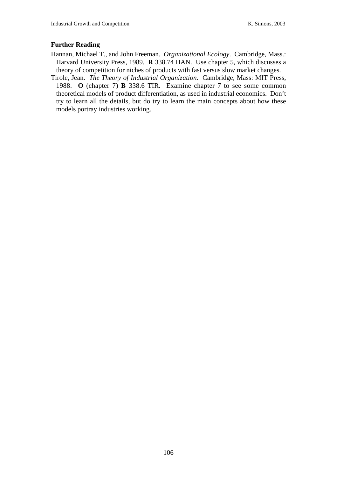### **Further Reading**

- Hannan, Michael T., and John Freeman. *Organizational Ecology*. Cambridge, Mass.: Harvard University Press, 1989. **R** 338.74 HAN. Use chapter 5, which discusses a theory of competition for niches of products with fast versus slow market changes.
- Tirole, Jean. *The Theory of Industrial Organization*. Cambridge, Mass: MIT Press, 1988. **O** (chapter 7) **B** 338.6 TIR. Examine chapter 7 to see some common theoretical models of product differentiation, as used in industrial economics. Don't try to learn all the details, but do try to learn the main concepts about how these models portray industries working.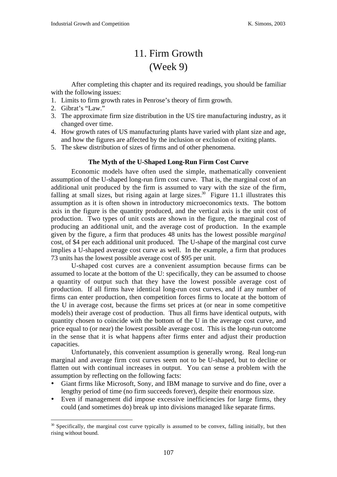# 11. Firm Growth (Week 9)

After completing this chapter and its required readings, you should be familiar with the following issues:

- 1. Limits to firm growth rates in Penrose's theory of firm growth.
- 2. Gibrat's "Law."
- 3. The approximate firm size distribution in the US tire manufacturing industry, as it changed over time.
- 4. How growth rates of US manufacturing plants have varied with plant size and age, and how the figures are affected by the inclusion or exclusion of exiting plants.
- 5. The skew distribution of sizes of firms and of other phenomena.

## **The Myth of the U-Shaped Long-Run Firm Cost Curve**

Economic models have often used the simple, mathematically convenient assumption of the U-shaped long-run firm cost curve. That is, the marginal cost of an additional unit produced by the firm is assumed to vary with the size of the firm, falling at small sizes, but rising again at large sizes.<sup>30</sup> Figure 11.1 illustrates this assumption as it is often shown in introductory microeconomics texts. The bottom axis in the figure is the quantity produced, and the vertical axis is the unit cost of production. Two types of unit costs are shown in the figure, the marginal cost of producing an additional unit, and the average cost of production. In the example given by the figure, a firm that produces 48 units has the lowest possible *marginal* cost, of \$4 per each additional unit produced. The U-shape of the marginal cost curve implies a U-shaped average cost curve as well. In the example, a firm that produces 73 units has the lowest possible average cost of \$95 per unit.

U-shaped cost curves are a convenient assumption because firms can be assumed to locate at the bottom of the U: specifically, they can be assumed to choose a quantity of output such that they have the lowest possible average cost of production. If all firms have identical long-run cost curves, and if any number of firms can enter production, then competition forces firms to locate at the bottom of the U in average cost, because the firms set prices at (or near in some competitive models) their average cost of production. Thus all firms have identical outputs, with quantity chosen to coincide with the bottom of the U in the average cost curve, and price equal to (or near) the lowest possible average cost. This is the long-run outcome in the sense that it is what happens after firms enter and adjust their production capacities.

Unfortunately, this convenient assumption is generally wrong. Real long-run marginal and average firm cost curves seem not to be U-shaped, but to decline or flatten out with continual increases in output. You can sense a problem with the assumption by reflecting on the following facts:

- Giant firms like Microsoft, Sony, and IBM manage to survive and do fine, over a lengthy period of time (no firm succeeds forever), despite their enormous size.
- Even if management did impose excessive inefficiencies for large firms, they could (and sometimes do) break up into divisions managed like separate firms.

<sup>&</sup>lt;sup>30</sup> Specifically, the marginal cost curve typically is assumed to be convex, falling initially, but then rising without bound.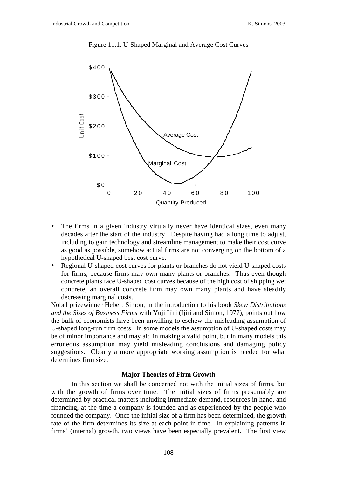



- The firms in a given industry virtually never have identical sizes, even many decades after the start of the industry. Despite having had a long time to adjust, including to gain technology and streamline management to make their cost curve as good as possible, somehow actual firms are not converging on the bottom of a hypothetical U-shaped best cost curve.
- Regional U-shaped cost curves for plants or branches do not yield U-shaped costs for firms, because firms may own many plants or branches. Thus even though concrete plants face U-shaped cost curves because of the high cost of shipping wet concrete, an overall concrete firm may own many plants and have steadily decreasing marginal costs.

Nobel prizewinner Hebert Simon, in the introduction to his book *Skew Distributions and the Sizes of Business Firms* with Yuji Ijiri (Ijiri and Simon, 1977), points out how the bulk of economists have been unwilling to eschew the misleading assumption of U-shaped long-run firm costs. In some models the assumption of U-shaped costs may be of minor importance and may aid in making a valid point, but in many models this erroneous assumption may yield misleading conclusions and damaging policy suggestions. Clearly a more appropriate working assumption is needed for what determines firm size.

## **Major Theories of Firm Growth**

In this section we shall be concerned not with the initial sizes of firms, but with the growth of firms over time. The initial sizes of firms presumably are determined by practical matters including immediate demand, resources in hand, and financing, at the time a company is founded and as experienced by the people who founded the company. Once the initial size of a firm has been determined, the growth rate of the firm determines its size at each point in time. In explaining patterns in firms' (internal) growth, two views have been especially prevalent. The first view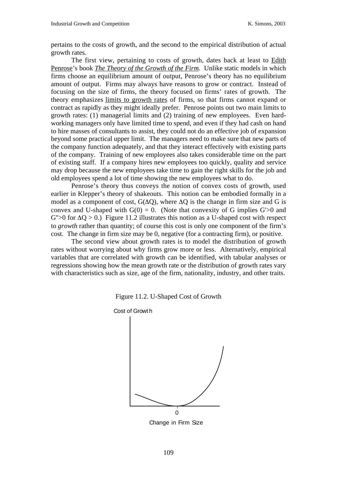pertains to the costs of growth, and the second to the empirical distribution of actual growth rates.

The first view, pertaining to costs of growth, dates back at least to Edith Penrose's book *The Theory of the Growth of the Firm*. Unlike static models in which firms choose an equilibrium amount of output, Penrose's theory has no equilibrium amount of output. Firms may always have reasons to grow or contract. Instead of focusing on the size of firms, the theory focused on firms' rates of growth. The theory emphasizes limits to growth rates of firms, so that firms cannot expand or contract as rapidly as they might ideally prefer. Penrose points out two main limits to growth rates: (1) managerial limits and (2) training of new employees. Even hardworking managers only have limited time to spend, and even if they had cash on hand to hire masses of consultants to assist, they could not do an effective job of expansion beyond some practical upper limit. The managers need to make sure that new parts of the company function adequately, and that they interact effectively with existing parts of the company. Training of new employees also takes considerable time on the part of existing staff. If a company hires new employees too quickly, quality and service may drop because the new employees take time to gain the right skills for the job and old employees spend a lot of time showing the new employees what to do.

Penrose's theory thus conveys the notion of convex costs of growth, used earlier in Klepper's theory of shakeouts. This notion can be embodied formally in a model as a component of cost,  $G(\Delta Q)$ , where  $\Delta Q$  is the change in firm size and G is convex and U-shaped with  $G(0) = 0$ . (Note that convexity of G implies  $G > 0$  and  $G'$ >0 for  $\Delta Q$  > 0.) Figure 11.2 illustrates this notion as a U-shaped cost with respect to *growth* rather than quantity; of course this cost is only one component of the firm's cost. The change in firm size may be 0, negative (for a contracting firm), or positive.

The second view about growth rates is to model the distribution of growth rates without worrying about why firms grow more or less. Alternatively, empirical variables that are correlated with growth can be identified, with tabular analyses or regressions showing how the mean growth rate or the distribution of growth rates vary with characteristics such as size, age of the firm, nationality, industry, and other traits.





Change in Firm Size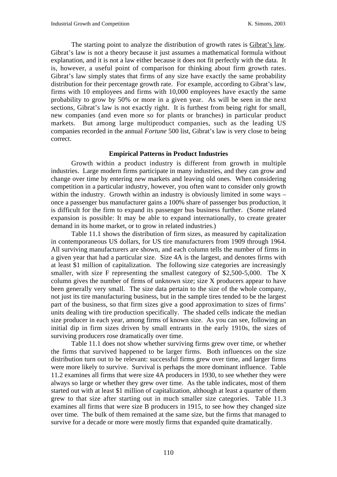The starting point to analyze the distribution of growth rates is **Gibrat's law**. Gibrat's law is not a theory because it just assumes a mathematical formula without explanation, and it is not a law either because it does not fit perfectly with the data. It is, however, a useful point of comparison for thinking about firm growth rates. Gibrat's law simply states that firms of any size have exactly the same probability distribution for their percentage growth rate. For example, according to Gibrat's law, firms with 10 employees and firms with 10,000 employees have exactly the same probability to grow by 50% or more in a given year. As will be seen in the next sections, Gibrat's law is not exactly right. It is furthest from being right for small, new companies (and even more so for plants or branches) in particular product markets. But among large multiproduct companies, such as the leading US companies recorded in the annual *Fortune* 500 list, Gibrat's law is very close to being correct.

# **Empirical Patterns in Product Industries**

Growth within a product industry is different from growth in multiple industries. Large modern firms participate in many industries, and they can grow and change over time by entering new markets and leaving old ones. When considering competition in a particular industry, however, you often want to consider only growth within the industry. Growth within an industry is obviously limited in some ways – once a passenger bus manufacturer gains a 100% share of passenger bus production, it is difficult for the firm to expand its passenger bus business further. (Some related expansion is possible: It may be able to expand internationally, to create greater demand in its home market, or to grow in related industries.)

Table 11.1 shows the distribution of firm sizes, as measured by capitalization in contemporaneous US dollars, for US tire manufacturers from 1909 through 1964. All surviving manufacturers are shown, and each column tells the number of firms in a given year that had a particular size. Size 4A is the largest, and denotes firms with at least \$1 million of capitalization. The following size categories are increasingly smaller, with size F representing the smallest category of \$2,500-5,000. The X column gives the number of firms of unknown size; size X producers appear to have been generally very small. The size data pertain to the size of the whole company, not just its tire manufacturing business, but in the sample tires tended to be the largest part of the business, so that firm sizes give a good approximation to sizes of firms' units dealing with tire production specifically. The shaded cells indicate the median size producer in each year, among firms of known size. As you can see, following an initial dip in firm sizes driven by small entrants in the early 1910s, the sizes of surviving producers rose dramatically over time.

Table 11.1 does not show whether surviving firms grew over time, or whether the firms that survived happened to be larger firms. Both influences on the size distribution turn out to be relevant: successful firms grew over time, and larger firms were more likely to survive. Survival is perhaps the more dominant influence. Table 11.2 examines all firms that were size 4A producers in 1930, to see whether they were always so large or whether they grew over time. As the table indicates, most of them started out with at least \$1 million of capitalization, although at least a quarter of them grew to that size after starting out in much smaller size categories. Table 11.3 examines all firms that were size B producers in 1915, to see how they changed size over time. The bulk of them remained at the same size, but the firms that managed to survive for a decade or more were mostly firms that expanded quite dramatically.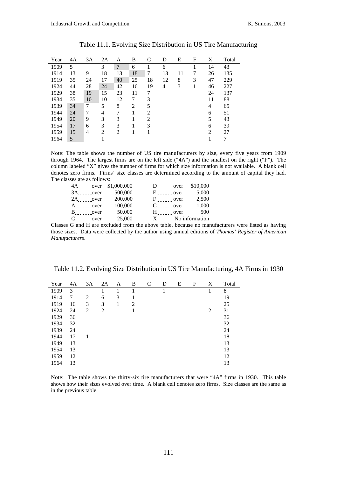| Year | 4A | 3A | 2A | А  | B  |    | D  | E  | F | X              | Total |
|------|----|----|----|----|----|----|----|----|---|----------------|-------|
| 1909 | 5  |    | 3  | 7  | 6  |    | 6  |    |   | 14             | 43    |
| 1914 | 13 | 9  | 18 | 13 | 18 | 7  | 13 | 11 | 7 | 26             | 135   |
| 1919 | 35 | 24 | 17 | 40 | 25 | 18 | 12 | 8  | 3 | 47             | 229   |
| 1924 | 44 | 28 | 24 | 42 | 16 | 19 | 4  | 3  | 1 | 46             | 227   |
| 1929 | 38 | 19 | 15 | 23 | 11 | 7  |    |    |   | 24             | 137   |
| 1934 | 35 | 10 | 10 | 12 | 7  | 3  |    |    |   | 11             | 88    |
| 1939 | 34 | 7  | 5  | 8  | 2  | 5  |    |    |   | 4              | 65    |
| 1944 | 24 | 7  | 4  | 7  |    | 2  |    |    |   | 6              | 51    |
| 1949 | 20 | 9  | 3  | 3  |    | 2  |    |    |   | 5              | 43    |
| 1954 | 17 | 6  | 3  | 3  |    | 3  |    |    |   | 6              | 39    |
| 1959 | 15 | 4  | 2  | 2  |    |    |    |    |   | $\overline{c}$ | 27    |
| 1964 | 5  |    |    |    |    |    |    |    |   |                |       |

Table 11.1. Evolving Size Distribution in US Tire Manufacturing

Note: The table shows the number of US tire manufacturers by size, every five years from 1909 through 1964. The largest firms are on the left side ("4A") and the smallest on the right ("F"). The column labeled "X" gives the number of firms for which size information is not available. A blank cell denotes zero firms. Firms' size classes are determined according to the amount of capital they had. The classes are as follows:

|              |         |         | D over           |      | \$10,000         |
|--------------|---------|---------|------------------|------|------------------|
| 3A           | over    | 500,000 | $E_{\text{max}}$ | over | 5,000            |
|              | 2A over | 200,000 | F over           |      | 2,500            |
| A            | over    | 100,000 | $(i -$           | over | 1,000            |
| B            | over    | 50,000  | H                | over | 500              |
| $\mathbf{C}$ | over    | 25,000  |                  |      | X No information |

Classes G and H are excluded from the above table, because no manufacturers were listed as having those sizes. Data were collected by the author using annual editions of *Thomas' Register of American Manufacturers*.

|  | Table 11.2. Evolving Size Distribution in US Tire Manufacturing, 4A Firms in 1930 |  |
|--|-----------------------------------------------------------------------------------|--|
|  |                                                                                   |  |

| Year | 4A | 3A | 2A | A | B | C | D | Е | F | X | Total |
|------|----|----|----|---|---|---|---|---|---|---|-------|
| 1909 | 3  |    |    |   |   |   |   |   |   | 1 | 8     |
| 1914 | 7  | 2  | 6  | 3 | 1 |   |   |   |   |   | 19    |
| 1919 | 16 | 3  | 3  | 1 | 2 |   |   |   |   |   | 25    |
| 1924 | 24 | 2  | 2  |   | 1 |   |   |   |   | 2 | 31    |
| 1929 | 36 |    |    |   |   |   |   |   |   |   | 36    |
| 1934 | 32 |    |    |   |   |   |   |   |   |   | 32    |
| 1939 | 24 |    |    |   |   |   |   |   |   |   | 24    |
| 1944 | 17 | 1  |    |   |   |   |   |   |   |   | 18    |
| 1949 | 13 |    |    |   |   |   |   |   |   |   | 13    |
| 1954 | 13 |    |    |   |   |   |   |   |   |   | 13    |
| 1959 | 12 |    |    |   |   |   |   |   |   |   | 12    |
| 1964 | 13 |    |    |   |   |   |   |   |   |   | 13    |

Note: The table shows the thirty-six tire manufacturers that were "4A" firms in 1930. This table shows how their sizes evolved over time. A blank cell denotes zero firms. Size classes are the same as in the previous table.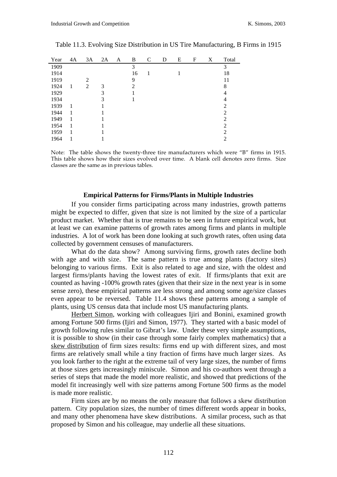| Year | 4A | 3A                          | 2A | A | B                           | C | D | E | F | X | Total          |
|------|----|-----------------------------|----|---|-----------------------------|---|---|---|---|---|----------------|
| 1909 |    |                             |    |   | 3                           |   |   |   |   |   | 3              |
| 1914 |    |                             |    |   | 16                          |   |   |   |   |   | 18             |
| 1919 |    | $\mathcal{D}_{\mathcal{L}}$ |    |   | 9                           |   |   |   |   |   | 11             |
| 1924 | 1  | 2                           | 3  |   | $\mathcal{D}_{\mathcal{L}}$ |   |   |   |   |   | 8              |
| 1929 |    |                             | 3  |   |                             |   |   |   |   |   |                |
| 1934 |    |                             | 3  |   |                             |   |   |   |   |   | 4              |
| 1939 | 1  |                             |    |   |                             |   |   |   |   |   | 2              |
| 1944 | 1  |                             |    |   |                             |   |   |   |   |   | 2              |
| 1949 | 1  |                             |    |   |                             |   |   |   |   |   | 2              |
| 1954 | 1  |                             |    |   |                             |   |   |   |   |   | $\mathfrak{D}$ |
| 1959 | 1  |                             |    |   |                             |   |   |   |   |   | $\mathfrak{D}$ |
| 1964 |    |                             |    |   |                             |   |   |   |   |   | 2              |

Table 11.3. Evolving Size Distribution in US Tire Manufacturing, B Firms in 1915

Note: The table shows the twenty-three tire manufacturers which were "B" firms in 1915. This table shows how their sizes evolved over time. A blank cell denotes zero firms. Size classes are the same as in previous tables.

### **Empirical Patterns for Firms/Plants in Multiple Industries**

If you consider firms participating across many industries, growth patterns might be expected to differ, given that size is not limited by the size of a particular product market. Whether that is true remains to be seen in future empirical work, but at least we can examine patterns of growth rates among firms and plants in multiple industries. A lot of work has been done looking at such growth rates, often using data collected by government censuses of manufacturers.

What do the data show? Among surviving firms, growth rates decline both with age and with size. The same pattern is true among plants (factory sites) belonging to various firms. Exit is also related to age and size, with the oldest and largest firms/plants having the lowest rates of exit. If firms/plants that exit are counted as having -100% growth rates (given that their size in the next year is in some sense zero), these empirical patterns are less strong and among some age/size classes even appear to be reversed. Table 11.4 shows these patterns among a sample of plants, using US census data that include most US manufacturing plants.

Herbert Simon, working with colleagues Ijiri and Bonini, examined growth among Fortune 500 firms (Ijiri and Simon, 1977). They started with a basic model of growth following rules similar to Gibrat's law. Under these very simple assumptions, it is possible to show (in their case through some fairly complex mathematics) that a skew distribution of firm sizes results: firms end up with different sizes, and most firms are relatively small while a tiny fraction of firms have much larger sizes. As you look farther to the right at the extreme tail of very large sizes, the number of firms at those sizes gets increasingly miniscule. Simon and his co-authors went through a series of steps that made the model more realistic, and showed that predictions of the model fit increasingly well with size patterns among Fortune 500 firms as the model is made more realistic.

Firm sizes are by no means the only measure that follows a skew distribution pattern. City population sizes, the number of times different words appear in books, and many other phenomena have skew distributions. A similar process, such as that proposed by Simon and his colleague, may underlie all these situations.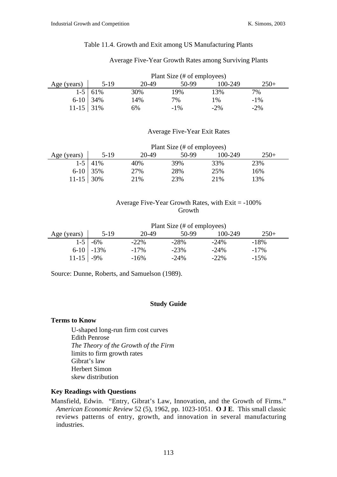# Table 11.4. Growth and Exit among US Manufacturing Plants

# Average Five-Year Growth Rates among Surviving Plants

| Plant Size (# of employees) |           |       |        |         |        |  |  |  |  |
|-----------------------------|-----------|-------|--------|---------|--------|--|--|--|--|
| Age (years)                 | 5-19      | 20-49 | 50-99  | 100-249 | $250+$ |  |  |  |  |
|                             | $1-5$ 61% | 30%   | 19%    | 13%     | 7%     |  |  |  |  |
| $6-10$ 34%                  |           | 14%   | 7%     | 1%      | $-1\%$ |  |  |  |  |
| $11-15$ 31%                 |           | 6%    | $-1\%$ | $-2\%$  | $-2\%$ |  |  |  |  |

# Average Five-Year Exit Rates

|             | Plant Size (# of employees) |       |       |         |        |  |  |  |  |
|-------------|-----------------------------|-------|-------|---------|--------|--|--|--|--|
| Age (years) | $5-19$                      | 20-49 | 50-99 | 100-249 | $250+$ |  |  |  |  |
|             | $1-5$   41%                 | 40%   | 39%   | 33%     | 23%    |  |  |  |  |
|             | $6-10$ 35%                  | 27%   | 28%   | 25%     | 16%    |  |  |  |  |
| $11-15$ 30% |                             | 21%   | 23%   | 21%     | 13%    |  |  |  |  |

# Average Five-Year Growth Rates, with Exit  $= -100\%$ Growth

| Plant Size (# of employees) |                |         |         |         |         |  |  |  |  |  |
|-----------------------------|----------------|---------|---------|---------|---------|--|--|--|--|--|
| Age (years)                 | $5-19$         | 20-49   | 50-99   | 100-249 | $250+$  |  |  |  |  |  |
| $1-5$                       | $-6\%$         | $-22\%$ | $-28\%$ | $-24\%$ | $-18%$  |  |  |  |  |  |
|                             | $6-10$ $-13\%$ | $-17\%$ | $-23%$  | $-24\%$ | $-17\%$ |  |  |  |  |  |
| $11-15$ -9%                 |                | $-16%$  | $-24\%$ | $-22\%$ | $-15%$  |  |  |  |  |  |

Source: Dunne, Roberts, and Samuelson (1989).

# **Study Guide**

# **Terms to Know**

U-shaped long-run firm cost curves Edith Penrose *The Theory of the Growth of the Firm* limits to firm growth rates Gibrat's law Herbert Simon skew distribution

# **Key Readings with Questions**

Mansfield, Edwin. "Entry, Gibrat's Law, Innovation, and the Growth of Firms." *American Economic Review* 52 (5), 1962, pp. 1023-1051. **O J E**. This small classic reviews patterns of entry, growth, and innovation in several manufacturing industries.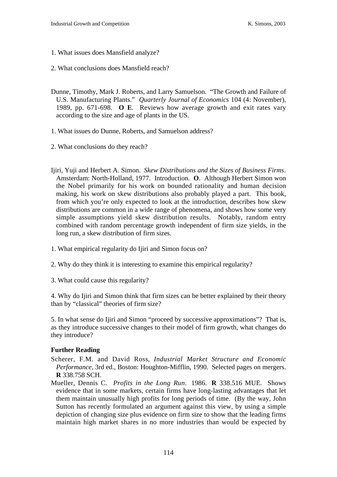- 1. What issues does Mansfield analyze?
- 2. What conclusions does Mansfield reach?
- Dunne, Timothy, Mark J. Roberts, and Larry Samuelson. "The Growth and Failure of U.S. Manufacturing Plants." *Quarterly Journal of Economics* 104 (4: November), 1989, pp. 671-698. **O E**. Reviews how average growth and exit rates vary according to the size and age of plants in the US.
- 1. What issues do Dunne, Roberts, and Samuelson address?
- 2. What conclusions do they reach?
- Ijiri, Yuji and Herbert A. Simon. *Skew Distributions and the Sizes of Business Firms*. Amsterdam: North-Holland, 1977. Introduction. **O**. Although Herbert Simon won the Nobel primarily for his work on bounded rationality and human decision making, his work on skew distributions also probably played a part. This book, from which you're only expected to look at the introduction, describes how skew distributions are common in a wide range of phenomena, and shows how some very simple assumptions yield skew distribution results. Notably, random entry combined with random percentage growth independent of firm size yields, in the long run, a skew distribution of firm sizes.
- 1. What empirical regularity do Ijiri and Simon focus on?
- 2. Why do they think it is interesting to examine this empirical regularity?
- 3. What could cause this regularity?

4. Why do Ijiri and Simon think that firm sizes can be better explained by their theory than by "classical" theories of firm size?

5. In what sense do Ijiri and Simon "proceed by successive approximations"? That is, as they introduce successive changes to their model of firm growth, what changes do they introduce?

# **Further Reading**

- Scherer, F.M. and David Ross*, Industrial Market Structure and Economic Performance*, 3rd ed., Boston: Houghton-Mifflin, 1990. Selected pages on mergers. **R** 338.758 SCH.
- Mueller, Dennis C. *Profits in the Long Run*. 1986. **R** 338.516 MUE. Shows evidence that in some markets, certain firms have long-lasting advantages that let them maintain unusually high profits for long periods of time. (By the way, John Sutton has recently formulated an argument against this view, by using a simple depiction of changing size plus evidence on firm size to show that the leading firms maintain high market shares in no more industries than would be expected by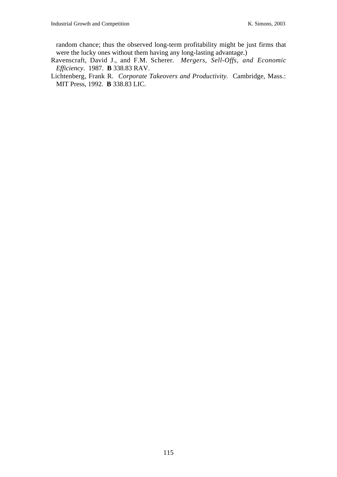random chance; thus the observed long-term profitability might be just firms that were the lucky ones without them having any long-lasting advantage.)

- Ravenscraft, David J., and F.M. Scherer. *Mergers, Sell-Offs, and Economic Efficiency*. 1987. **B** 338.83 RAV.
- Lichtenberg, Frank R. *Corporate Takeovers and Productivity*. Cambridge, Mass.: MIT Press, 1992. **B** 338.83 LIC.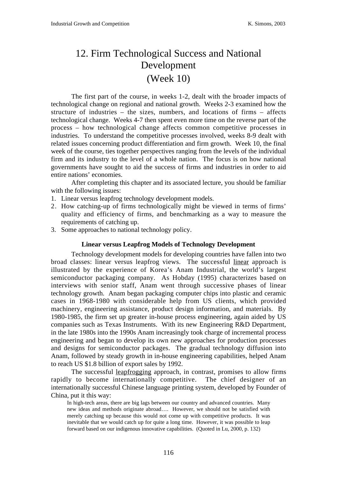# 12. Firm Technological Success and National Development (Week 10)

The first part of the course, in weeks 1-2, dealt with the broader impacts of technological change on regional and national growth. Weeks 2-3 examined how the structure of industries – the sizes, numbers, and locations of firms – affects technological change. Weeks 4-7 then spent even more time on the reverse part of the process – how technological change affects common competitive processes in industries. To understand the competitive processes involved, weeks 8-9 dealt with related issues concerning product differentiation and firm growth. Week 10, the final week of the course, ties together perspectives ranging from the levels of the individual firm and its industry to the level of a whole nation. The focus is on how national governments have sought to aid the success of firms and industries in order to aid entire nations' economies.

After completing this chapter and its associated lecture, you should be familiar with the following issues:

- 1. Linear versus leapfrog technology development models.
- 2. How catching-up of firms technologically might be viewed in terms of firms' quality and efficiency of firms, and benchmarking as a way to measure the requirements of catching up.
- 3. Some approaches to national technology policy.

# **Linear versus Leapfrog Models of Technology Development**

Technology development models for developing countries have fallen into two broad classes: linear versus leapfrog views. The successful linear approach is illustrated by the experience of Korea's Anam Industrial, the world's largest semiconductor packaging company. As Hobday (1995) characterizes based on interviews with senior staff, Anam went through successive phases of linear technology growth. Anam began packaging computer chips into plastic and ceramic cases in 1968-1980 with considerable help from US clients, which provided machinery, engineering assistance, product design information, and materials. By 1980-1985, the firm set up greater in-house process engineering, again aided by US companies such as Texas Instruments. With its new Engineering R&D Department, in the late 1980s into the 1990s Anam increasingly took charge of incremental process engineering and began to develop its own new approaches for production processes and designs for semiconductor packages. The gradual technology diffusion into Anam, followed by steady growth in in-house engineering capabilities, helped Anam to reach US \$1.8 billion of export sales by 1992.

The successful leapfrogging approach, in contrast, promises to allow firms rapidly to become internationally competitive. The chief designer of an internationally successful Chinese language printing system, developed by Founder of China, put it this way:

In high-tech areas, there are big lags between our country and advanced countries. Many new ideas and methods originate abroad…. However, we should not be satisfied with merely catching up because this would not come up with competitive products. It was inevitable that we would catch up for quite a long time. However, it was possible to leap forward based on our indigenous innovative capabilities. (Quoted in Lu, 2000, p. 132)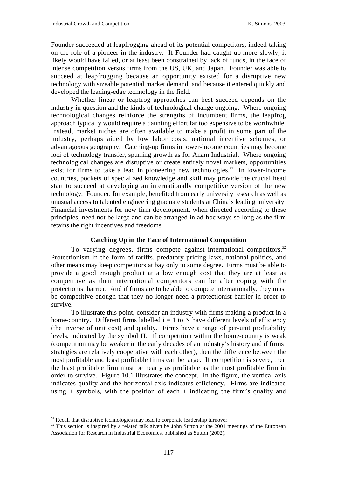Founder succeeded at leapfrogging ahead of its potential competitors, indeed taking on the role of a pioneer in the industry. If Founder had caught up more slowly, it likely would have failed, or at least been constrained by lack of funds, in the face of intense competition versus firms from the US, UK, and Japan. Founder was able to succeed at leapfrogging because an opportunity existed for a disruptive new technology with sizeable potential market demand, and because it entered quickly and developed the leading-edge technology in the field.

Whether linear or leapfrog approaches can best succeed depends on the industry in question and the kinds of technological change ongoing. Where ongoing technological changes reinforce the strengths of incumbent firms, the leapfrog approach typically would require a daunting effort far too expensive to be worthwhile. Instead, market niches are often available to make a profit in some part of the industry, perhaps aided by low labor costs, national incentive schemes, or advantageous geography. Catching-up firms in lower-income countries may become loci of technology transfer, spurring growth as for Anam Industrial. Where ongoing technological changes are disruptive or create entirely novel markets, opportunities exist for firms to take a lead in pioneering new technologies.<sup>31</sup> In lower-income countries, pockets of specialized knowledge and skill may provide the crucial head start to succeed at developing an internationally competitive version of the new technology. Founder, for example, benefited from early university research as well as unusual access to talented engineering graduate students at China's leading university. Financial investments for new firm development, when directed according to these principles, need not be large and can be arranged in ad-hoc ways so long as the firm retains the right incentives and freedoms.

# **Catching Up in the Face of International Competition**

To varying degrees, firms compete against international competitors.<sup>32</sup> Protectionism in the form of tariffs, predatory pricing laws, national politics, and other means may keep competitors at bay only to some degree. Firms must be able to provide a good enough product at a low enough cost that they are at least as competitive as their international competitors can be after coping with the protectionist barrier. And if firms are to be able to compete internationally, they must be competitive enough that they no longer need a protectionist barrier in order to survive.

To illustrate this point, consider an industry with firms making a product in a home-country. Different firms labelled  $i = 1$  to N have different levels of efficiency (the inverse of unit cost) and quality. Firms have a range of per-unit profitability levels, indicated by the symbol Π. If competition within the home-country is weak (competition may be weaker in the early decades of an industry's history and if firms' strategies are relatively cooperative with each other), then the difference between the most profitable and least profitable firms can be large. If competition is severe, then the least profitable firm must be nearly as profitable as the most profitable firm in order to survive. Figure 10.1 illustrates the concept. In the figure, the vertical axis indicates quality and the horizontal axis indicates efficiency. Firms are indicated using  $+$  symbols, with the position of each  $+$  indicating the firm's quality and

 $31$  Recall that disruptive technologies may lead to corporate leadership turnover.

 $32$  This section is inspired by a related talk given by John Sutton at the 2001 meetings of the European Association for Research in Industrial Economics, published as Sutton (2002).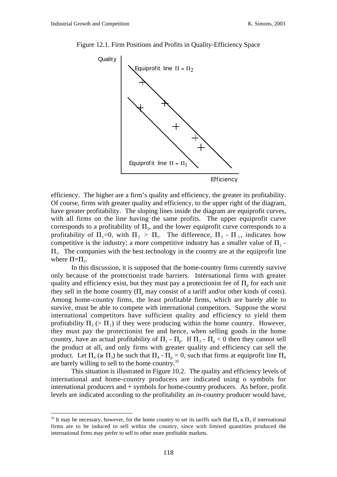



efficiency. The higher are a firm's quality and efficiency, the greater its profitability. Of course, firms with greater quality and efficiency, to the upper right of the diagram, have greater profitability. The sloping lines inside the diagram are equiprofit curves, with all firms on the line having the same profits. The upper equiprofit curve corresponds to a profitability of  $\Pi_2$ , and the lower equiprofit curve corresponds to a profitability of  $\Pi_1=0$ , with  $\Pi_2 > \Pi_1$ . The difference,  $\Pi_2 - \Pi_1$ , indicates how competitive is the industry; a more competitive industry has a smaller value of  $\Pi$ <sub>2</sub> - $\Pi_1$ . The companies with the best technology in the country are at the equiprofit line where  $\Pi = \Pi_2$ .

In this discussion, it is supposed that the home-country firms currently survive only because of the protectionist trade barriers. International firms with greater quality and efficiency exist, but they must pay a protectionist fee of  $\Pi_p$  for each unit they sell in the home country  $(\Pi_p \text{ may consist of a tariff and/or other kinds of costs}).$ Among home-country firms, the least profitable firms, which are barely able to survive, must be able to compete with international competitors. Suppose the worst international competitors have sufficient quality and efficiency to yield them profitability  $\Pi_3$  (>  $\Pi_1$ ) if they were producing within the home country. However, they must pay the protectionist fee and hence, when selling goods in the home country, have an actual profitability of  $\Pi_3$  -  $\Pi_n$ . If  $\Pi_3$  -  $\Pi_n$  < 0 then they cannot sell the product at all, and only firms with greater quality and efficiency can sell the product. Let  $\Pi_4$  ( $\geq \Pi_3$ ) be such that  $\Pi_4$  -  $\Pi_p = 0$ , such that firms at equiprofit line  $\Pi_4$ are barely willing to sell to the home country.<sup>33</sup>

This situation is illustrated in Figure 10.2. The quality and efficiency levels of international and home-country producers are indicated using o symbols for international producers and + symbols for home-country producers. As before, profit levels are indicated according to the profitability an *in-country* producer would have,

<sup>&</sup>lt;sup>33</sup> It may be necessary, however, for the home country to set its tariffs such that  $\Pi_4 \leq \Pi_3$  if international firms are to be induced to sell within the country, since with limited quantities produced the international firms may prefer to sell to other more profitable markets.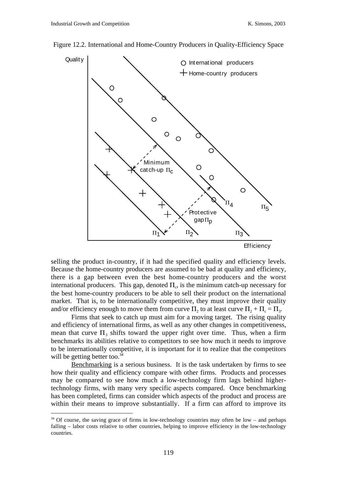

Figure 12.2. International and Home-Country Producers in Quality-Efficiency Space

selling the product in-country, if it had the specified quality and efficiency levels. Because the home-country producers are assumed to be bad at quality and efficiency, there is a gap between even the best home-country producers and the worst international producers. This gap, denoted  $\Pi_c$ , is the minimum catch-up necessary for the best home-country producers to be able to sell their product on the international market. That is, to be internationally competitive, they must improve their quality and/or efficiency enough to move them from curve  $\Pi_2$  to at least curve  $\Pi_2 + \Pi_c = \Pi_3$ .

Firms that seek to catch up must aim for a moving target. The rising quality and efficiency of international firms, as well as any other changes in competitiveness, mean that curve  $\Pi_3$  shifts toward the upper right over time. Thus, when a firm benchmarks its abilities relative to competitors to see how much it needs to improve to be internationally competitive, it is important for it to realize that the competitors will be getting better too.<sup>34</sup>

Benchmarking is a serious business. It is the task undertaken by firms to see how their quality and efficiency compare with other firms. Products and processes may be compared to see how much a low-technology firm lags behind highertechnology firms, with many very specific aspects compared. Once benchmarking has been completed, firms can consider which aspects of the product and process are within their means to improve substantially. If a firm can afford to improve its

 $34$  Of course, the saving grace of firms in low-technology countries may often be low – and perhaps falling – labor costs relative to other countries, helping to improve efficiency in the low-technology countries.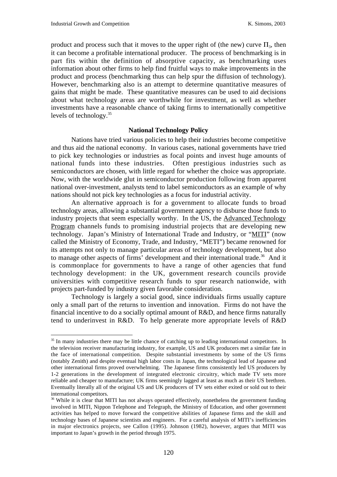product and process such that it moves to the upper right of (the new) curve  $\Pi_3$ , then it can become a profitable international producer. The process of benchmarking is in part fits within the definition of absorptive capacity, as benchmarking uses information about other firms to help find fruitful ways to make improvements in the product and process (benchmarking thus can help spur the diffusion of technology). However, benchmarking also is an attempt to determine quantitative measures of gains that might be made. These quantitative measures can be used to aid decisions about what technology areas are worthwhile for investment, as well as whether investments have a reasonable chance of taking firms to internationally competitive levels of technology.<sup>35</sup>

# **National Technology Policy**

Nations have tried various policies to help their industries become competitive and thus aid the national economy. In various cases, national governments have tried to pick key technologies or industries as focal points and invest huge amounts of national funds into these industries. Often prestigious industries such as semiconductors are chosen, with little regard for whether the choice was appropriate. Now, with the worldwide glut in semiconductor production following from apparent national over-investment, analysts tend to label semiconductors as an example of why nations should not pick key technologies as a focus for industrial activity.

An alternative approach is for a government to allocate funds to broad technology areas, allowing a substantial government agency to disburse those funds to industry projects that seem especially worthy. In the US, the Advanced Technology Program channels funds to promising industrial projects that are developing new technology. Japan's Ministry of International Trade and Industry, or "MITI" (now called the Ministry of Economy, Trade, and Industry, "METI") became renowned for its attempts not only to manage particular areas of technology development, but also to manage other aspects of firms' development and their international trade.<sup>36</sup> And it is commonplace for governments to have a range of other agencies that fund technology development: in the UK, government research councils provide universities with competitive research funds to spur research nationwide, with projects part-funded by industry given favorable consideration.

Technology is largely a social good, since individuals firms usually capture only a small part of the returns to invention and innovation. Firms do not have the financial incentive to do a socially optimal amount of R&D, and hence firms naturally tend to underinvest in R&D. To help generate more appropriate levels of R&D

<sup>&</sup>lt;sup>35</sup> In many industries there may be little chance of catching up to leading international competitors. In the television receiver manufacturing industry, for example, US and UK producers met a similar fate in the face of international competition. Despite substantial investments by some of the US firms (notably Zenith) and despite eventual high labor costs in Japan, the technological lead of Japanese and other international firms proved overwhelming. The Japanese firms consistently led US producers by 1-2 generations in the development of integrated electronic circuitry, which made TV sets more reliable and cheaper to manufacture; UK firms seemingly lagged at least as much as their US brethren. Eventually literally all of the original US and UK producers of TV sets either exited or sold out to their international competitors.

<sup>&</sup>lt;sup>36</sup> While it is clear that MITI has not always operated effectively, nonetheless the government funding involved in MITI, Nippon Telephone and Telegraph, the Ministry of Education, and other government activities has helped to move forward the competitive abilities of Japanese firms and the skill and technology bases of Japanese scientists and engineers. For a careful analysis of MITI's inefficiencies in major electronics projects, see Callon (1995). Johnson (1982), however, argues that MITI was important to Japan's growth in the period through 1975.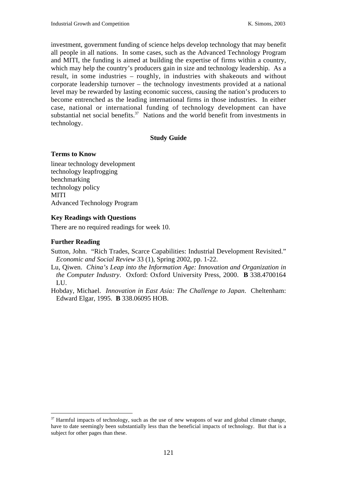investment, government funding of science helps develop technology that may benefit all people in all nations. In some cases, such as the Advanced Technology Program and MITI, the funding is aimed at building the expertise of firms within a country, which may help the country's producers gain in size and technology leadership. As a result, in some industries – roughly, in industries with shakeouts and without corporate leadership turnover – the technology investments provided at a national level may be rewarded by lasting economic success, causing the nation's producers to become entrenched as the leading international firms in those industries. In either case, national or international funding of technology development can have substantial net social benefits. $37$  Nations and the world benefit from investments in technology.

# **Study Guide**

### **Terms to Know**

linear technology development technology leapfrogging benchmarking technology policy MITI Advanced Technology Program

# **Key Readings with Questions**

There are no required readings for week 10.

# **Further Reading**

- Sutton, John. "Rich Trades, Scarce Capabilities: Industrial Development Revisited." *Economic and Social Review* 33 (1), Spring 2002, pp. 1-22.
- Lu, Qiwen. *China's Leap into the Information Age: Innovation and Organization in the Computer Industry*. Oxford: Oxford University Press, 2000. **B** 338.4700164 LU.
- Hobday, Michael. *Innovation in East Asia: The Challenge to Japan*. Cheltenham: Edward Elgar, 1995. **B** 338.06095 HOB.

 $37$  Harmful impacts of technology, such as the use of new weapons of war and global climate change, have to date seemingly been substantially less than the beneficial impacts of technology. But that is a subject for other pages than these.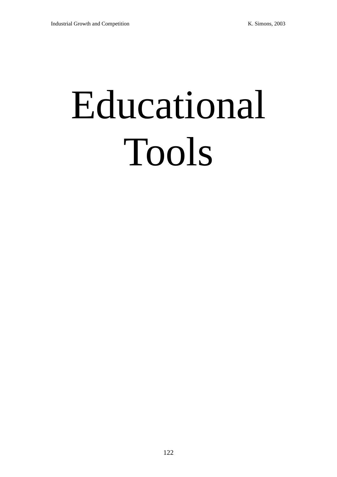# Educational Tools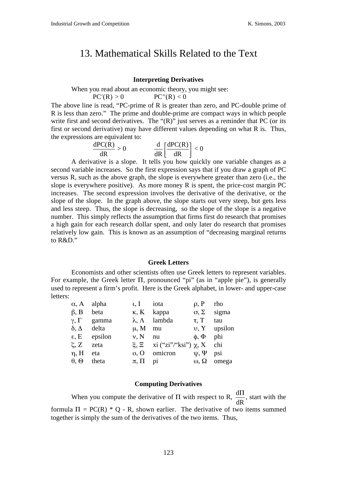# 13. Mathematical Skills Related to the Text

# **Interpreting Derivatives**

When you read about an economic theory, you might see:

 $PC'(R) > 0$   $PC''(R) < 0$ 

The above line is read, "PC-prime of R is greater than zero, and PC-double prime of R is less than zero." The prime and double-prime are compact ways in which people write first and second derivatives. The "(R)" just serves as a reminder that PC (or its first or second derivative) may have different values depending on what R is. Thus, the expressions are equivalent to:

$$
\frac{dPC(R)}{dR} > 0 \qquad \qquad \frac{d}{dR} \left[ \frac{dPC(R)}{dR} \right] < 0
$$

A derivative is a slope. It tells you how quickly one variable changes as a second variable increases. So the first expression says that if you draw a graph of PC versus R, such as the above graph, the slope is everywhere greater than zero (i.e., the slope is everywhere positive). As more money R is spent, the price-cost margin PC increases. The second expression involves the derivative of the derivative, or the slope of the slope. In the graph above, the slope starts out very steep, but gets less and less steep. Thus, the slope is decreasing, so the slope of the slope is a negative number. This simply reflects the assumption that firms first do research that promises a high gain for each research dollar spent, and only later do research that promises relatively low gain. This is known as an assumption of "decreasing marginal returns to R&D."

# **Greek Letters**

Economists and other scientists often use Greek letters to represent variables. For example, the Greek letter Π, pronounced "pi" (as in "apple pie"), is generally used to represent a firm's profit. Here is the Greek alphabet, in lower- and upper-case letters:

| alpha<br>$\rho$ , P<br>$\alpha$ , A<br>$\iota$ , I iota                 | rho                       |
|-------------------------------------------------------------------------|---------------------------|
| $\beta$ , B<br>$\kappa$ , K kappa<br>beta                               | $\sigma$ , $\Sigma$ sigma |
| $\lambda$ , $\Lambda$ lambda<br>$\gamma$ , $\Gamma$ gamma<br>$\tau$ , T | tau                       |
| $\delta$ , $\Delta$ delta<br>$\mu$ , M mu                               | $v, Y$ upsilon            |
| $\phi$ , $\Phi$ phi<br>$\epsilon$ , E epsilon<br>$v, N$ nu              |                           |
| $\zeta, Z$<br>$\xi$ , $\Xi$ xi ("zi"/"ksi") $\chi$ , X chi<br>zeta      |                           |
| omicron $\psi$ , $\Psi$ psi<br>$\eta$ , H<br>$\Omega$ , $\Omega$<br>eta |                           |
| $\theta$ , $\Theta$ theta<br>$\pi$ , $\Pi$ pi                           | $\omega$ , $\Omega$ omega |

# **Computing Derivatives**

When you compute the derivative of  $\Pi$  with respect to R,  $\frac{d}{d\theta}$ dR  $\frac{\Pi}{\Pi}$ , start with the formula  $\Pi = PC(R) * Q - R$ , shown earlier. The derivative of two items summed together is simply the sum of the derivatives of the two items. Thus,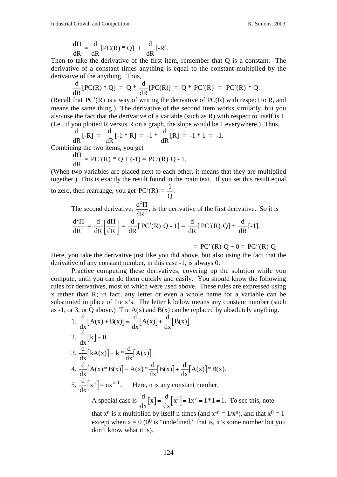$$
\frac{d\Pi}{dR} = \frac{d}{dR}[PC(R)*Q] + \frac{d}{dR}[-R].
$$

Then to take the derivative of the first item, remember that Q is a constant. The derivative of a constant times anything is equal to the constant multiplied by the derivative of the anything. Thus,

$$
\frac{d}{dR}[PC(R)*Q] = Q * \frac{d}{dR}[PC(R)] = Q * PC'(R) = PC'(R) * Q.
$$

(Recall that  $PC'(R)$  is a way of writing the derivative of  $PC(R)$  with respect to R, and means the same thing.) The derivative of the second item works similarly, but you also use the fact that the derivative of a variable (such as R) with respect to itself is 1. (I.e., if you plotted R versus R on a graph, the slope would be 1 everywhere.) Thus,

$$
\frac{d}{dR}[\text{-R}] = \frac{d}{dR}[\text{-1} * R] = \text{-1} * \frac{d}{dR}[R] = \text{-1} * 1 = \text{-1}.
$$

Combining the two items, you get

$$
\frac{d\Pi}{dR} = PC'(R) * Q + (-1) = PC'(R) Q - 1.
$$

(When two variables are placed next to each other, it means that they are multiplied together.) This is exactly the result found in the main text. If you set this result equal to zero, then rearrange, you get  $PC'(R) = \frac{1}{Q}$ .

The second derivative,  $\frac{d}{dt}$ dR 2  $\frac{\Pi}{2^2}$ , is the derivative of the first derivative. So it is

$$
\frac{d^2\Pi}{dR^2} = \frac{d}{dR} \left[ \frac{d\Pi}{dR} \right] = \frac{d}{dR} [PC'(R) Q - 1] = \frac{d}{dR} [PC'(R) Q] + \frac{d}{dR} [-1].
$$

 $= PC''(R) Q + 0 = PC''(R) Q$ 

Here, you take the derivative just like you did above, but also using the fact that the derivative of any constant number, in this case -1, is always 0.

Practice computing these derivatives, covering up the solution while you compute, until you can do them quickly and easily. You should know the following rules for derivatives, most of which were used above. These rules are expressed using x rather than R; in fact, any letter or even a whole name for a variable can be substituted in place of the x's. The letter k below means any constant number (such as  $-1$ , or 3, or Q above.) The  $A(x)$  and  $B(x)$  can be replaced by absolutely anything.

1. 
$$
\frac{d}{dx}[A(x) + B(x)] = \frac{d}{dx}[A(x)] + \frac{d}{dx}[B(x)].
$$
  
\n2. 
$$
\frac{d}{dx}[k] = 0.
$$
  
\n3. 
$$
\frac{d}{dx}[kA(x)] = k * \frac{d}{dx}[A(x)].
$$
  
\n4. 
$$
\frac{d}{dx}[A(x)*B(x)] = A(x) * \frac{d}{dx}[B(x)] + \frac{d}{dx}[A(x)] * B(x).
$$
  
\n5. 
$$
\frac{d}{dx}[x^{n}] = nx^{n-1}.
$$
 Here, n is any constant number.  
\nA special case is 
$$
\frac{d}{dx}[x] = \frac{d}{dx}[x^{1}] = 1x^{0} = 1 * 1 = 1.
$$
 To see this, note that  $x^{n}$  is x multiplied by itself n times (and  $x^{-n} = 1/x^{n}$ ), and that  $x^{0} = 1$  except when  $x = 0$  ( $0^{0}$  is "undefined," that is, it's some number but you don't know what it is).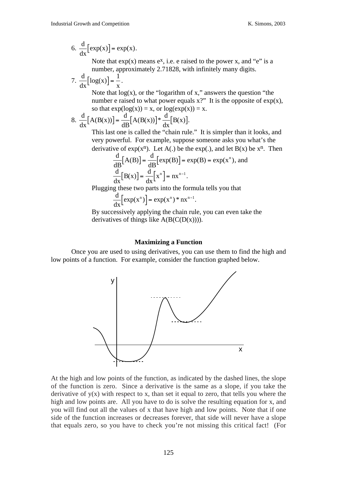6. 
$$
\frac{d}{dx} \left[ exp(x) \right] = exp(x).
$$

Note that  $exp(x)$  means  $e^x$ , i.e. e raised to the power x, and "e" is a number, approximately 2.71828, with infinitely many digits.

7. 
$$
\frac{d}{dx} [\log(x)] = \frac{1}{x}.
$$

Note that  $log(x)$ , or the "logarithm of x," answers the question "the number e raised to what power equals  $x$ ?" It is the opposite of  $exp(x)$ , so that  $exp(log(x)) = x$ , or  $log(exp(x)) = x$ .

8. 
$$
\frac{d}{dx}[A(B(x))] = \frac{d}{dB}[A(B(x))] * \frac{d}{dx}[B(x)].
$$

This last one is called the "chain rule." It is simpler than it looks, and very powerful. For example, suppose someone asks you what's the derivative of  $exp(x^n)$ . Let A(.) be the  $exp(.)$ , and let B(x) be  $x^n$ . Then

.

$$
\frac{d}{dB}[A(B)] = \frac{d}{dB}[exp(B)] = exp(B) = exp(x^n), \text{ and}
$$

$$
\frac{d}{dx}[B(x)] = \frac{d}{dx}[x^n] = nx^{n-1}.
$$

Plugging these two parts into the formula tells you that

$$
\frac{d}{dx} \left[ exp(x^n) \right] = exp(x^n) * nx^{n-1}
$$

By successively applying the chain rule, you can even take the derivatives of things like  $A(B(C(D(x))))$ .

# **Maximizing a Function**

Once you are used to using derivatives, you can use them to find the high and low points of a function. For example, consider the function graphed below.



At the high and low points of the function, as indicated by the dashed lines, the slope of the function is zero. Since a derivative is the same as a slope, if you take the derivative of  $y(x)$  with respect to x, than set it equal to zero, that tells you where the high and low points are. All you have to do is solve the resulting equation for x, and you will find out all the values of x that have high and low points. Note that if one side of the function increases or decreases forever, that side will never have a slope that equals zero, so you have to check you're not missing this critical fact! (For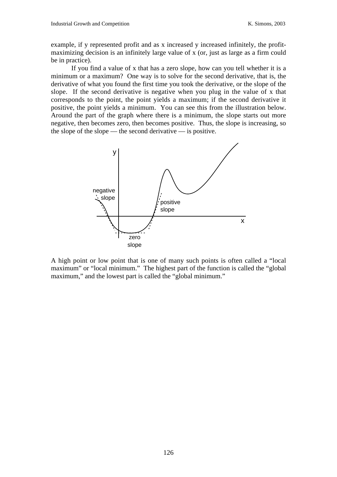example, if y represented profit and as x increased y increased infinitely, the profitmaximizing decision is an infinitely large value of x (or, just as large as a firm could be in practice).

If you find a value of x that has a zero slope, how can you tell whether it is a minimum or a maximum? One way is to solve for the second derivative, that is, the derivative of what you found the first time you took the derivative, or the slope of the slope. If the second derivative is negative when you plug in the value of x that corresponds to the point, the point yields a maximum; if the second derivative it positive, the point yields a minimum. You can see this from the illustration below. Around the part of the graph where there is a minimum, the slope starts out more negative, then becomes zero, then becomes positive. Thus, the slope is increasing, so the slope of the slope — the second derivative — is positive.



A high point or low point that is one of many such points is often called a "local maximum" or "local minimum." The highest part of the function is called the "global maximum," and the lowest part is called the "global minimum."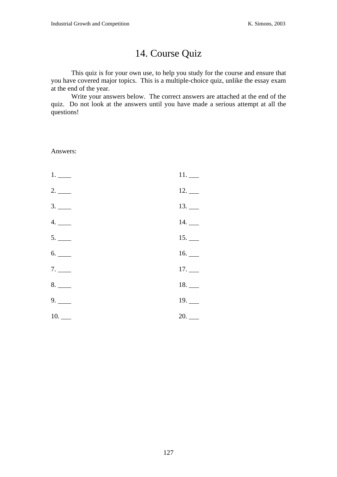# 14. Course Quiz

This quiz is for your own use, to help you study for the course and ensure that you have covered major topics. This is a multiple-choice quiz, unlike the essay exam at the end of the year.

Write your answers below. The correct answers are attached at the end of the quiz. Do not look at the answers until you have made a serious attempt at all the questions!

Answers:

| 1.  | 11. |
|-----|-----|
| 2.  | 12. |
| 3.  |     |
| 4.  | 14. |
| 5.  |     |
| 6.  |     |
| 7.  | 17. |
| 8.  |     |
| 9.  | 19. |
| 10. | 20. |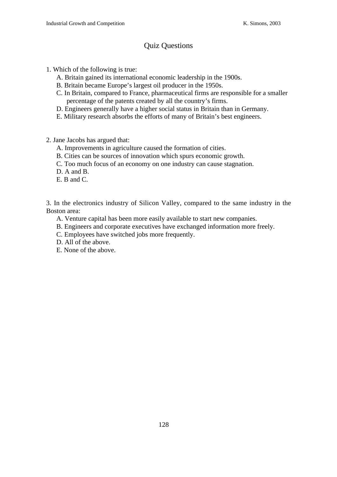# Quiz Questions

- 1. Which of the following is true:
	- A. Britain gained its international economic leadership in the 1900s.
	- B. Britain became Europe's largest oil producer in the 1950s.
	- C. In Britain, compared to France, pharmaceutical firms are responsible for a smaller percentage of the patents created by all the country's firms.
	- D. Engineers generally have a higher social status in Britain than in Germany.
	- E. Military research absorbs the efforts of many of Britain's best engineers.
- 2. Jane Jacobs has argued that:
	- A. Improvements in agriculture caused the formation of cities.
	- B. Cities can be sources of innovation which spurs economic growth.
	- C. Too much focus of an economy on one industry can cause stagnation.
	- D. A and B.
	- E. B and C.

3. In the electronics industry of Silicon Valley, compared to the same industry in the Boston area:

- A. Venture capital has been more easily available to start new companies.
- B. Engineers and corporate executives have exchanged information more freely.
- C. Employees have switched jobs more frequently.
- D. All of the above.
- E. None of the above.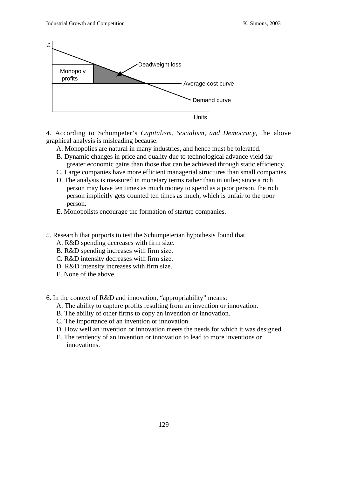

4. According to Schumpeter's *Capitalism, Socialism, and Democracy*, the above graphical analysis is misleading because:

A. Monopolies are natural in many industries, and hence must be tolerated.

- B. Dynamic changes in price and quality due to technological advance yield far greater economic gains than those that can be achieved through static efficiency.
- C. Large companies have more efficient managerial structures than small companies.
- D. The analysis is measured in monetary terms rather than in utiles; since a rich person may have ten times as much money to spend as a poor person, the rich person implicitly gets counted ten times as much, which is unfair to the poor person.
- E. Monopolists encourage the formation of startup companies.
- 5. Research that purports to test the Schumpeterian hypothesis found that
	- A. R&D spending decreases with firm size.
	- B. R&D spending increases with firm size.
	- C. R&D intensity decreases with firm size.
	- D. R&D intensity increases with firm size.
	- E. None of the above.

6. In the context of R&D and innovation, "appropriability" means:

- A. The ability to capture profits resulting from an invention or innovation.
- B. The ability of other firms to copy an invention or innovation.
- C. The importance of an invention or innovation.
- D. How well an invention or innovation meets the needs for which it was designed.
- E. The tendency of an invention or innovation to lead to more inventions or innovations.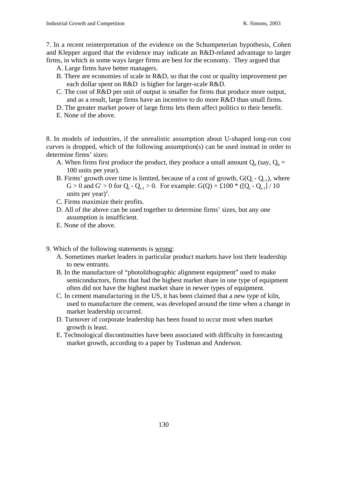7. In a recent reinterpretation of the evidence on the Schumpeterian hypothesis, Cohen and Klepper argued that the evidence may indicate an R&D-related advantage to larger firms, in which in some ways larger firms are best for the economy. They argued that

A. Large firms have better managers.

- B. There are economies of scale in R&D, so that the cost or quality improvement per each dollar spent on R&D is higher for larger-scale R&D.
- C. The cost of R&D per unit of output is smaller for firms that produce more output, and as a result, large firms have an incentive to do more R&D than small firms.
- D. The greater market power of large firms lets them affect politics to their benefit.
- E. None of the above.

8. In models of industries, if the unrealistic assumption about U-shaped long-run cost curves is dropped, which of the following assumption(s) can be used instead in order to determine firms' sizes:

- A. When firms first produce the product, they produce a small amount  $Q_0$  (say,  $Q_0 =$ 100 units per year).
- B. Firms' growth over time is limited, because of a cost of growth,  $G(Q_t Q_{t-1})$ , where  $G > 0$  and  $G' > 0$  for  $Q_t$  -  $Q_{t-1} > 0$ . For example:  $G(Q) = \pounds 100 * ([Q_t - Q_{t-1}] / 10$ units per year)<sup>2</sup>.
- C. Firms maximize their profits.
- D. All of the above can be used together to determine firms' sizes, but any one assumption is insufficient.
- E. None of the above.
- 9. Which of the following statements is wrong:
	- A. Sometimes market leaders in particular product markets have lost their leadership to new entrants.
	- B. In the manufacture of "photolithographic alignment equipment" used to make semiconductors, firms that had the highest market share in one type of equipment often did not have the highest market share in newer types of equipment.
	- C. In cement manufacturing in the US, it has been claimed that a new type of kiln, used to manufacture the cement, was developed around the time when a change in market leadership occurred.
	- D. Turnover of corporate leadership has been found to occur most when market growth is least.
	- E. Technological discontinuities have been associated with difficulty in forecasting market growth, according to a paper by Tushman and Anderson.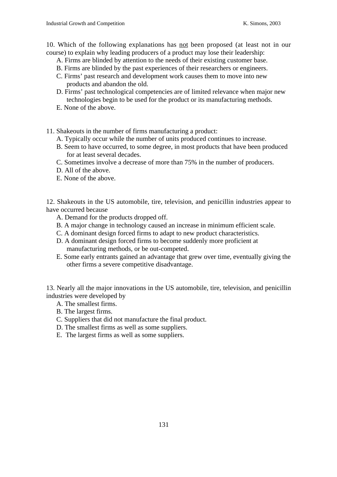10. Which of the following explanations has not been proposed (at least not in our course) to explain why leading producers of a product may lose their leadership:

- A. Firms are blinded by attention to the needs of their existing customer base.
- B. Firms are blinded by the past experiences of their researchers or engineers.
- C. Firms' past research and development work causes them to move into new products and abandon the old.
- D. Firms' past technological competencies are of limited relevance when major new technologies begin to be used for the product or its manufacturing methods.
- E. None of the above.
- 11. Shakeouts in the number of firms manufacturing a product:
	- A. Typically occur while the number of units produced continues to increase.
	- B. Seem to have occurred, to some degree, in most products that have been produced for at least several decades.
	- C. Sometimes involve a decrease of more than 75% in the number of producers.
	- D. All of the above.
	- E. None of the above.

12. Shakeouts in the US automobile, tire, television, and penicillin industries appear to have occurred because

- A. Demand for the products dropped off.
- B. A major change in technology caused an increase in minimum efficient scale.
- C. A dominant design forced firms to adapt to new product characteristics.
- D. A dominant design forced firms to become suddenly more proficient at manufacturing methods, or be out-competed.
- E. Some early entrants gained an advantage that grew over time, eventually giving the other firms a severe competitive disadvantage.

13. Nearly all the major innovations in the US automobile, tire, television, and penicillin industries were developed by

- A. The smallest firms.
- B. The largest firms.
- C. Suppliers that did not manufacture the final product.
- D. The smallest firms as well as some suppliers.
- E. The largest firms as well as some suppliers.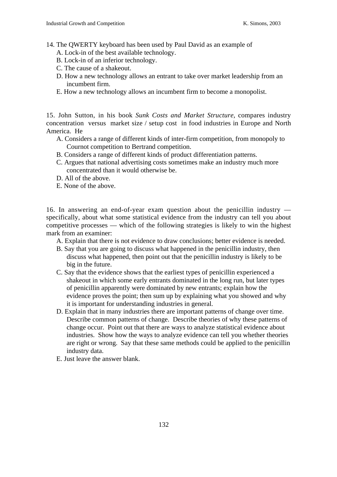- 14. The QWERTY keyboard has been used by Paul David as an example of
	- A. Lock-in of the best available technology.
	- B. Lock-in of an inferior technology.
	- C. The cause of a shakeout.
	- D. How a new technology allows an entrant to take over market leadership from an incumbent firm.
	- E. How a new technology allows an incumbent firm to become a monopolist.

15. John Sutton, in his book *Sunk Costs and Market Structure*, compares industry concentration versus market size / setup cost in food industries in Europe and North America. He

- A. Considers a range of different kinds of inter-firm competition, from monopoly to Cournot competition to Bertrand competition.
- B. Considers a range of different kinds of product differentiation patterns.
- C. Argues that national advertising costs sometimes make an industry much more concentrated than it would otherwise be.
- D. All of the above.
- E. None of the above.

16. In answering an end-of-year exam question about the penicillin industry specifically, about what some statistical evidence from the industry can tell you about competitive processes — which of the following strategies is likely to win the highest mark from an examiner:

- A. Explain that there is not evidence to draw conclusions; better evidence is needed.
- B. Say that you are going to discuss what happened in the penicillin industry, then discuss what happened, then point out that the penicillin industry is likely to be big in the future.
- C. Say that the evidence shows that the earliest types of penicillin experienced a shakeout in which some early entrants dominated in the long run, but later types of penicillin apparently were dominated by new entrants; explain how the evidence proves the point; then sum up by explaining what you showed and why it is important for understanding industries in general.
- D. Explain that in many industries there are important patterns of change over time. Describe common patterns of change. Describe theories of why these patterns of change occur. Point out that there are ways to analyze statistical evidence about industries. Show how the ways to analyze evidence can tell you whether theories are right or wrong. Say that these same methods could be applied to the penicillin industry data.
- E. Just leave the answer blank.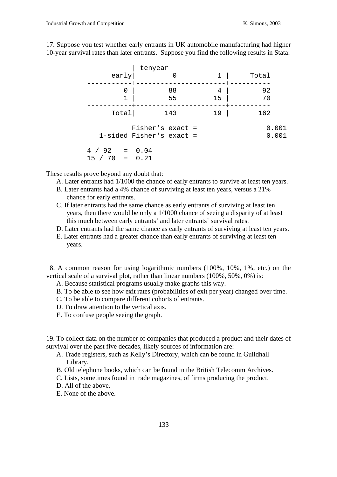17. Suppose you test whether early entrants in UK automobile manufacturing had higher 10-year survival rates than later entrants. Suppose you find the following results in Stata:

|       | tenyear                                      |         |                |
|-------|----------------------------------------------|---------|----------------|
| early |                                              |         | Total          |
|       | 88<br>55                                     | 4<br>15 | 92<br>70       |
| Total | 143                                          | 19      | 162            |
|       | Fisher's exact =<br>1-sided Fisher's exact = |         | 0.001<br>0.001 |
| 92    | 0.04                                         |         |                |

These results prove beyond any doubt that:

 $15 / 70 = 0.21$ 

- A. Later entrants had 1/1000 the chance of early entrants to survive at least ten years.
- B. Later entrants had a 4% chance of surviving at least ten years, versus a 21% chance for early entrants.
- C. If later entrants had the same chance as early entrants of surviving at least ten years, then there would be only a 1/1000 chance of seeing a disparity of at least this much between early entrants' and later entrants' survival rates.
- D. Later entrants had the same chance as early entrants of surviving at least ten years.
- E. Later entrants had a greater chance than early entrants of surviving at least ten years.

18. A common reason for using logarithmic numbers (100%, 10%, 1%, etc.) on the vertical scale of a survival plot, rather than linear numbers (100%, 50%, 0%) is:

- A. Because statistical programs usually make graphs this way.
- B. To be able to see how exit rates (probabilities of exit per year) changed over time.
- C. To be able to compare different cohorts of entrants.
- D. To draw attention to the vertical axis.
- E. To confuse people seeing the graph.

19. To collect data on the number of companies that produced a product and their dates of survival over the past five decades, likely sources of information are:

- A. Trade registers, such as Kelly's Directory, which can be found in Guildhall Library.
- B. Old telephone books, which can be found in the British Telecomm Archives.
- C. Lists, sometimes found in trade magazines, of firms producing the product.
- D. All of the above.
- E. None of the above.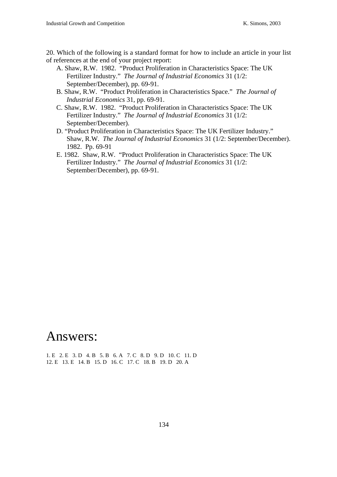20. Which of the following is a standard format for how to include an article in your list of references at the end of your project report:

- A. Shaw, R.W. 1982. "Product Proliferation in Characteristics Space: The UK Fertilizer Industry." *The Journal of Industrial Economics* 31 (1/2: September/December), pp. 69-91.
- B. Shaw, R.W. "Product Proliferation in Characteristics Space." *The Journal of Industrial Economics* 31, pp. 69-91.
- C. Shaw, R.W. 1982. "Product Proliferation in Characteristics Space: The UK Fertilizer Industry." *The Journal of Industrial Economics* 31 (1/2: September/December).
- D. "Product Proliferation in Characteristics Space: The UK Fertilizer Industry." Shaw, R.W. *The Journal of Industrial Economics* 31 (1/2: September/December). 1982. Pp. 69-91
- E. 1982. Shaw, R.W. "Product Proliferation in Characteristics Space: The UK Fertilizer Industry." *The Journal of Industrial Economics* 31 (1/2: September/December), pp. 69-91.

# Answers:

1. E 2. E 3. D 4. B 5. B 6. A 7. C 8. D 9. D 10. C 11. D 12. E 13. E 14. B 15. D 16. C 17. C 18. B 19. D 20. A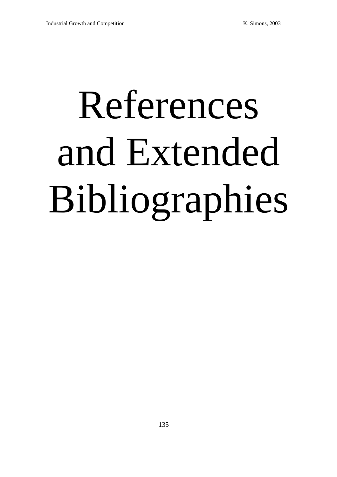# References and Extended Bibliographies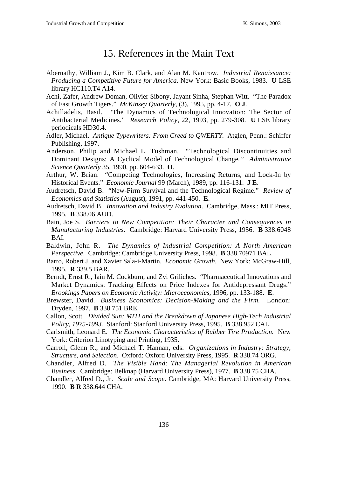# 15. References in the Main Text

- Abernathy, William J., Kim B. Clark, and Alan M. Kantrow. *Industrial Renaissance: Producing a Competitive Future for America*. New York: Basic Books, 1983. **U** LSE library HC110.T4 A14.
- Achi, Zafer, Andrew Doman, Olivier Sibony, Jayant Sinha, Stephan Witt. "The Paradox of Fast Growth Tigers." *McKinsey Quarterly*, (3), 1995, pp. 4-17. **O J**.
- Achilladelis, Basil. "The Dynamics of Technological Innovation: The Sector of Antibacterial Medicines." *Research Policy*, 22, 1993, pp. 279-308. **U** LSE library periodicals HD30.4.
- Adler, Michael. *Antique Typewriters: From Creed to QWERTY*. Atglen, Penn.: Schiffer Publishing, 1997.
- Anderson, Philip and Michael L. Tushman. "Technological Discontinuities and Dominant Designs: A Cyclical Model of Technological Change*." Administrative Science Quarterly* 35, 1990, pp. 604-633. **O**.
- Arthur, W. Brian. "Competing Technologies, Increasing Returns, and Lock-In by Historical Events." *Economic Journal* 99 (March), 1989, pp. 116-131. **J E**.
- Audretsch, David B. "New-Firm Survival and the Technological Regime." *Review of Economics and Statistics* (August), 1991, pp. 441-450. **E**.
- Audretsch, David B. *Innovation and Industry Evolution*. Cambridge, Mass.: MIT Press, 1995. **B** 338.06 AUD.
- Bain, Joe S. *Barriers to New Competition: Their Character and Consequences in Manufacturing Industries*. Cambridge: Harvard University Press, 1956. **B** 338.6048 BAI.
- Baldwin, John R. *The Dynamics of Industrial Competition: A North American Perspective*. Cambridge: Cambridge University Press, 1998. **B** 338.70971 BAL.
- Barro, Robert J. and Xavier Sala-i-Martin. *Economic Growth*. New York: McGraw-Hill, 1995. **R** 339.5 BAR.
- Berndt, Ernst R., Iain M. Cockburn, and Zvi Griliches. "Pharmaceutical Innovations and Market Dynamics: Tracking Effects on Price Indexes for Antidepressant Drugs." *Brookings Papers on Economic Activity: Microeconomics*, 1996, pp. 133-188. **E**.
- Brewster, David. *Business Economics: Decision-Making and the Firm*. London: Dryden, 1997. **B** 338.751 BRE.
- Callon, Scott. *Divided Sun: MITI and the Breakdown of Japanese High-Tech Industrial Policy, 1975-1993.* Stanford: Stanford University Press, 1995. **B** 338.952 CAL.
- Carlsmith, Leonard E. *The Economic Characteristics of Rubber Tire Production*. New York: Criterion Linotyping and Printing, 1935.
- Carroll, Glenn R., and Michael T. Hannan, eds. *Organizations in Industry: Strategy, Structure, and Selection*. Oxford: Oxford University Press, 1995. **R** 338.74 ORG.
- Chandler, Alfred D. *The Visible Hand: The Managerial Revolution in American Business*. Cambridge: Belknap (Harvard University Press), 1977. **B** 338.75 CHA.
- Chandler, Alfred D., Jr. *Scale and Scope*. Cambridge, MA: Harvard University Press, 1990. **B R** 338.644 CHA.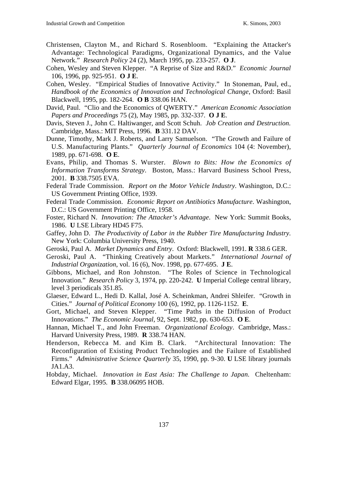- Christensen, Clayton M., and Richard S. Rosenbloom. "Explaining the Attacker's Advantage: Technological Paradigms, Organizational Dynamics, and the Value Network." *Research Policy* 24 (2), March 1995, pp. 233-257. **O J**.
- Cohen, Wesley and Steven Klepper. "A Reprise of Size and R&D." *Economic Journal* 106, 1996, pp. 925-951. **O J E**.
- Cohen, Wesley. "Empirical Studies of Innovative Activity." In Stoneman, Paul, ed., *Handbook of the Economics of Innovation and Technological Change*, Oxford: Basil Blackwell, 1995, pp. 182-264. **O B** 338.06 HAN.
- David, Paul. "Clio and the Economics of QWERTY." *American Economic Association Papers and Proceedings* 75 (2), May 1985, pp. 332-337. **O J E**.
- Davis, Steven J., John C. Haltiwanger, and Scott Schuh. *Job Creation and Destruction*. Cambridge, Mass.: MIT Press, 1996. **B** 331.12 DAV.
- Dunne, Timothy, Mark J. Roberts, and Larry Samuelson. "The Growth and Failure of U.S. Manufacturing Plants." *Quarterly Journal of Economics* 104 (4: November), 1989, pp. 671-698. **O E**.
- Evans, Philip, and Thomas S. Wurster. *Blown to Bits: How the Economics of Information Transforms Strategy*. Boston, Mass.: Harvard Business School Press, 2001. **B** 338.7505 EVA.
- Federal Trade Commission. *Report on the Motor Vehicle Industry*. Washington, D.C.: US Government Printing Office, 1939.
- Federal Trade Commission. *Economic Report on Antibiotics Manufacture*. Washington, D.C.: US Government Printing Office, 1958.
- Foster, Richard N. *Innovation: The Attacker's Advantage*. New York: Summit Books, 1986. **U** LSE Library HD45 F75.
- Gaffey, John D. *The Productivity of Labor in the Rubber Tire Manufacturing Industry*. New York: Columbia University Press, 1940.
- Geroski, Paul A. *Market Dynamics and Entry*. Oxford: Blackwell, 1991. **R** 338.6 GER.
- Geroski, Paul A. "Thinking Creatively about Markets." *International Journal of Industrial Organization*, vol. 16 (6), Nov. 1998, pp. 677-695. **J E**.
- Gibbons, Michael, and Ron Johnston. "The Roles of Science in Technological Innovation." *Research Policy* 3, 1974, pp. 220-242. **U** Imperial College central library, level 3 periodicals 351.85.
- Glaeser, Edward L., Hedi D. Kallal, José A. Scheinkman, Andrei Shleifer. "Growth in Cities." *Journal of Political Economy* 100 (6), 1992, pp. 1126-1152. **E**.
- Gort, Michael, and Steven Klepper. "Time Paths in the Diffusion of Product Innovations." *The Economic Journal*, 92, Sept. 1982, pp. 630-653. **O E**.
- Hannan, Michael T., and John Freeman. *Organizational Ecology*. Cambridge, Mass.: Harvard University Press, 1989. **R** 338.74 HAN.
- Henderson, Rebecca M. and Kim B. Clark. "Architectural Innovation: The Reconfiguration of Existing Product Technologies and the Failure of Established Firms." *Administrative Science Quarterly* 35, 1990, pp. 9-30. **U** LSE library journals JA1.A3.
- Hobday, Michael. *Innovation in East Asia: The Challenge to Japan*. Cheltenham: Edward Elgar, 1995. **B** 338.06095 HOB.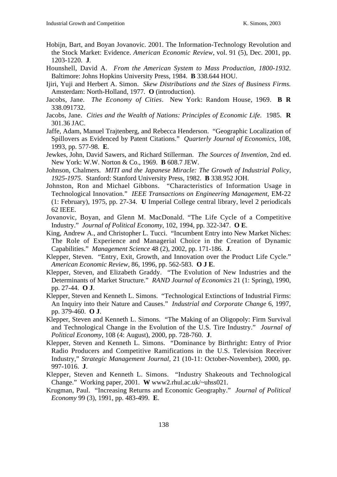- Hobijn, Bart, and Boyan Jovanovic. 2001. The Information-Technology Revolution and the Stock Market: Evidence. *American Economic Review*, vol. 91 (5), Dec. 2001, pp. 1203-1220. **J**.
- Hounshell, David A. *From the American System to Mass Production, 1800-1932*. Baltimore: Johns Hopkins University Press, 1984. **B** 338.644 HOU.
- Ijiri, Yuji and Herbert A. Simon. *Skew Distributions and the Sizes of Business Firms*. Amsterdam: North-Holland, 1977. **O** (introduction).
- Jacobs, Jane. *The Economy of Cities*. New York: Random House, 1969. **B R** 338.091732.
- Jacobs, Jane. *Cities and the Wealth of Nations: Principles of Economic Life*. 1985. **R** 301.36 JAC.
- Jaffe, Adam, Manuel Trajtenberg, and Rebecca Henderson. "Geographic Localization of Spillovers as Evidenced by Patent Citations." *Quarterly Journal of Economics*, 108, 1993, pp. 577-98. **E**.
- Jewkes, John, David Sawers, and Richard Stillerman. *The Sources of Invention*, 2nd ed. New York: W.W. Norton & Co., 1969. **B** 608.7 JEW.
- Johnson, Chalmers. *MITI and the Japanese Miracle: The Growth of Industrial Policy, 1925-1975*. Stanford: Stanford University Press, 1982. **B** 338.952 JOH.
- Johnston, Ron and Michael Gibbons. "Characteristics of Information Usage in Technological Innovation." *IEEE Transactions on Engineering Management*, EM-22 (1: February), 1975, pp. 27-34. **U** Imperial College central library, level 2 periodicals 62 IEEE.
- Jovanovic, Boyan, and Glenn M. MacDonald. "The Life Cycle of a Competitive Industry." *Journal of Political Economy*, 102, 1994, pp. 322-347. **O E**.
- King, Andrew A., and Christopher L. Tucci. "Incumbent Entry into New Market Niches: The Role of Experience and Managerial Choice in the Creation of Dynamic Capabilities." *Management Science* 48 (2), 2002, pp. 171-186. **J**.
- Klepper, Steven. "Entry, Exit, Growth, and Innovation over the Product Life Cycle." *American Economic Review*, 86, 1996, pp. 562-583. **O J E**.
- Klepper, Steven, and Elizabeth Graddy. "The Evolution of New Industries and the Determinants of Market Structure." *RAND Journal of Economics* 21 (1: Spring), 1990, pp. 27-44. **O J**.
- Klepper, Steven and Kenneth L. Simons. "Technological Extinctions of Industrial Firms: An Inquiry into their Nature and Causes." *Industrial and Corporate Change* 6, 1997, pp. 379-460. **O J**.
- Klepper, Steven and Kenneth L. Simons. "The Making of an Oligopoly: Firm Survival and Technological Change in the Evolution of the U.S. Tire Industry." *Journal of Political Economy*, 108 (4: August), 2000, pp. 728-760. **J**.
- Klepper, Steven and Kenneth L. Simons. "Dominance by Birthright: Entry of Prior Radio Producers and Competitive Ramifications in the U.S. Television Receiver Industry," *Strategic Management Journal*, 21 (10-11: October-November), 2000, pp. 997-1016. **J**.
- Klepper, Steven and Kenneth L. Simons. "Industry Shakeouts and Technological Change." Working paper, 2001. **W** www2.rhul.ac.uk/~uhss021.
- Krugman, Paul. "Increasing Returns and Economic Geography." *Journal of Political Economy* 99 (3), 1991, pp. 483-499. **E**.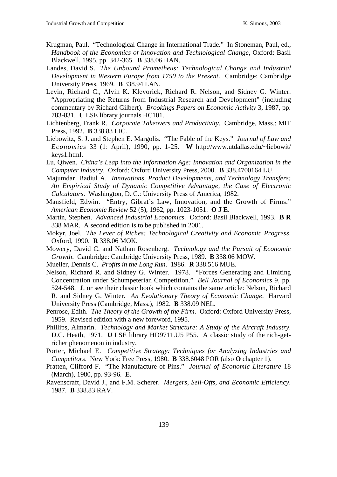- Krugman, Paul. "Technological Change in International Trade." In Stoneman, Paul, ed., *Handbook of the Economics of Innovation and Technological Change*, Oxford: Basil Blackwell, 1995, pp. 342-365. **B** 338.06 HAN.
- Landes, David S. *The Unbound Prometheus: Technological Change and Industrial Development in Western Europe from 1750 to the Present*. Cambridge: Cambridge University Press, 1969. **B** 338.94 LAN.
- Levin, Richard C., Alvin K. Klevorick, Richard R. Nelson, and Sidney G. Winter. "Appropriating the Returns from Industrial Research and Development" (including commentary by Richard Gilbert). *Brookings Papers on Economic Activity* 3, 1987, pp. 783-831. **U** LSE library journals HC101.
- Lichtenberg, Frank R. *Corporate Takeovers and Productivity*. Cambridge, Mass.: MIT Press, 1992. **B** 338.83 LIC.
- Liebowitz, S. J. and Stephen E. Margolis. "The Fable of the Keys." *Journal of Law and Economics* 33 (1: April), 1990, pp. 1-25. **W** http://www.utdallas.edu/~liebowit/ keys1.html.
- Lu, Qiwen. *China's Leap into the Information Age: Innovation and Organization in the Computer Industry*. Oxford: Oxford University Press, 2000. **B** 338.4700164 LU.
- Majumdar, Badiul A. *Innovations, Product Developments, and Technology Transfers: An Empirical Study of Dynamic Competitive Advantage, the Case of Electronic Calculators*. Washington, D. C.: University Press of America, 1982.
- Mansfield, Edwin. "Entry, Gibrat's Law, Innovation, and the Growth of Firms." *American Economic Review* 52 (5), 1962, pp. 1023-1051. **O J E**.
- Martin, Stephen. *Advanced Industrial Economics*. Oxford: Basil Blackwell, 1993. **B R** 338 MAR. A second edition is to be published in 2001.
- Mokyr, Joel. *The Lever of Riches: Technological Creativity and Economic Progress*. Oxford, 1990. **R** 338.06 MOK.
- Mowery, David C. and Nathan Rosenberg. *Technology and the Pursuit of Economic Growth*. Cambridge: Cambridge University Press, 1989. **B** 338.06 MOW.

Mueller, Dennis C. *Profits in the Long Run*. 1986. **R** 338.516 MUE.

- Nelson, Richard R. and Sidney G. Winter. 1978. "Forces Generating and Limiting Concentration under Schumpeterian Competition." *Bell Journal of Economics* 9, pp. 524-548. **J**, or see their classic book which contains the same article: Nelson, Richard R. and Sidney G. Winter. *An Evolutionary Theory of Economic Change*. Harvard University Press (Cambridge, Mass.), 1982. **B** 338.09 NEL.
- Penrose, Edith. *The Theory of the Growth of the Firm*. Oxford: Oxford University Press, 1959. Revised edition with a new foreword, 1995.
- Phillips, Almarin. *Technology and Market Structure: A Study of the Aircraft Industry*. D.C. Heath, 1971. **U** LSE library HD9711.U5 P55. A classic study of the rich-getricher phenomenon in industry.
- Porter, Michael E. *Competitive Strategy: Techniques for Analyzing Industries and Competitors*. New York: Free Press, 1980. **B** 338.6048 POR (also **O** chapter 1).
- Pratten, Clifford F. "The Manufacture of Pins." *Journal of Economic Literature* 18 (March), 1980, pp. 93-96. **E**.
- Ravenscraft, David J., and F.M. Scherer. *Mergers, Sell-Offs, and Economic Efficiency*. 1987. **B** 338.83 RAV.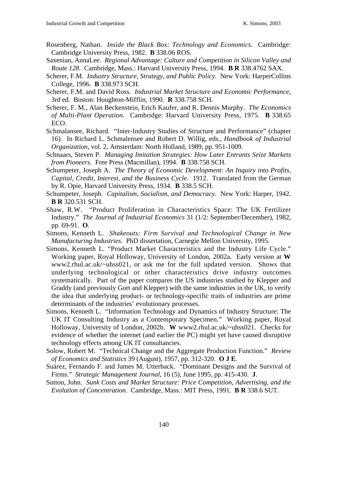- Rosenberg, Nathan. *Inside the Black Box: Technology and Economics*. Cambridge: Cambridge University Press, 1982. **B** 338.06 ROS.
- Saxenian, AnnaLee. *Regional Advantage: Culture and Competition in Silicon Valley and Route 128*. Cambridge, Mass.: Harvard University Press, 1994. **B R** 338.4762 SAX.
- Scherer, F.M. *Industry Structure, Strategy, and Public Policy*. New York: HarperCollins College, 1996. **B** 338.973 SCH.
- Scherer, F.M. and David Ross*. Industrial Market Structure and Economic Performance*, 3rd ed. Boston: Houghton-Mifflin, 1990. **R** 338.758 SCH.
- Scherer, F. M., Alan Beckenstein, Erich Kaufer, and R. Dennis Murphy. *The Economics of Multi-Plant Operation*. Cambridge: Harvard University Press, 1975. **B** 338.65 ECO.
- Schmalansee, Richard. "Inter-Industry Studies of Structure and Performance" (chapter 16). In Richard L. Schmalensee and Robert D. Willig, eds., *Handbook of Industrial Organization*, vol. 2, Amsterdam: North Holland, 1989, pp. 951-1009.
- Schnaars, Steven P. *Managing Imitation Strategies: How Later Entrants Seize Markets from Pioneers*. Free Press (Macmillan), 1994. **B** 338.758 SCH.
- Schumpeter, Joseph A. *The Theory of Economic Development: An Inquiry into Profits, Capital, Credit, Interest, and the Business Cycle*. 1912. Translated from the German by R. Opie, Harvard University Press, 1934. **B** 338.5 SCH.
- Schumpeter, Joseph. *Capitalism, Socialism, and Democracy*. New York: Harper, 1942. **B R** 320.531 SCH.
- Shaw, R.W. "Product Proliferation in Characteristics Space: The UK Fertilizer Industry." *The Journal of Industrial Economics* 31 (1/2: September/December), 1982, pp. 69-91. **O**.
- Simons, Kenneth L. *Shakeouts: Firm Survival and Technological Change in New Manufacturing Industries*. PhD dissertation, Carnegie Mellon University, 1995.
- Simons, Kenneth L. "Product Market Characteristics and the Industry Life Cycle." Working paper, Royal Holloway, University of London, 2002a. Early version at **W** www2.rhul.ac.uk/~uhss021, or ask me for the full updated version. Shows that underlying technological or other characteristics drive industry outcomes systematically. Part of the paper compares the US industries studied by Klepper and Graddy (and previously Gort and Klepper) with the same industries in the UK, to verify the idea that underlying product- or technology-specific traits of industries are prime determinants of the industries' evolutionary processes.
- Simons, Kenneth L. "Information Technology and Dynamics of Industry Structure: The UK IT Consulting Industry as a Contemporary Specimen." Working paper, Royal Holloway, University of London, 2002b. **W** www2.rhul.ac.uk/~uhss021. Checks for evidence of whether the internet (and earlier the PC) might yet have caused disruptive technology effects among UK IT consultancies.
- Solow, Robert M. "Technical Change and the Aggregate Production Function." *Review of Economics and Statistics* 39 (August), 1957, pp. 312-320. **O J E**.
- Suárez, Fernando F. and James M. Utterback. "Dominant Designs and the Survival of Firms." *Strategic Management Journal*, 16 (5), June 1995, pp. 415-430. **J**.
- Sutton, John. *Sunk Costs and Market Structure: Price Competition, Advertising, and the Evolution of Concentration*. Cambridge, Mass.: MIT Press, 1991. **B R** 338.6 SUT.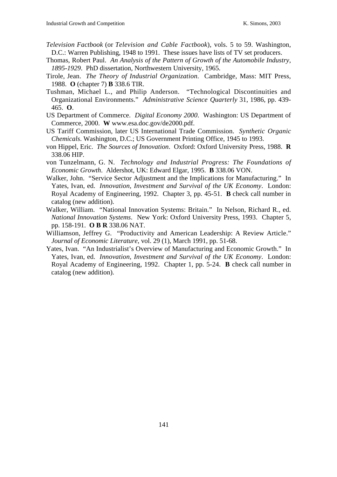- *Television Factbook* (or *Television and Cable Factbook*), vols. 5 to 59. Washington, D.C.: Warren Publishing, 1948 to 1991. These issues have lists of TV set producers.
- Thomas, Robert Paul. *An Analysis of the Pattern of Growth of the Automobile Industry, 1895-1929*. PhD dissertation, Northwestern University, 1965.
- Tirole, Jean. *The Theory of Industrial Organization*. Cambridge, Mass: MIT Press, 1988. **O** (chapter 7) **B** 338.6 TIR.
- Tushman, Michael L., and Philip Anderson. "Technological Discontinuities and Organizational Environments." *Administrative Science Quarterly* 31, 1986, pp. 439- 465. **O**.
- US Department of Commerce. *Digital Economy 2000*. Washington: US Department of Commerce, 2000. **W** www.esa.doc.gov/de2000.pdf.
- US Tariff Commission, later US International Trade Commission. *Synthetic Organic Chemicals*. Washington, D.C.; US Government Printing Office, 1945 to 1993.
- von Hippel, Eric. *The Sources of Innovation*. Oxford: Oxford University Press, 1988. **R** 338.06 HIP.
- von Tunzelmann, G. N. *Technology and Industrial Progress: The Foundations of Economic Growth*. Aldershot, UK: Edward Elgar, 1995. **B** 338.06 VON.
- Walker, John. "Service Sector Adjustment and the Implications for Manufacturing." In Yates, Ivan, ed. *Innovation, Investment and Survival of the UK Economy*. London: Royal Academy of Engineering, 1992. Chapter 3, pp. 45-51. **B** check call number in catalog (new addition).
- Walker, William. "National Innovation Systems: Britain." In Nelson, Richard R., ed. *National Innovation Systems*. New York: Oxford University Press, 1993. Chapter 5, pp. 158-191. **O B R** 338.06 NAT.
- Williamson, Jeffrey G. "Productivity and American Leadership: A Review Article." *Journal of Economic Literature*, vol. 29 (1), March 1991, pp. 51-68.
- Yates, Ivan. "An Industrialist's Overview of Manufacturing and Economic Growth." In Yates, Ivan, ed. *Innovation, Investment and Survival of the UK Economy*. London: Royal Academy of Engineering, 1992. Chapter 1, pp. 5-24. **B** check call number in catalog (new addition).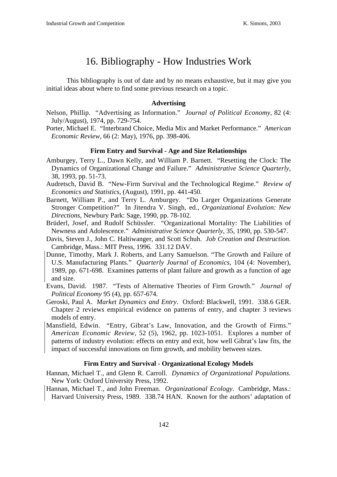# 16. Bibliography - How Industries Work

This bibliography is out of date and by no means exhaustive, but it may give you initial ideas about where to find some previous research on a topic.

# **Advertising**

- Nelson, Phillip. "Advertising as Information." *Journal of Political Economy*, 82 (4: July/August), 1974, pp. 729-754.
- Porter, Michael E. "Interbrand Choice, Media Mix and Market Performance." *American Economic Review*, 66 (2: May), 1976, pp. 398-406.

### **Firm Entry and Survival - Age and Size Relationships**

- Amburgey, Terry L., Dawn Kelly, and William P. Barnett. "Resetting the Clock: The Dynamics of Organizational Change and Failure." *Administrative Science Quarterly*, 38, 1993, pp. 51-73.
- Audretsch, David B. "New-Firm Survival and the Technological Regime." *Review of Economics and Statistics*, (August), 1991, pp. 441-450.
- Barnett, William P., and Terry L. Amburgey. "Do Larger Organizations Generate Stronger Competition?" In Jitendra V. Singh, ed., *Organizational Evolution: New Directions*, Newbury Park: Sage, 1990, pp. 78-102.
- Brüderl, Josef, and Rudolf Schüssler. "Organizational Mortality: The Liabilities of Newness and Adolescence." *Administrative Science Quarterly*, 35, 1990, pp. 530-547.
- Davis, Steven J., John C. Haltiwanger, and Scott Schuh. *Job Creation and Destruction*. Cambridge, Mass.: MIT Press, 1996. 331.12 DAV.
- Dunne, Timothy, Mark J. Roberts, and Larry Samuelson. "The Growth and Failure of U.S. Manufacturing Plants." *Quarterly Journal of Economics*, 104 (4: November), 1989, pp. 671-698. Examines patterns of plant failure and growth as a function of age and size.
- Evans, David. 1987. "Tests of Alternative Theories of Firm Growth." *Journal of Political Economy* 95 (4), pp. 657-674.
- Geroski, Paul A. *Market Dynamics and Entry*. Oxford: Blackwell, 1991. 338.6 GER. Chapter 2 reviews empirical evidence on patterns of entry, and chapter 3 reviews models of entry.
- Mansfield, Edwin. "Entry, Gibrat's Law, Innovation, and the Growth of Firms." *American Economic Review*, 52 (5), 1962, pp. 1023-1051. Explores a number of patterns of industry evolution: effects on entry and exit, how well Gibrat's law fits, the impact of successful innovations on firm growth, and mobility between sizes.

# **Firm Entry and Survival - Organizational Ecology Models**

- Hannan, Michael T., and Glenn R. Carroll. *Dynamics of Organizational Populations*. New York: Oxford University Press, 1992.
- Hannan, Michael T., and John Freeman. *Organizational Ecology*. Cambridge, Mass.: Harvard University Press, 1989. 338.74 HAN. Known for the authors' adaptation of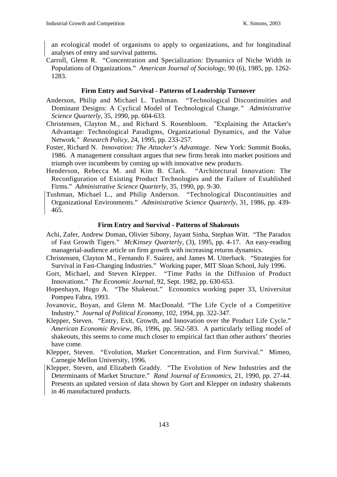an ecological model of organisms to apply to organizations, and for longitudinal analyses of entry and survival patterns.

Carroll, Glenn R. "Concentration and Specialization: Dynamics of Niche Width in Populations of Organizations." *American Journal of Sociology*, 90 (6), 1985, pp. 1262- 1283.

# **Firm Entry and Survival - Patterns of Leadership Turnover**

- Anderson, Philip and Michael L. Tushman. "Technological Discontinuities and Dominant Designs: A Cyclical Model of Technological Change*." Administrative Science Quarterly*, 35, 1990, pp. 604-633.
- Christensen, Clayton M., and Richard S. Rosenbloom. "Explaining the Attacker's Advantage: Technological Paradigms, Organizational Dynamics, and the Value Network." *Research Policy*, 24, 1995, pp. 233-257.
- Foster, Richard N. *Innovation: The Attacker's Advantage*. New York: Summit Books, 1986. A management consultant argues that new firms break into market positions and triumph over incumbents by coming up with innovative new products.
- Henderson, Rebecca M. and Kim B. Clark. "Architectural Innovation: The Reconfiguration of Existing Product Technologies and the Failure of Established Firms." *Administrative Science Quarterly*, 35, 1990, pp. 9-30.
- Tushman, Michael L., and Philip Anderson. "Technological Discontinuities and Organizational Environments." *Administrative Science Quarterly*, 31, 1986, pp. 439- 465.

# **Firm Entry and Survival - Patterns of Shakeouts**

- Achi, Zafer, Andrew Doman, Olivier Sibony, Jayant Sinha, Stephan Witt. "The Paradox of Fast Growth Tigers." *McKinsey Quarterly*, (3), 1995, pp. 4-17. An easy-reading managerial-audience article on firm growth with increasing returns dynamics.
- Christensen, Clayton M., Fernando F. Suárez, and James M. Utterback. "Strategies for Survival in Fast-Changing Industries." Working paper, MIT Sloan School, July 1996.
- Gort, Michael, and Steven Klepper. "Time Paths in the Diffusion of Product Innovations." *The Economic Journal*, 92, Sept. 1982, pp. 630-653.
- Hopenhayn, Hugo A. "The Shakeout." Economics working paper 33, Universitat Pompeu Fabra, 1993.
- Jovanovic, Boyan, and Glenn M. MacDonald. "The Life Cycle of a Competitive Industry." *Journal of Political Economy*, 102, 1994, pp. 322-347.
- Klepper, Steven. "Entry, Exit, Growth, and Innovation over the Product Life Cycle." *American Economic Review*, 86, 1996, pp. 562-583. A particularly telling model of shakeouts, this seems to come much closer to empirical fact than other authors' theories have come.
- Klepper, Steven. "Evolution, Market Concentration, and Firm Survival." Mimeo, Carnegie Mellon University, 1996.
- Klepper, Steven, and Elizabeth Graddy. "The Evolution of New Industries and the Determinants of Market Structure." *Rand Journal of Economics*, 21, 1990, pp. 27-44. Presents an updated version of data shown by Gort and Klepper on industry shakeouts in 46 manufactured products.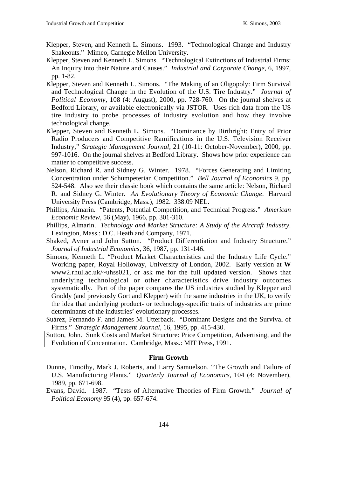- Klepper, Steven, and Kenneth L. Simons. 1993. "Technological Change and Industry Shakeouts." Mimeo, Carnegie Mellon University.
- Klepper, Steven and Kenneth L. Simons. "Technological Extinctions of Industrial Firms: An Inquiry into their Nature and Causes." *Industrial and Corporate Change*, 6, 1997, pp. 1-82.
- Klepper, Steven and Kenneth L. Simons. "The Making of an Oligopoly: Firm Survival and Technological Change in the Evolution of the U.S. Tire Industry." *Journal of Political Economy*, 108 (4: August), 2000, pp. 728-760. On the journal shelves at Bedford Library, or available electronically via JSTOR. Uses rich data from the US tire industry to probe processes of industry evolution and how they involve technological change.
- Klepper, Steven and Kenneth L. Simons. "Dominance by Birthright: Entry of Prior Radio Producers and Competitive Ramifications in the U.S. Television Receiver Industry," *Strategic Management Journal*, 21 (10-11: October-November), 2000, pp. 997-1016. On the journal shelves at Bedford Library. Shows how prior experience can matter to competitive success.
- Nelson, Richard R. and Sidney G. Winter. 1978. "Forces Generating and Limiting Concentration under Schumpeterian Competition." *Bell Journal of Economics* 9, pp. 524-548. Also see their classic book which contains the same article: Nelson, Richard R. and Sidney G. Winter. *An Evolutionary Theory of Economic Change*. Harvard University Press (Cambridge, Mass.), 1982. 338.09 NEL.
- Phillips, Almarin. "Patents, Potential Competition, and Technical Progress." *American Economic Review*, 56 (May), 1966, pp. 301-310.
- Phillips, Almarin. *Technology and Market Structure: A Study of the Aircraft Industry*. Lexington, Mass.: D.C. Heath and Company, 1971.
- Shaked, Avner and John Sutton. "Product Differentiation and Industry Structure." *Journal of Industrial Economics*, 36, 1987, pp. 131-146.
- Simons, Kenneth L. "Product Market Characteristics and the Industry Life Cycle." Working paper, Royal Holloway, University of London, 2002. Early version at **W** www2.rhul.ac.uk/~uhss021, or ask me for the full updated version. Shows that underlying technological or other characteristics drive industry outcomes systematically. Part of the paper compares the US industries studied by Klepper and Graddy (and previously Gort and Klepper) with the same industries in the UK, to verify the idea that underlying product- or technology-specific traits of industries are prime determinants of the industries' evolutionary processes.
- Suárez, Fernando F. and James M. Utterback. "Dominant Designs and the Survival of Firms." *Strategic Management Journal*, 16, 1995, pp. 415-430.
- Sutton, John. Sunk Costs and Market Structure: Price Competition, Advertising, and the Evolution of Concentration. Cambridge, Mass.: MIT Press, 1991.

### **Firm Growth**

- Dunne, Timothy, Mark J. Roberts, and Larry Samuelson. "The Growth and Failure of U.S. Manufacturing Plants." *Quarterly Journal of Economics*, 104 (4: November), 1989, pp. 671-698.
- Evans, David. 1987. "Tests of Alternative Theories of Firm Growth." *Journal of Political Economy* 95 (4), pp. 657-674.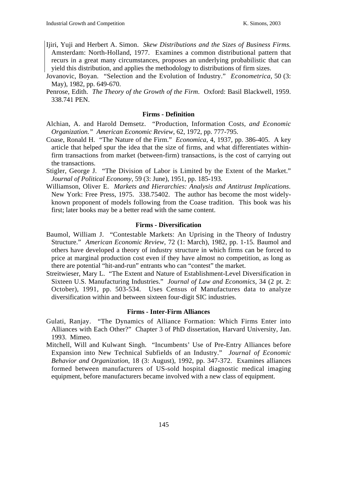- Ijiri, Yuji and Herbert A. Simon. *Skew Distributions and the Sizes of Business Firms*. Amsterdam: North-Holland, 1977. Examines a common distributional pattern that recurs in a great many circumstances, proposes an underlying probabilistic that can yield this distribution, and applies the methodology to distributions of firm sizes.
- Jovanovic, Boyan. "Selection and the Evolution of Industry." *Econometrica*, 50 (3: May), 1982, pp. 649-670.
- Penrose, Edith. *The Theory of the Growth of the Firm*. Oxford: Basil Blackwell, 1959. 338.741 PEN.

#### **Firms - Definition**

- Alchian, A. and Harold Demsetz. "Production, Information Cos*ts, and Economic Organization." American Economic Review*, 62, 1972, pp. 777-795.
- Coase, Ronald H. "The Nature of the Firm." *Economica*, 4, 1937, pp. 386-405. A key article that helped spur the idea that the size of firms, and what differentiates withinfirm transactions from market (between-firm) transactions, is the cost of carrying out the transactions.
- Stigler, George J. "The Division of Labor is Limited by the Extent of the Market." *Journal of Political Economy*, 59 (3: June), 1951, pp. 185-193.
- Williamson, Oliver E. *Markets and Hierarchies: Analysis and Antitrust Implications*. New York: Free Press, 1975. 338.75402. The author has become the most widelyknown proponent of models following from the Coase tradition. This book was his first; later books may be a better read with the same content.

### **Firms - Diversification**

- Baumol, William J. "Contestable Markets: An Uprising in the Theory of Industry Structure." *American Economic Review*, 72 (1: March), 1982, pp. 1-15. Baumol and others have developed a theory of industry structure in which firms can be forced to price at marginal production cost even if they have almost no competition, as long as there are potential "hit-and-run" entrants who can "contest" the market.
- Streitwieser, Mary L. "The Extent and Nature of Establishment-Level Diversification in Sixteen U.S. Manufacturing Industries." *Journal of Law and Economics*, 34 (2 pt. 2: October), 1991, pp. 503-534. Uses Census of Manufactures data to analyze diversification within and between sixteen four-digit SIC industries.

## **Firms - Inter-Firm Alliances**

- Gulati, Ranjay. "The Dynamics of Alliance Formation: Which Firms Enter into Alliances with Each Other?" Chapter 3 of PhD dissertation, Harvard University, Jan. 1993. Mimeo.
- Mitchell, Will and Kulwant Singh. "Incumbents' Use of Pre-Entry Alliances before Expansion into New Technical Subfields of an Industry." *Journal of Economic Behavior and Organization*, 18 (3: August), 1992, pp. 347-372. Examines alliances formed between manufacturers of US-sold hospital diagnostic medical imaging equipment, before manufacturers became involved with a new class of equipment.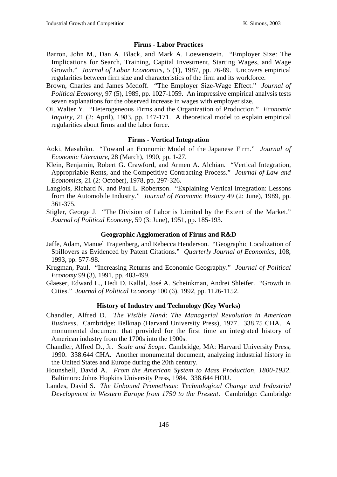## **Firms - Labor Practices**

- Barron, John M., Dan A. Black, and Mark A. Loewenstein. "Employer Size: The Implications for Search, Training, Capital Investment, Starting Wages, and Wage Growth." *Journal of Labor Economics*, 5 (1), 1987, pp. 76-89. Uncovers empirical regularities between firm size and characteristics of the firm and its workforce.
- Brown, Charles and James Medoff. "The Employer Size-Wage Effect." *Journal of Political Economy*, 97 (5), 1989, pp. 1027-1059. An impressive empirical analysis tests seven explanations for the observed increase in wages with employer size.
- Oi, Walter Y. "Heterogeneous Firms and the Organization of Production." *Economic Inquiry*, 21 (2: April), 1983, pp. 147-171. A theoretical model to explain empirical regularities about firms and the labor force.

## **Firms - Vertical Integration**

- Aoki, Masahiko. "Toward an Economic Model of the Japanese Firm." *Journal of Economic Literature*, 28 (March), 1990, pp. 1-27.
- Klein, Benjamin, Robert G. Crawford, and Armen A. Alchian. "Vertical Integration, Appropriable Rents, and the Competitive Contracting Process." *Journal of Law and Economics*, 21 (2: October), 1978, pp. 297-326.
- Langlois, Richard N. and Paul L. Robertson. "Explaining Vertical Integration: Lessons from the Automobile Industry." *Journal of Economic History* 49 (2: June), 1989, pp. 361-375.
- Stigler, George J. "The Division of Labor is Limited by the Extent of the Market." *Journal of Political Economy*, 59 (3: June), 1951, pp. 185-193.

## **Geographic Agglomeration of Firms and R&D**

- Jaffe, Adam, Manuel Trajtenberg, and Rebecca Henderson. "Geographic Localization of Spillovers as Evidenced by Patent Citations." *Quarterly Journal of Economics*, 108, 1993, pp. 577-98.
- Krugman, Paul. "Increasing Returns and Economic Geography." *Journal of Political Economy* 99 (3), 1991, pp. 483-499.
- Glaeser, Edward L., Hedi D. Kallal, José A. Scheinkman, Andrei Shleifer. "Growth in Cities." *Journal of Political Economy* 100 (6), 1992, pp. 1126-1152.

## **History of Industry and Technology (Key Works)**

- Chandler, Alfred D. *The Visible Hand: The Managerial Revolution in American Business*. Cambridge: Belknap (Harvard University Press), 1977. 338.75 CHA. A monumental document that provided for the first time an integrated history of American industry from the 1700s into the 1900s.
- Chandler, Alfred D., Jr. *Scale and Scope*. Cambridge, MA: Harvard University Press, 1990. 338.644 CHA. Another monumental document, analyzing industrial history in the United States and Europe during the 20th century.
- Hounshell, David A. *From the American System to Mass Production, 1800-1932*. Baltimore: Johns Hopkins University Press, 1984. 338.644 HOU.
- Landes, David S. *The Unbound Prometheus: Technological Change and Industrial Development in Western Europe from 1750 to the Present*. Cambridge: Cambridge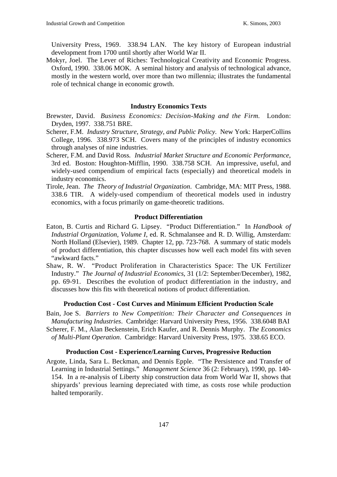University Press, 1969. 338.94 LAN. The key history of European industrial development from 1700 until shortly after World War II.

Mokyr, Joel. The Lever of Riches: Technological Creativity and Economic Progress. Oxford, 1990. 338.06 MOK. A seminal history and analysis of technological advance, mostly in the western world, over more than two millennia; illustrates the fundamental role of technical change in economic growth.

#### **Industry Economics Texts**

- Brewster, David. *Business Economics: Decision-Making and the Firm*. London: Dryden, 1997. 338.751 BRE.
- Scherer, F.M. *Industry Structure, Strategy, and Public Policy*. New York: HarperCollins College, 1996. 338.973 SCH. Covers many of the principles of industry economics through analyses of nine industries.
- Scherer, F.M. and David Ross*. Industrial Market Structure and Economic Performance*, 3rd ed. Boston: Houghton-Mifflin, 1990. 338.758 SCH. An impressive, useful, and widely-used compendium of empirical facts (especially) and theoretical models in industry economics.
- Tirole, Jean. *The Theory of Industrial Organization*. Cambridge, MA: MIT Press, 1988. 338.6 TIR. A widely-used compendium of theoretical models used in industry economics, with a focus primarily on game-theoretic traditions.

## **Product Differentiation**

- Eaton, B. Curtis and Richard G. Lipsey. "Product Differentiation." In *Handbook of Industrial Organization, Volume I*, ed. R. Schmalansee and R. D. Willig, Amsterdam: North Holland (Elsevier), 1989. Chapter 12, pp. 723-768. A summary of static models of product differentiation, this chapter discusses how well each model fits with seven "awkward facts."
- Shaw, R. W. "Product Proliferation in Characteristics Space: The UK Fertilizer Industry." *The Journal of Industrial Economics*, 31 (1/2: September/December), 1982, pp. 69-91. Describes the evolution of product differentiation in the industry, and discusses how this fits with theoretical notions of product differentiation.

#### **Production Cost - Cost Curves and Minimum Efficient Production Scale**

Bain, Joe S. *Barriers to New Competition: Their Character and Consequences in Manufacturing Industries*. Cambridge: Harvard University Press, 1956. 338.6048 BAI Scherer, F. M., Alan Beckenstein, Erich Kaufer, and R. Dennis Murphy. *The Economics of Multi-Plant Operation*. Cambridge: Harvard University Press, 1975. 338.65 ECO.

## **Production Cost - Experience/Learning Curves, Progressive Reduction**

Argote, Linda, Sara L. Beckman, and Dennis Epple. "The Persistence and Transfer of Learning in Industrial Settings." *Management Science* 36 (2: February), 1990, pp. 140- 154. In a re-analysis of Liberty ship construction data from World War II, shows that shipyards' previous learning depreciated with time, as costs rose while production halted temporarily.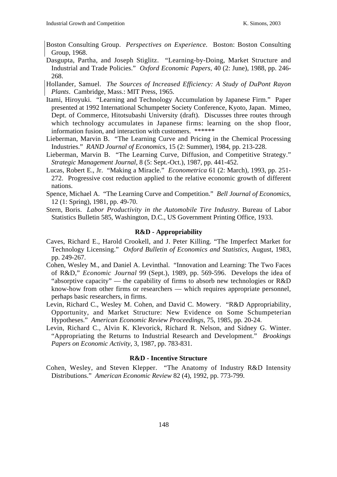- Boston Consulting Group. *Perspectives on Experience*. Boston: Boston Consulting Group, 1968.
- Dasgupta, Partha, and Joseph Stiglitz. "Learning-by-Doing, Market Structure and Industrial and Trade Policies." *Oxford Economic Papers*, 40 (2: June), 1988, pp. 246- 268.
- Hollander, Samuel. *The Sources of Increased Efficiency: A Study of DuPont Rayon Plants*. Cambridge, Mass.: MIT Press, 1965.
- Itami, Hiroyuki. "Learning and Technology Accumulation by Japanese Firm." Paper presented at 1992 International Schumpeter Society Conference, Kyoto, Japan. Mimeo, Dept. of Commerce, Hitotsubashi University (draft). Discusses three routes through which technology accumulates in Japanese firms: learning on the shop floor, information fusion, and interaction with customers. \*\*\*\*\*\*
- Lieberman, Marvin B. "The Learning Curve and Pricing in the Chemical Processing Industries." *RAND Journal of Economics*, 15 (2: Summer), 1984, pp. 213-228.
- Lieberman, Marvin B. "The Learning Curve, Diffusion, and Competitive Strategy." *Strategic Management Journal*, 8 (5: Sept.-Oct.), 1987, pp. 441-452.
- Lucas, Robert E., Jr. "Making a Miracle." *Econometrica* 61 (2: March), 1993, pp. 251- 272. Progressive cost reduction applied to the relative economic growth of different nations.
- Spence, Michael A. "The Learning Curve and Competition." *Bell Journal of Economics*, 12 (1: Spring), 1981, pp. 49-70.
- Stern, Boris. *Labor Productivity in the Automobile Tire Industry*. Bureau of Labor Statistics Bulletin 585, Washington, D.C., US Government Printing Office, 1933.

## **R&D - Appropriability**

- Caves, Richard E., Harold Crookell, and J. Peter Killing. "The Imperfect Market for Technology Licensing." *Oxford Bulletin of Economics and Statistics*, August, 1983, pp. 249-267.
- Cohen, Wesley M., and Daniel A. Levinthal. "Innovation and Learning: The Two Faces of R&D," *Economic Journal* 99 (Sept.), 1989, pp. 569-596. Develops the idea of "absorptive capacity" — the capability of firms to absorb new technologies or R&D know-how from other firms or researchers — which requires appropriate personnel, perhaps basic researchers, in firms.
- Levin, Richard C., Wesley M. Cohen, and David C. Mowery. "R&D Appropriability, Opportunity, and Market Structure: New Evidence on Some Schumpeterian Hypotheses." *American Economic Review Proceedings*, 75, 1985, pp. 20-24.
- Levin, Richard C., Alvin K. Klevorick, Richard R. Nelson, and Sidney G. Winter. "Appropriating the Returns to Industrial Research and Development." *Brookings Papers on Economic Activity*, 3, 1987, pp. 783-831.

## **R&D - Incentive Structure**

Cohen, Wesley, and Steven Klepper. "The Anatomy of Industry R&D Intensity Distributions." *American Economic Review* 82 (4), 1992, pp. 773-799.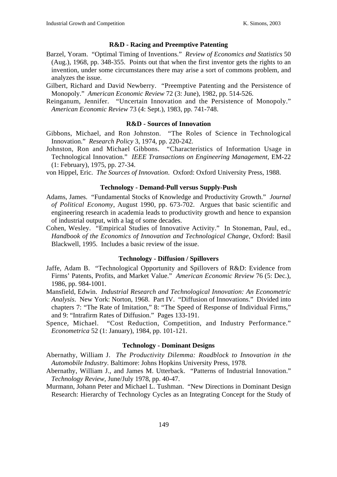## **R&D - Racing and Preemptive Patenting**

- Barzel, Yoram. "Optimal Timing of Inventions." *Review of Economics and Statistics* 50 (Aug.), 1968, pp. 348-355. Points out that when the first inventor gets the rights to an invention, under some circumstances there may arise a sort of commons problem, and analyzes the issue.
- Gilbert, Richard and David Newberry. "Preemptive Patenting and the Persistence of Monopoly." *American Economic Review* 72 (3: June), 1982, pp. 514-526.
- Reinganum, Jennifer. "Uncertain Innovation and the Persistence of Monopoly." *American Economic Review* 73 (4: Sept.), 1983, pp. 741-748.

### **R&D - Sources of Innovation**

- Gibbons, Michael, and Ron Johnston. "The Roles of Science in Technological Innovation." *Research Policy* 3, 1974, pp. 220-242.
- Johnston, Ron and Michael Gibbons. "Characteristics of Information Usage in Technological Innovation." *IEEE Transactions on Engineering Management*, EM-22 (1: February), 1975, pp. 27-34.
- von Hippel, Eric. *The Sources of Innovation*. Oxford: Oxford University Press, 1988.

## **Technology - Demand-Pull versus Supply-Push**

- Adams, James. "Fundamental Stocks of Knowledge and Productivity Growth." *Journal of Political Economy*, August 1990, pp. 673-702. Argues that basic scientific and engineering research in academia leads to productivity growth and hence to expansion of industrial output, with a lag of some decades.
- Cohen, Wesley. "Empirical Studies of Innovative Activity." In Stoneman, Paul, ed., *Handbook of the Economics of Innovation and Technological Change*, Oxford: Basil Blackwell, 1995. Includes a basic review of the issue.

#### **Technology - Diffusion / Spillovers**

- Jaffe, Adam B. "Technological Opportunity and Spillovers of R&D: Evidence from Firms' Patents, Profits, and Market Value." *American Economic Review* 76 (5: Dec.), 1986, pp. 984-1001.
- Mansfield, Edwin. *Industrial Research and Technological Innovation: An Econometric Analysis*. New York: Norton, 1968. Part IV. "Diffusion of Innovations." Divided into chapters 7: "The Rate of Imitation," 8: "The Speed of Response of Individual Firms," and 9: "Intrafirm Rates of Diffusion." Pages 133-191.
- Spence, Michael. "Cost Reduction, Competition, and Industry Performance." *Econometrica* 52 (1: January), 1984, pp. 101-121.

## **Technology - Dominant Designs**

- Abernathy, William J. *The Productivity Dilemma: Roadblock to Innovation in the Automobile Industry*. Baltimore: Johns Hopkins University Press, 1978.
- Abernathy, William J., and James M. Utterback. "Patterns of Industrial Innovation." *Technology Review*, June/July 1978, pp. 40-47.
- Murmann, Johann Peter and Michael L. Tushman. "New Directions in Dominant Design Research: Hierarchy of Technology Cycles as an Integrating Concept for the Study of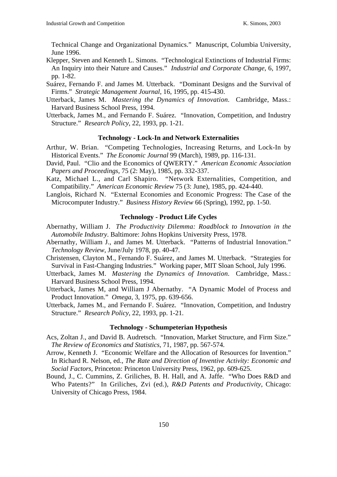Technical Change and Organizational Dynamics." Manuscript, Columbia University, June 1996.

- Klepper, Steven and Kenneth L. Simons. "Technological Extinctions of Industrial Firms: An Inquiry into their Nature and Causes." *Industrial and Corporate Change*, 6, 1997, pp. 1-82.
- Suárez, Fernando F. and James M. Utterback. "Dominant Designs and the Survival of Firms." *Strategic Management Journal*, 16, 1995, pp. 415-430.
- Utterback, James M. *Mastering the Dynamics of Innovation*. Cambridge, Mass.: Harvard Business School Press, 1994.
- Utterback, James M., and Fernando F. Suárez. "Innovation, Competition, and Industry Structure." *Research Policy*, 22, 1993, pp. 1-21.

# **Technology - Lock-In and Network Externalities**

Arthur, W. Brian. "Competing Technologies, Increasing Returns, and Lock-In by Historical Events." *The Economic Journal* 99 (March), 1989, pp. 116-131.

- David, Paul. "Clio and the Economics of QWERTY." *American Economic Association Papers and Proceedings*, 75 (2: May), 1985, pp. 332-337.
- Katz, Michael L., and Carl Shapiro. "Network Externalities, Competition, and Compatibility." *American Economic Review* 75 (3: June), 1985, pp. 424-440.
- Langlois, Richard N. "External Economies and Economic Progress: The Case of the Microcomputer Industry." *Business History Review* 66 (Spring), 1992, pp. 1-50.

## **Technology - Product Life Cycles**

- Abernathy, William J. *The Productivity Dilemma: Roadblock to Innovation in the Automobile Industry*. Baltimore: Johns Hopkins University Press, 1978.
- Abernathy, William J., and James M. Utterback. "Patterns of Industrial Innovation." *Technology Review*, June/July 1978, pp. 40-47.
- Christensen, Clayton M., Fernando F. Suárez, and James M. Utterback. "Strategies for Survival in Fast-Changing Industries." Working paper, MIT Sloan School, July 1996.
- Utterback, James M. *Mastering the Dynamics of Innovation*. Cambridge, Mass.: Harvard Business School Press, 1994.
- Utterback, James M, and William J Abernathy. "A Dynamic Model of Process and Product Innovation." *Omega*, 3, 1975, pp. 639-656.
- Utterback, James M., and Fernando F. Suárez. "Innovation, Competition, and Industry Structure." *Research Policy*, 22, 1993, pp. 1-21.

## **Technology - Schumpeterian Hypothesis**

- Acs, Zoltan J., and David B. Audretsch. "Innovation, Market Structure, and Firm Size." *The Review of Economics and Statistics*, 71, 1987, pp. 567-574.
- Arrow, Kenneth J. "Economic Welfare and the Allocation of Resources for Invention." In Richard R. Nelson, ed., *The Rate and Direction of Inventive Activity: Economic and Social Factors*, Princeton: Princeton University Press, 1962, pp. 609-625.
- Bound, J., C. Cummins, Z. Griliches, B. H. Hall, and A. Jaffe. "Who Does R&D and Who Patents?" In Griliches, Zvi (ed.), *R&D Patents and Productivity*, Chicago: University of Chicago Press, 1984.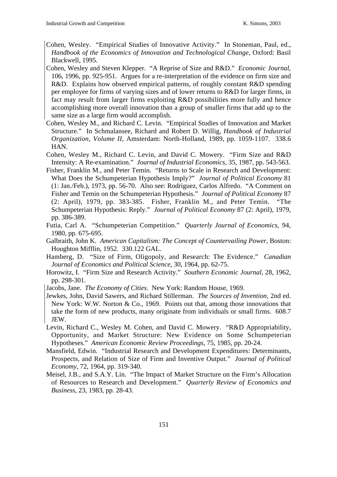- Cohen, Wesley. "Empirical Studies of Innovative Activity." In Stoneman, Paul, ed., *Handbook of the Economics of Innovation and Technological Change*, Oxford: Basil Blackwell, 1995.
- Cohen, Wesley and Steven Klepper. "A Reprise of Size and R&D." *Economic Journal*, 106, 1996, pp. 925-951. Argues for a re-interpretation of the evidence on firm size and R&D. Explains how observed empirical patterns, of roughly constant R&D spending per employee for firms of varying sizes and of lower returns to R&D for larger firms, in fact may result from larger firms exploiting R&D possibilities more fully and hence accomplishing more overall innovation than a group of smaller firms that add up to the same size as a large firm would accomplish.
- Cohen, Wesley M., and Richard C. Levin. "Empirical Studies of Innovation and Market Structure." In Schmalansee, Richard and Robert D. Willig, *Handbook of Industrial Organization, Volume II*, Amsterdam: North-Holland, 1989, pp. 1059-1107. 338.6 HAN.
- Cohen, Wesley M., Richard C. Levin, and David C. Mowery. "Firm Size and R&D Intensity: A Re-examination." *Journal of Industrial Economics*, 35, 1987, pp. 543-563.
- Fisher, Franklin M., and Peter Temin. "Returns to Scale in Research and Development: What Does the Schumpeterian Hypothesis Imply?" *Journal of Political Economy* 81 (1: Jan./Feb.), 1973, pp. 56-70. Also see: Rodriguez, Carlos Alfredo. "A Comment on Fisher and Temin on the Schumpeterian Hypothesis." *Journal of Political Economy* 87 (2: April), 1979, pp. 383-385. Fisher, Franklin M., and Peter Temin. "The Schumpeterian Hypothesis: Reply." *Journal of Political Economy* 87 (2: April), 1979, pp. 386-389.
- Futia, Carl A. "Schumpeterian Competition." *Quarterly Journal of Economics*, 94, 1980, pp. 675-695.
- Galbraith, John K. *American Capitalism: The Concept of Countervailing Power*, Boston: Houghton Mifflin, 1952. 330.122 GAL.
- Hamberg, D. "Size of Firm, Oligopoly, and Research: The Evidence." *Canadian Journal of Economics and Political Science*, 30, 1964, pp. 62-75.
- Horowitz, I. "Firm Size and Research Activity." *Southern Economic Journal*, 28, 1962, pp. 298-301.
- Jacobs, Jane. *The Economy of Cities*. New York: Random House, 1969.
- Jewkes, John, David Sawers, and Richard Stillerman. *The Sources of Invention*, 2nd ed. New York: W.W. Norton & Co., 1969. Points out that, among those innovations that take the form of new products, many originate from individuals or small firms. 608.7 JEW.
- Levin, Richard C., Wesley M. Cohen, and David C. Mowery. "R&D Appropriability, Opportunity, and Market Structure: New Evidence on Some Schumpeterian Hypotheses." *American Economic Review Proceedings*, 75, 1985, pp. 20-24.
- Mansfield, Edwin. "Industrial Research and Development Expenditures: Determinants, Prospects, and Relation of Size of Firm and Inventive Output." *Journal of Political Economy*, 72, 1964, pp. 319-340.
- Meisel, J.B., and S.A.Y. Lin. "The Impact of Market Structure on the Firm's Allocation of Resources to Research and Development." *Quarterly Review of Economics and Business*, 23, 1983, pp. 28-43.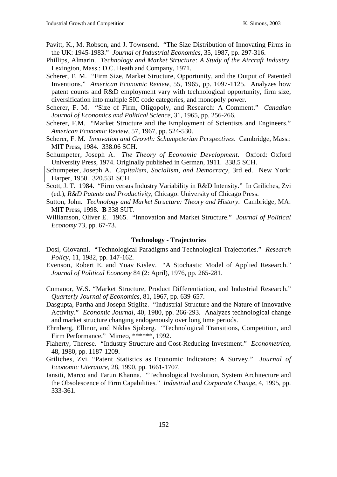- Pavitt, K., M. Robson, and J. Townsend. "The Size Distribution of Innovating Firms in the UK: 1945-1983." *Journal of Industrial Economics*, 35, 1987, pp. 297-316.
- Phillips, Almarin. *Technology and Market Structure: A Study of the Aircraft Industry*. Lexington, Mass.: D.C. Heath and Company, 1971.
- Scherer, F. M. "Firm Size, Market Structure, Opportunity, and the Output of Patented Inventions." *American Economic Review*, 55, 1965, pp. 1097-1125. Analyzes how patent counts and R&D employment vary with technological opportunity, firm size, diversification into multiple SIC code categories, and monopoly power.
- Scherer, F. M. "Size of Firm, Oligopoly, and Research: A Comment." *Canadian Journal of Economics and Political Science*, 31, 1965, pp. 256-266.
- Scherer, F.M. "Market Structure and the Employment of Scientists and Engineers." *American Economic Review*, 57, 1967, pp. 524-530.
- Scherer, F. M. *Innovation and Growth: Schumpeterian Perspectives*. Cambridge, Mass.: MIT Press, 1984. 338.06 SCH.
- Schumpeter, Joseph A. *The Theory of Economic Development*. Oxford: Oxford University Press, 1974. Originally published in German, 1911. 338.5 SCH.
- Schumpeter, Joseph A. *Capitalism, Socialism, and Democracy*, 3rd ed. New York: Harper, 1950. 320.531 SCH.
- Scott, J. T. 1984. "Firm versus Industry Variability in R&D Intensity." In Griliches, Zvi (ed.), *R&D Patents and Productivity*, Chicago: University of Chicago Press.
- Sutton, John. *Technology and Market Structure: Theory and History*. Cambridge, MA: MIT Press, 1998. **B** 338 SUT.
- Williamson, Oliver E. 1965. "Innovation and Market Structure." *Journal of Political Economy* 73, pp. 67-73.

## **Technology - Trajectories**

- Dosi, Giovanni. "Technological Paradigms and Technological Trajectories." *Research Policy*, 11, 1982, pp. 147-162.
- Evenson, Robert E. and Yoav Kislev. "A Stochastic Model of Applied Research." *Journal of Political Economy* 84 (2: April), 1976, pp. 265-281.
- Comanor, W.S. "Market Structure, Product Differentiation, and Industrial Research." *Quarterly Journal of Economics*, 81, 1967, pp. 639-657.
- Dasgupta, Partha and Joseph Stiglitz. "Industrial Structure and the Nature of Innovative Activity." *Economic Journal*, 40, 1980, pp. 266-293. Analyzes technological change and market structure changing endogenously over long time periods.
- Ehrnberg, Ellinor, and Niklas Sjoberg. "Technological Transitions, Competition, and Firm Performance." Mimeo, \*\*\*\*\*\*, 1992.
- Flaherty, Therese. "Industry Structure and Cost-Reducing Investment." *Econometrica*, 48, 1980, pp. 1187-1209.
- Griliches, Zvi. "Patent Statistics as Economic Indicators: A Survey." *Journal of Economic Literature*, 28, 1990, pp. 1661-1707.
- Iansiti, Marco and Tarun Khanna. "Technological Evolution, System Architecture and the Obsolescence of Firm Capabilities." *Industrial and Corporate Change*, 4, 1995, pp. 333-361.